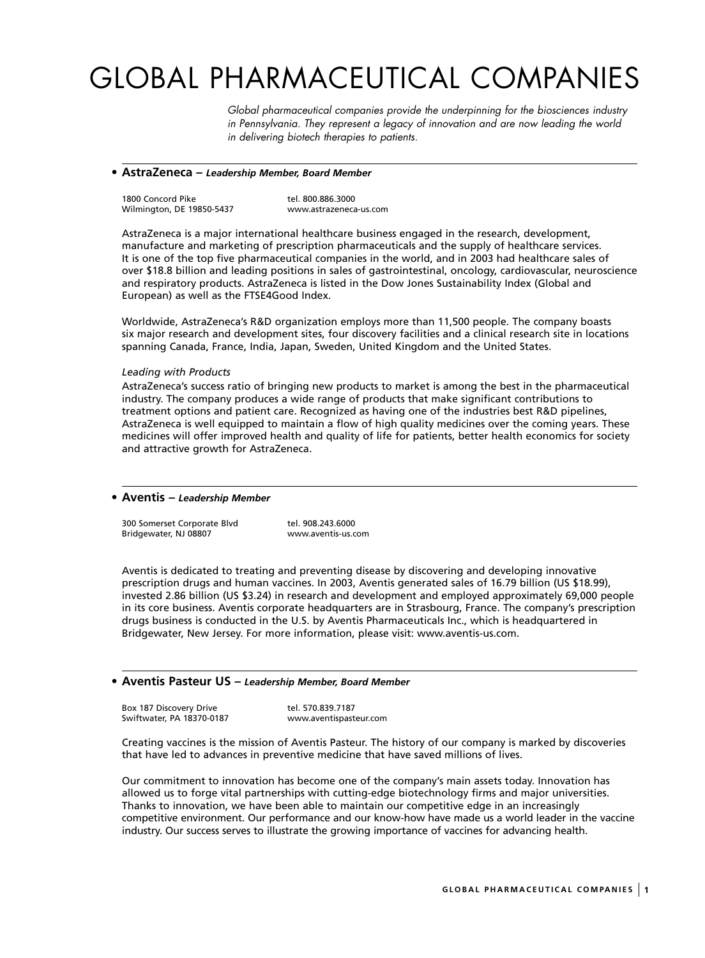# GLOBAL PHARMACEUTICAL COMPANIES

*Global pharmaceutical companies provide the underpinning for the biosciences industry in Pennsylvania. They represent a legacy of innovation and are now leading the world in delivering biotech therapies to patients.* 

#### **• AstraZeneca –** *Leadership Member, Board Member*

| 1800 Concord Pike         | tel. 800.886.3000      |
|---------------------------|------------------------|
| Wilmington, DE 19850-5437 | www.astrazeneca-us.com |

AstraZeneca is a major international healthcare business engaged in the research, development, manufacture and marketing of prescription pharmaceuticals and the supply of healthcare services. It is one of the top five pharmaceutical companies in the world, and in 2003 had healthcare sales of over \$18.8 billion and leading positions in sales of gastrointestinal, oncology, cardiovascular, neuroscience and respiratory products. AstraZeneca is listed in the Dow Jones Sustainability Index (Global and European) as well as the FTSE4Good Index.

Worldwide, AstraZeneca's R&D organization employs more than 11,500 people. The company boasts six major research and development sites, four discovery facilities and a clinical research site in locations spanning Canada, France, India, Japan, Sweden, United Kingdom and the United States.

#### *Leading with Products*

AstraZeneca's success ratio of bringing new products to market is among the best in the pharmaceutical industry. The company produces a wide range of products that make significant contributions to treatment options and patient care. Recognized as having one of the industries best R&D pipelines, AstraZeneca is well equipped to maintain a flow of high quality medicines over the coming years. These medicines will offer improved health and quality of life for patients, better health economics for society and attractive growth for AstraZeneca.

#### **• Aventis –** *Leadership Member*

300 Somerset Corporate Blvd tel. 908.243.6000 Bridgewater, NJ 08807

Aventis is dedicated to treating and preventing disease by discovering and developing innovative prescription drugs and human vaccines. In 2003, Aventis generated sales of 16.79 billion (US \$18.99), invested 2.86 billion (US \$3.24) in research and development and employed approximately 69,000 people in its core business. Aventis corporate headquarters are in Strasbourg, France. The company's prescription drugs business is conducted in the U.S. by Aventis Pharmaceuticals Inc., which is headquartered in Bridgewater, New Jersey. For more information, please visit: www.aventis-us.com.

#### **• Aventis Pasteur US –** *Leadership Member, Board Member*

Box 187 Discovery Drive tel. 570.839.7187 Swiftwater, PA 18370-0187 www.aventispasteur.com

Creating vaccines is the mission of Aventis Pasteur. The history of our company is marked by discoveries that have led to advances in preventive medicine that have saved millions of lives.

Our commitment to innovation has become one of the company's main assets today. Innovation has allowed us to forge vital partnerships with cutting-edge biotechnology firms and major universities. Thanks to innovation, we have been able to maintain our competitive edge in an increasingly competitive environment. Our performance and our know-how have made us a world leader in the vaccine industry. Our success serves to illustrate the growing importance of vaccines for advancing health.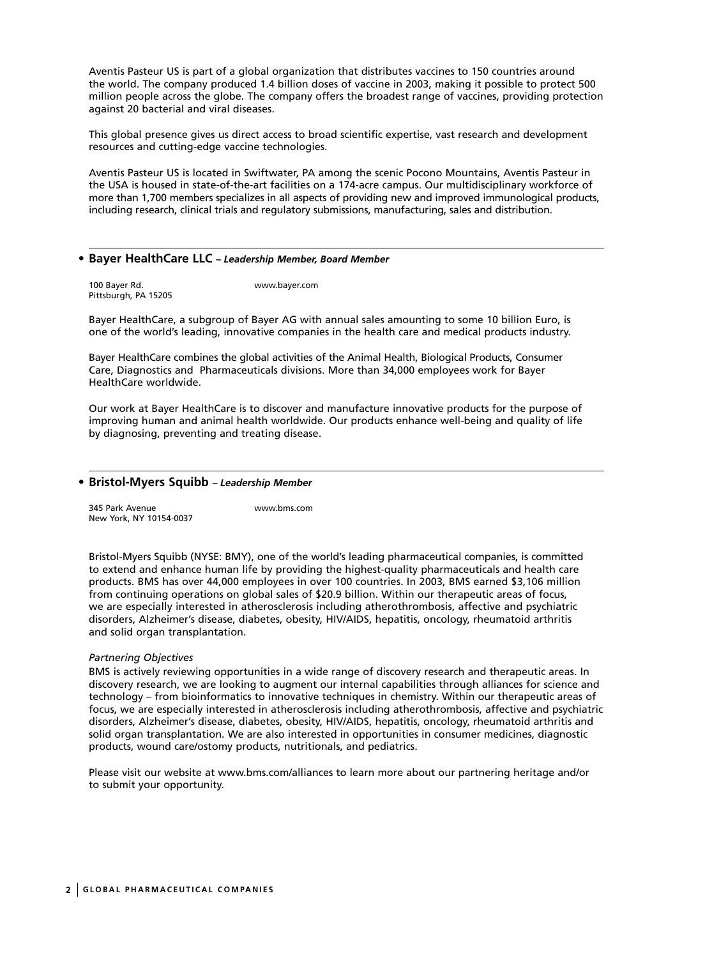Aventis Pasteur US is part of a global organization that distributes vaccines to 150 countries around the world. The company produced 1.4 billion doses of vaccine in 2003, making it possible to protect 500 million people across the globe. The company offers the broadest range of vaccines, providing protection against 20 bacterial and viral diseases.

This global presence gives us direct access to broad scientific expertise, vast research and development resources and cutting-edge vaccine technologies.

Aventis Pasteur US is located in Swiftwater, PA among the scenic Pocono Mountains, Aventis Pasteur in the USA is housed in state-of-the-art facilities on a 174-acre campus. Our multidisciplinary workforce of more than 1,700 members specializes in all aspects of providing new and improved immunological products, including research, clinical trials and regulatory submissions, manufacturing, sales and distribution.

#### **• Bayer HealthCare LLC** *– Leadership Member, Board Member*

100 Bayer Rd. www.bayer.com Pittsburgh, PA 15205

Bayer HealthCare, a subgroup of Bayer AG with annual sales amounting to some 10 billion Euro, is one of the world's leading, innovative companies in the health care and medical products industry.

Bayer HealthCare combines the global activities of the Animal Health, Biological Products, Consumer Care, Diagnostics and Pharmaceuticals divisions. More than 34,000 employees work for Bayer HealthCare worldwide.

Our work at Bayer HealthCare is to discover and manufacture innovative products for the purpose of improving human and animal health worldwide. Our products enhance well-being and quality of life by diagnosing, preventing and treating disease.

#### **• Bristol-Myers Squibb** *– Leadership Member*

345 Park Avenue www.bms.com New York, NY 10154-0037

Bristol-Myers Squibb (NYSE: BMY), one of the world's leading pharmaceutical companies, is committed to extend and enhance human life by providing the highest-quality pharmaceuticals and health care products. BMS has over 44,000 employees in over 100 countries. In 2003, BMS earned \$3,106 million from continuing operations on global sales of \$20.9 billion. Within our therapeutic areas of focus, we are especially interested in atherosclerosis including atherothrombosis, affective and psychiatric disorders, Alzheimer's disease, diabetes, obesity, HIV/AIDS, hepatitis, oncology, rheumatoid arthritis and solid organ transplantation.

#### *Partnering Objectives*

BMS is actively reviewing opportunities in a wide range of discovery research and therapeutic areas. In discovery research, we are looking to augment our internal capabilities through alliances for science and technology – from bioinformatics to innovative techniques in chemistry. Within our therapeutic areas of focus, we are especially interested in atherosclerosis including atherothrombosis, affective and psychiatric disorders, Alzheimer's disease, diabetes, obesity, HIV/AIDS, hepatitis, oncology, rheumatoid arthritis and solid organ transplantation. We are also interested in opportunities in consumer medicines, diagnostic products, wound care/ostomy products, nutritionals, and pediatrics.

Please visit our website at www.bms.com/alliances to learn more about our partnering heritage and/or to submit your opportunity.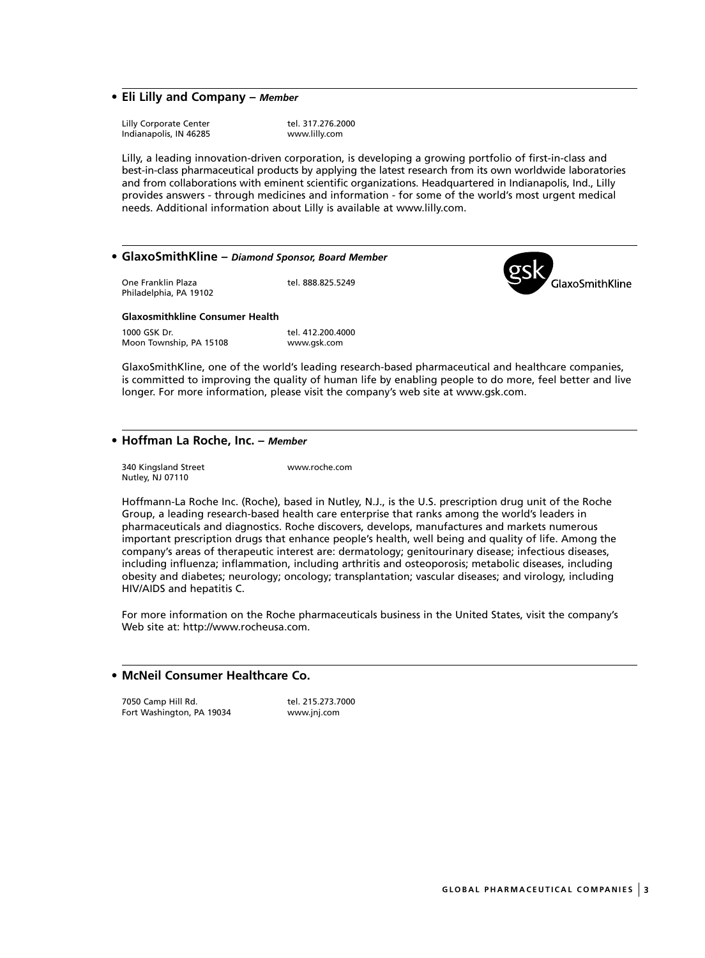## **• Eli Lilly and Company –** *Member*

Lilly Corporate Center The Tel. 317.276.2000<br>
Indianapolis, IN 46285<br>
Www.lilly.com Indianapolis, IN 46285

Lilly, a leading innovation-driven corporation, is developing a growing portfolio of first-in-class and best-in-class pharmaceutical products by applying the latest research from its own worldwide laboratories and from collaborations with eminent scientific organizations. Headquartered in Indianapolis, Ind., Lilly provides answers - through medicines and information - for some of the world's most urgent medical needs. Additional information about Lilly is available at www.lilly.com.

## **• GlaxoSmithKline –** *Diamond Sponsor, Board Member*

One Franklin Plaza tel. 888.825.5249 Philadelphia, PA 19102

## **Glaxosmithkline Consumer Health**

1000 GSK Dr. tel. 412.200.4000 Moon Township, PA 15108 www.gsk.com

GlaxoSmithKline, one of the world's leading research-based pharmaceutical and healthcare companies, is committed to improving the quality of human life by enabling people to do more, feel better and live longer. For more information, please visit the company's web site at www.gsk.com.

#### **• Hoffman La Roche, Inc. –** *Member*

340 Kingsland Street www.roche.com Nutley, NJ 07110

Hoffmann-La Roche Inc. (Roche), based in Nutley, N.J., is the U.S. prescription drug unit of the Roche Group, a leading research-based health care enterprise that ranks among the world's leaders in pharmaceuticals and diagnostics. Roche discovers, develops, manufactures and markets numerous important prescription drugs that enhance people's health, well being and quality of life. Among the company's areas of therapeutic interest are: dermatology; genitourinary disease; infectious diseases, including influenza; inflammation, including arthritis and osteoporosis; metabolic diseases, including obesity and diabetes; neurology; oncology; transplantation; vascular diseases; and virology, including HIV/AIDS and hepatitis C.

For more information on the Roche pharmaceuticals business in the United States, visit the company's Web site at: http://www.rocheusa.com.

## **• McNeil Consumer Healthcare Co.**

7050 Camp Hill Rd. tel. 215.273.7000 Fort Washington, PA 19034 www.jnj.com

GlaxoSmithKline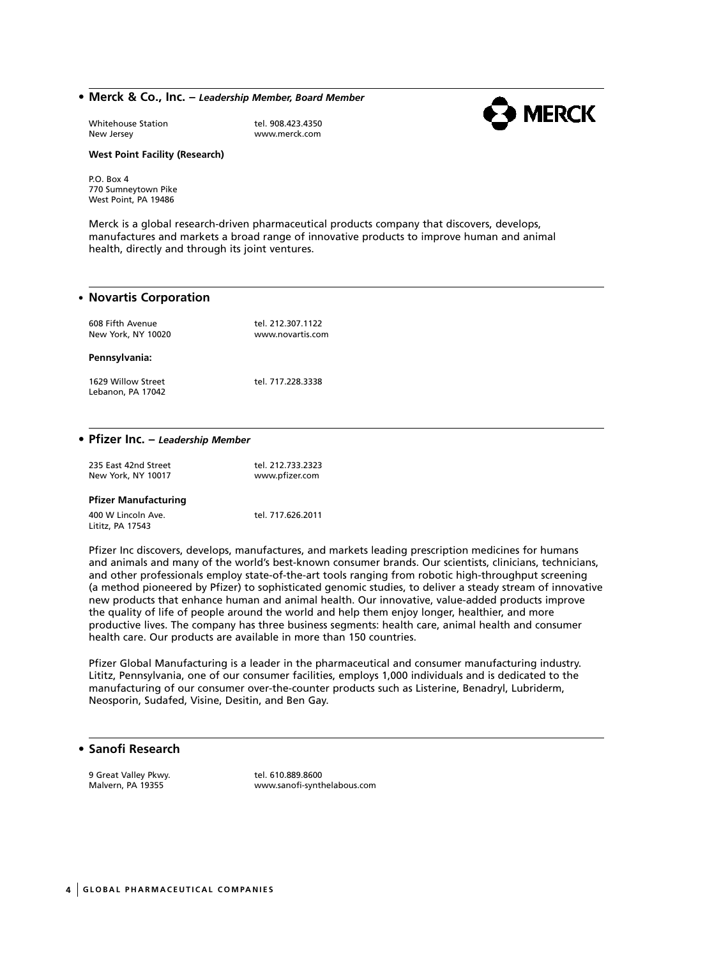#### **• Merck & Co., Inc. –** *Leadership Member, Board Member*



Whitehouse Station and tel. 908.423.4350<br>New Jersey by the www.merck.com

www.merck.com

#### **West Point Facility (Research)**

P.O. Box 4 770 Sumneytown Pike West Point, PA 19486

Merck is a global research-driven pharmaceutical products company that discovers, develops, manufactures and markets a broad range of innovative products to improve human and animal health, directly and through its joint ventures.

#### • **Novartis Corporation**

| 608 Fifth Avenue<br>New York, NY 10020  | tel. 212.307.1122<br>www.novartis.com |
|-----------------------------------------|---------------------------------------|
| Pennsylvania:                           |                                       |
| 1629 Willow Street<br>Lebanon, PA 17042 | tel. 717.228.3338                     |

#### **• Pfizer Inc. –** *Leadership Member*

| 235 East 42nd Street<br>New York, NY 10017 | tel. 212.733.2323<br>www.pfizer.com |
|--------------------------------------------|-------------------------------------|
| <b>Pfizer Manufacturing</b>                |                                     |
| 400 W Lincoln Ave.<br>Lititz, PA 17543     | tel. 717.626.2011                   |

Pfizer Inc discovers, develops, manufactures, and markets leading prescription medicines for humans and animals and many of the world's best-known consumer brands. Our scientists, clinicians, technicians, and other professionals employ state-of-the-art tools ranging from robotic high-throughput screening (a method pioneered by Pfizer) to sophisticated genomic studies, to deliver a steady stream of innovative new products that enhance human and animal health. Our innovative, value-added products improve the quality of life of people around the world and help them enjoy longer, healthier, and more productive lives. The company has three business segments: health care, animal health and consumer health care. Our products are available in more than 150 countries.

Pfizer Global Manufacturing is a leader in the pharmaceutical and consumer manufacturing industry. Lititz, Pennsylvania, one of our consumer facilities, employs 1,000 individuals and is dedicated to the manufacturing of our consumer over-the-counter products such as Listerine, Benadryl, Lubriderm, Neosporin, Sudafed, Visine, Desitin, and Ben Gay.

## **• Sanofi Research**

9 Great Valley Pkwy.<br>Malvern, PA 19355 Malvern, PA 19355

www.sanofi-synthelabous.com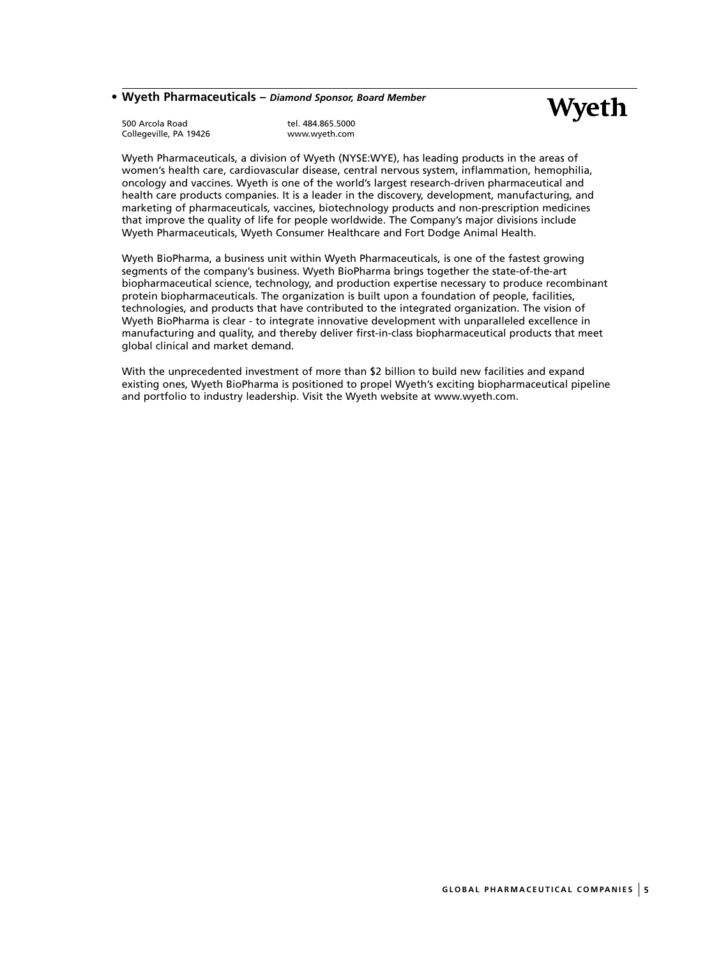## **• Wyeth Pharmaceuticals –** *Diamond Sponsor, Board Member*

500 Arcola Road tel. 484.865.5000 Collegeville, PA 19426

Wyeth Pharmaceuticals, a division of Wyeth (NYSE:WYE), has leading products in the areas of women's health care, cardiovascular disease, central nervous system, inflammation, hemophilia, oncology and vaccines. Wyeth is one of the world's largest research-driven pharmaceutical and health care products companies. It is a leader in the discovery, development, manufacturing, and marketing of pharmaceuticals, vaccines, biotechnology products and non-prescription medicines that improve the quality of life for people worldwide. The Company's major divisions include Wyeth Pharmaceuticals, Wyeth Consumer Healthcare and Fort Dodge Animal Health.

Wyeth BioPharma, a business unit within Wyeth Pharmaceuticals, is one of the fastest growing segments of the company's business. Wyeth BioPharma brings together the state-of-the-art biopharmaceutical science, technology, and production expertise necessary to produce recombinant protein biopharmaceuticals. The organization is built upon a foundation of people, facilities, technologies, and products that have contributed to the integrated organization. The vision of Wyeth BioPharma is clear - to integrate innovative development with unparalleled excellence in manufacturing and quality, and thereby deliver first-in-class biopharmaceutical products that meet global clinical and market demand.

With the unprecedented investment of more than \$2 billion to build new facilities and expand existing ones, Wyeth BioPharma is positioned to propel Wyeth's exciting biopharmaceutical pipeline and portfolio to industry leadership. Visit the Wyeth website at www.wyeth.com.

**Wyeth**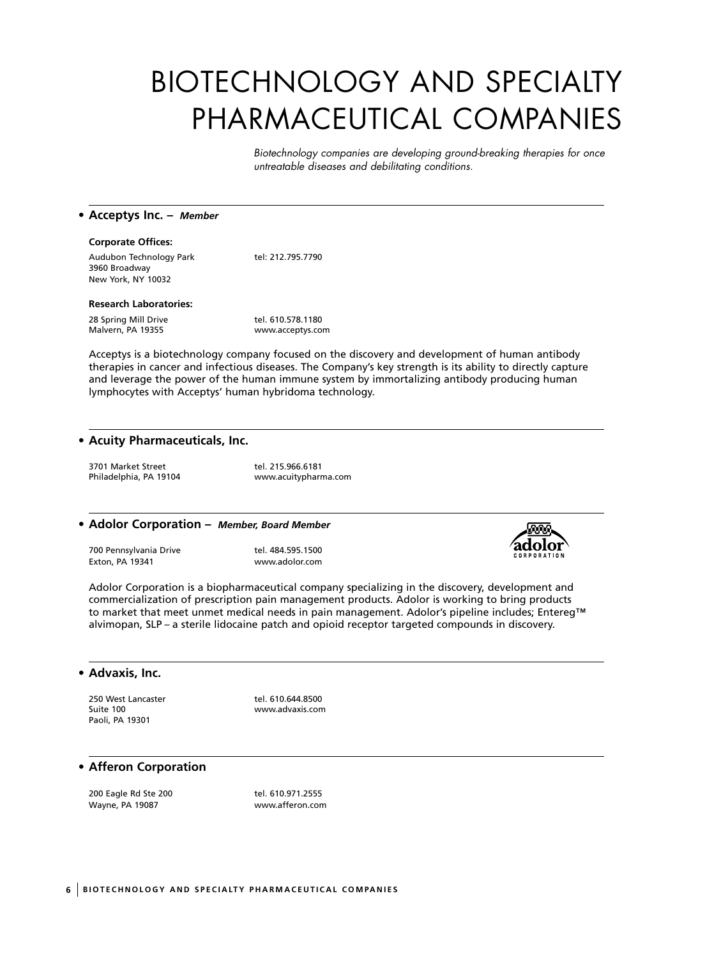# BIOTECHNOLOGY AND SPECIALTY PHARMACEUTICAL COMPANIES

*Biotechnology companies are developing ground-breaking therapies for once untreatable diseases and debilitating conditions.*

#### **• Acceptys Inc. –** *Member*

#### **Corporate Offices:**

Audubon Technology Park tel: 212.795.7790 3960 Broadway New York, NY 10032

#### **Research Laboratories:**

28 Spring Mill Drive<br>
Malvern, PA 19355<br>
Music Malvern, PA 19355

www.acceptys.com

Acceptys is a biotechnology company focused on the discovery and development of human antibody therapies in cancer and infectious diseases. The Company's key strength is its ability to directly capture and leverage the power of the human immune system by immortalizing antibody producing human lymphocytes with Acceptys' human hybridoma technology.

#### **• Acuity Pharmaceuticals, Inc.**

3701 Market Street tel. 215.966.6181

Philadelphia, PA 19104 www.acuitypharma.com

#### **• Adolor Corporation –** *Member, Board Member*

700 Pennsylvania Drive tel. 484.595.1500 Exton, PA 19341 www.adolor.com



Adolor Corporation is a biopharmaceutical company specializing in the discovery, development and commercialization of prescription pain management products. Adolor is working to bring products to market that meet unmet medical needs in pain management. Adolor's pipeline includes; Entereg™ alvimopan, SLP – a sterile lidocaine patch and opioid receptor targeted compounds in discovery.

#### **• Advaxis, Inc.**

Suite 100 www.advaxis.com Paoli, PA 19301

250 West Lancaster tel. 610.644.8500

## **• Afferon Corporation**

200 Eagle Rd Ste 200 tel. 610.971.2555 Wayne, PA 19087 www.afferon.com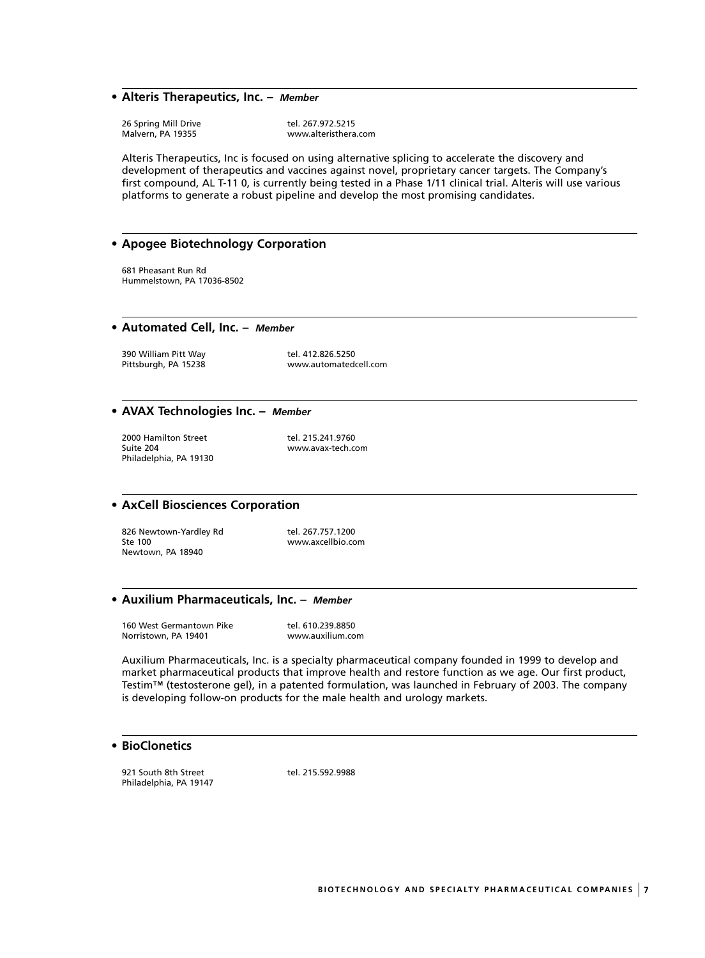#### **• Alteris Therapeutics, Inc. –** *Member*

26 Spring Mill Drive tel. 267.972.5215<br>Malvern, PA 19355 www.alteristhera

www.alteristhera.com

Alteris Therapeutics, Inc is focused on using alternative splicing to accelerate the discovery and development of therapeutics and vaccines against novel, proprietary cancer targets. The Company's first compound, AL T-11 0, is currently being tested in a Phase 1/11 clinical trial. Alteris will use various platforms to generate a robust pipeline and develop the most promising candidates.

## **• Apogee Biotechnology Corporation**

681 Pheasant Run Rd Hummelstown, PA 17036-8502

**• Automated Cell, Inc. –** *Member*

390 William Pitt Way tel. 412.826.5250<br>Pittsburgh, PA 15238 mww.automated

www.automatedcell.com

#### **• AVAX Technologies Inc. –** *Member*

2000 Hamilton Street tel. 215.241.9760<br>
2011 Suite 204 Philadelphia, PA 19130

www.avax-tech.com

## **• AxCell Biosciences Corporation**

826 Newtown-Yardley Rd tel. 267.757.1200 Ste 100 www.axcellbio.com Newtown, PA 18940

#### **• Auxilium Pharmaceuticals, Inc. –** *Member*

160 West Germantown Pike tel. 610.239.8850<br>Norristown, PA 19401 www.auxilium.co www.auxilium.com

Auxilium Pharmaceuticals, Inc. is a specialty pharmaceutical company founded in 1999 to develop and market pharmaceutical products that improve health and restore function as we age. Our first product, Testim™ (testosterone gel), in a patented formulation, was launched in February of 2003. The company is developing follow-on products for the male health and urology markets.

## **• BioClonetics**

921 South 8th Street tel. 215.592.9988 Philadelphia, PA 19147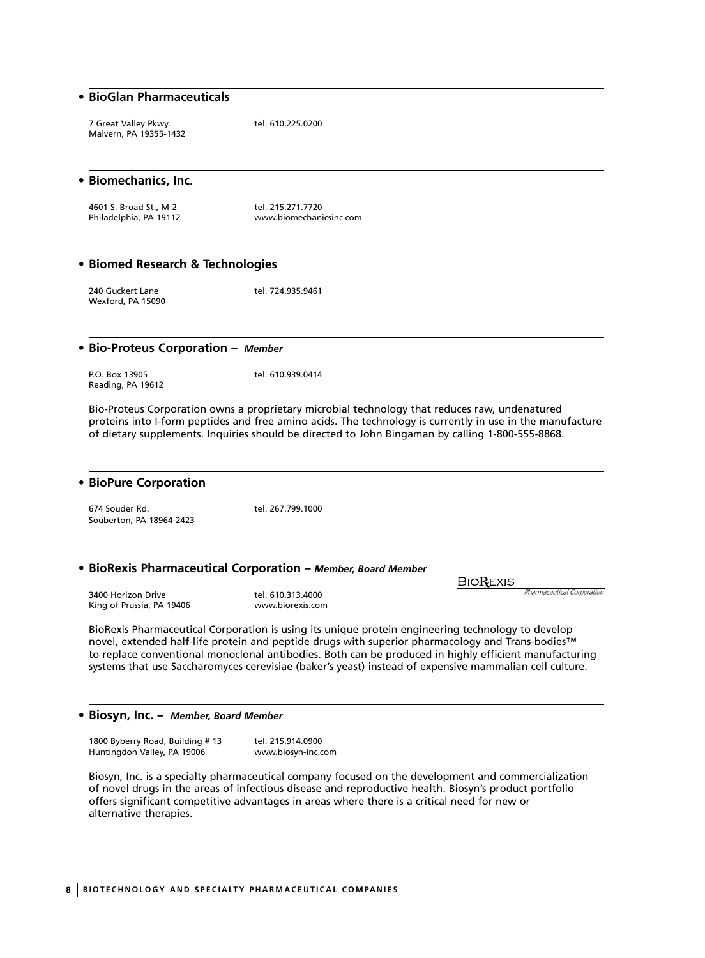#### **• BioGlan Pharmaceuticals**

7 Great Valley Pkwy. tel. 610.225.0200 Malvern, PA 19355-1432

**• Biomechanics, Inc.**

4601 S. Broad St., M-2 tel. 215.271.7720<br>
Philadelphia, PA 19112 www.biomechani www.biomechanicsinc.com

#### **• Biomed Research & Technologies**

240 Guckert Lane tel. 724.935.9461 Wexford, PA 15090

#### **• Bio-Proteus Corporation –** *Member*

P.O. Box 13905 tel. 610.939.0414 Reading, PA 19612

Bio-Proteus Corporation owns a proprietary microbial technology that reduces raw, undenatured proteins into I-form peptides and free amino acids. The technology is currently in use in the manufacture of dietary supplements. Inquiries should be directed to John Bingaman by calling 1-800-555-8868.

#### **• BioPure Corporation**

674 Souder Rd. tel. 267.799.1000 Souberton, PA 18964-2423

#### **• BioRexis Pharmaceutical Corporation –** *Member, Board Member*

3400 Horizon Drive tel. 610.313.4000 King of Prussia, PA 19406 www.biorexis.com

BioRexis Pharmaceutical Corporation is using its unique protein engineering technology to develop novel, extended half-life protein and peptide drugs with superior pharmacology and Trans-bodies™ to replace conventional monoclonal antibodies. Both can be produced in highly efficient manufacturing systems that use Saccharomyces cerevisiae (baker's yeast) instead of expensive mammalian cell culture.

**BIOREXIS** 

#### **• Biosyn, Inc. –** *Member, Board Member*

1800 Byberry Road, Building # 13 tel. 215.914.0900 Huntingdon Valley, PA 19006 www.biosyn-inc.com

Biosyn, Inc. is a specialty pharmaceutical company focused on the development and commercialization of novel drugs in the areas of infectious disease and reproductive health. Biosyn's product portfolio offers significant competitive advantages in areas where there is a critical need for new or alternative therapies.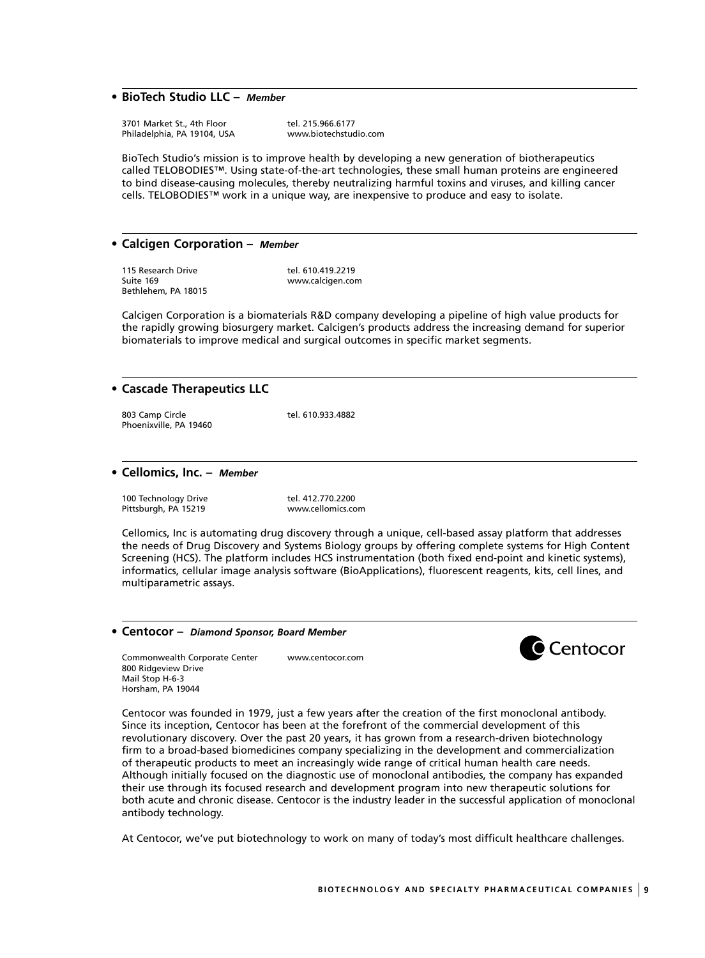## **• BioTech Studio LLC –** *Member*

3701 Market St., 4th Floor tel. 215.966.6177<br>
Philadelphia, PA 19104, USA www.biotechstudio.com Philadelphia, PA 19104, USA

BioTech Studio's mission is to improve health by developing a new generation of biotherapeutics called TELOBODIES™. Using state-of-the-art technologies, these small human proteins are engineered to bind disease-causing molecules, thereby neutralizing harmful toxins and viruses, and killing cancer cells. TELOBODIES™ work in a unique way, are inexpensive to produce and easy to isolate.

#### **• Calcigen Corporation –** *Member*

115 Research Drive tel. 610.419.2219 Suite 169 www.calcigen.com Bethlehem, PA 18015

Calcigen Corporation is a biomaterials R&D company developing a pipeline of high value products for the rapidly growing biosurgery market. Calcigen's products address the increasing demand for superior biomaterials to improve medical and surgical outcomes in specific market segments.

#### **• Cascade Therapeutics LLC**

803 Camp Circle tel. 610.933.4882 Phoenixville, PA 19460

#### **• Cellomics, Inc. –** *Member*

100 Technology Drive tel. 412.770.2200 Pittsburgh, PA 15219 www.cellomics.com

Cellomics, Inc is automating drug discovery through a unique, cell-based assay platform that addresses the needs of Drug Discovery and Systems Biology groups by offering complete systems for High Content Screening (HCS). The platform includes HCS instrumentation (both fixed end-point and kinetic systems), informatics, cellular image analysis software (BioApplications), fluorescent reagents, kits, cell lines, and multiparametric assays.

#### **• Centocor –** *Diamond Sponsor, Board Member*

Commonwealth Corporate Center www.centocor.com 800 Ridgeview Drive Mail Stop H-6-3 Horsham, PA 19044



Centocor was founded in 1979, just a few years after the creation of the first monoclonal antibody. Since its inception, Centocor has been at the forefront of the commercial development of this revolutionary discovery. Over the past 20 years, it has grown from a research-driven biotechnology firm to a broad-based biomedicines company specializing in the development and commercialization of therapeutic products to meet an increasingly wide range of critical human health care needs. Although initially focused on the diagnostic use of monoclonal antibodies, the company has expanded their use through its focused research and development program into new therapeutic solutions for both acute and chronic disease. Centocor is the industry leader in the successful application of monoclonal antibody technology.

At Centocor, we've put biotechnology to work on many of today's most difficult healthcare challenges.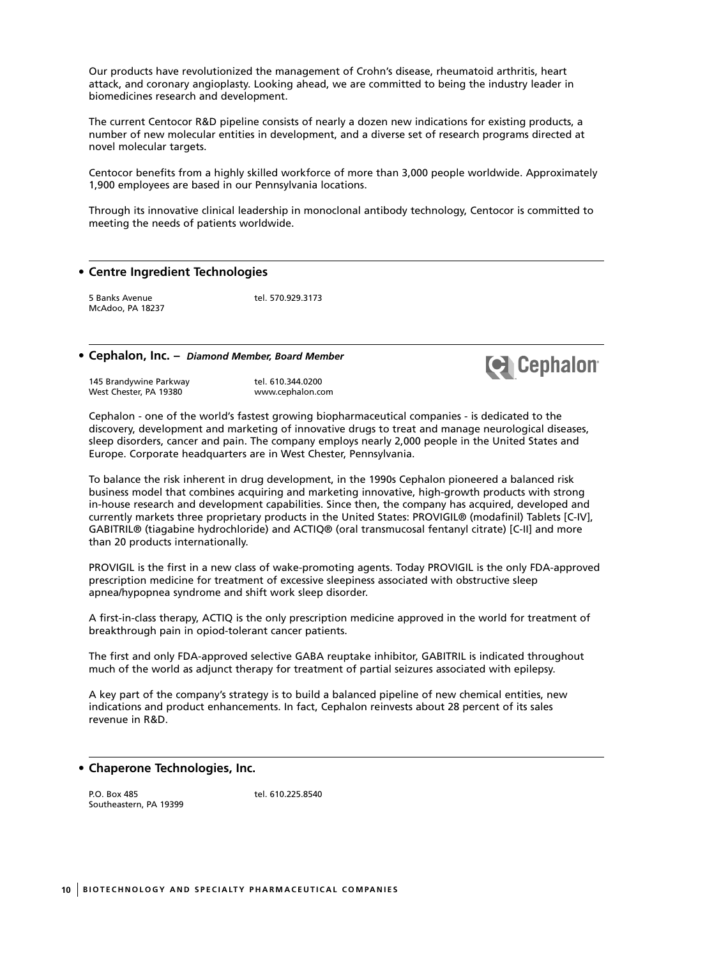Our products have revolutionized the management of Crohn's disease, rheumatoid arthritis, heart attack, and coronary angioplasty. Looking ahead, we are committed to being the industry leader in biomedicines research and development.

The current Centocor R&D pipeline consists of nearly a dozen new indications for existing products, a number of new molecular entities in development, and a diverse set of research programs directed at novel molecular targets.

Centocor benefits from a highly skilled workforce of more than 3,000 people worldwide. Approximately 1,900 employees are based in our Pennsylvania locations.

Through its innovative clinical leadership in monoclonal antibody technology, Centocor is committed to meeting the needs of patients worldwide.

#### **• Centre Ingredient Technologies**

5 Banks Avenue tel. 570.929.3173 McAdoo, PA 18237

#### **• Cephalon, Inc. –** *Diamond Member, Board Member*

145 Brandywine Parkway 145 Brandywine Parkway<br>115 Brandywine Parkway 19380 tel. 610.344.0200 West Chester, PA 19380



Cephalon - one of the world's fastest growing biopharmaceutical companies - is dedicated to the discovery, development and marketing of innovative drugs to treat and manage neurological diseases, sleep disorders, cancer and pain. The company employs nearly 2,000 people in the United States and Europe. Corporate headquarters are in West Chester, Pennsylvania.

To balance the risk inherent in drug development, in the 1990s Cephalon pioneered a balanced risk business model that combines acquiring and marketing innovative, high-growth products with strong in-house research and development capabilities. Since then, the company has acquired, developed and currently markets three proprietary products in the United States: PROVIGIL® (modafinil) Tablets [C-IV], GABITRIL® (tiagabine hydrochloride) and ACTIQ® (oral transmucosal fentanyl citrate) [C-II] and more than 20 products internationally.

PROVIGIL is the first in a new class of wake-promoting agents. Today PROVIGIL is the only FDA-approved prescription medicine for treatment of excessive sleepiness associated with obstructive sleep apnea/hypopnea syndrome and shift work sleep disorder.

A first-in-class therapy, ACTIQ is the only prescription medicine approved in the world for treatment of breakthrough pain in opiod-tolerant cancer patients.

The first and only FDA-approved selective GABA reuptake inhibitor, GABITRIL is indicated throughout much of the world as adjunct therapy for treatment of partial seizures associated with epilepsy.

A key part of the company's strategy is to build a balanced pipeline of new chemical entities, new indications and product enhancements. In fact, Cephalon reinvests about 28 percent of its sales revenue in R&D.

#### **• Chaperone Technologies, Inc.**

P.O. Box 485 tel. 610.225.8540 Southeastern, PA 19399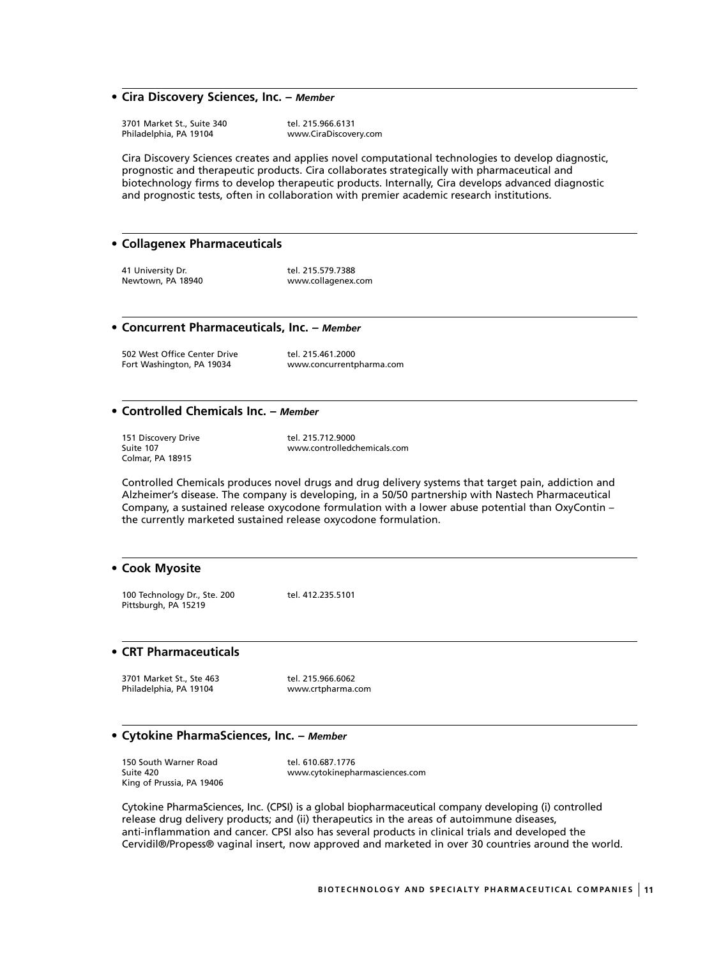#### **• Cira Discovery Sciences, Inc. –** *Member*

3701 Market St., Suite 340 tel. 215.966.6131<br>
Philadelphia, PA 19104 www.CiraDiscove

www.CiraDiscovery.com

Cira Discovery Sciences creates and applies novel computational technologies to develop diagnostic, prognostic and therapeutic products. Cira collaborates strategically with pharmaceutical and biotechnology firms to develop therapeutic products. Internally, Cira develops advanced diagnostic and prognostic tests, often in collaboration with premier academic research institutions.

#### **• Collagenex Pharmaceuticals**

41 University Dr. 1992 12:30 tel. 215.579.7388 Newtown, PA 18940 www.collagenex.com

#### **• Concurrent Pharmaceuticals, Inc. –** *Member*

502 West Office Center Drive tel. 215.461.2000<br>Fort Washington, PA 19034 www.concurrentr

www.concurrentpharma.com

## **• Controlled Chemicals Inc. –** *Member*

151 Discovery Drive tel. 215.712.9000<br>
Suite 107<br>
www.controlledcl Colmar, PA 18915

www.controlledchemicals.com

Controlled Chemicals produces novel drugs and drug delivery systems that target pain, addiction and Alzheimer's disease. The company is developing, in a 50/50 partnership with Nastech Pharmaceutical Company, a sustained release oxycodone formulation with a lower abuse potential than OxyContin – the currently marketed sustained release oxycodone formulation.

#### **• Cook Myosite**

100 Technology Dr., Ste. 200 tel. 412.235.5101 Pittsburgh, PA 15219

#### **• CRT Pharmaceuticals**

3701 Market St., Ste 463 tel. 215.966.6062 Philadelphia, PA 19104 www.crtpharma.com

#### **• Cytokine PharmaSciences, Inc. –** *Member*

150 South Warner Road<br>
Suite 420<br>
www.cytokinepha King of Prussia, PA 19406

www.cytokinepharmasciences.com

Cytokine PharmaSciences, Inc. (CPSI) is a global biopharmaceutical company developing (i) controlled release drug delivery products; and (ii) therapeutics in the areas of autoimmune diseases, anti-inflammation and cancer. CPSI also has several products in clinical trials and developed the Cervidil®/Propess® vaginal insert, now approved and marketed in over 30 countries around the world.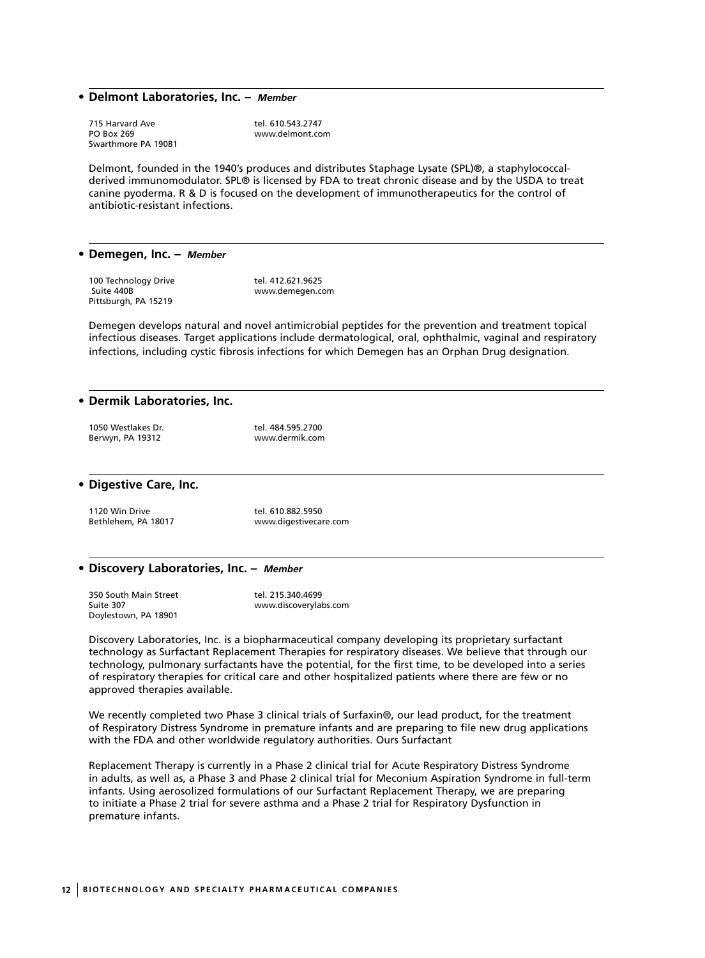#### **• Delmont Laboratories, Inc. –** *Member*

715 Harvard Ave tel. 610.543.2747<br>PO Box 269 The Telecommunic Communication of the www.delmont.com Swarthmore PA 19081

www.delmont.com

Delmont, founded in the 1940's produces and distributes Staphage Lysate (SPL)®, a staphylococcalderived immunomodulator. SPL® is licensed by FDA to treat chronic disease and by the USDA to treat canine pyoderma. R & D is focused on the development of immunotherapeutics for the control of antibiotic-resistant infections.

#### **• Demegen, Inc. –** *Member*

100 Technology Drive tel. 412.621.9625<br>Suite 440B suite 440B Pittsburgh, PA 15219

www.demegen.com

Demegen develops natural and novel antimicrobial peptides for the prevention and treatment topical infectious diseases. Target applications include dermatological, oral, ophthalmic, vaginal and respiratory infections, including cystic fibrosis infections for which Demegen has an Orphan Drug designation.

#### **• Dermik Laboratories, Inc.**

| 1050 Westlakes Dr. | tel. 484.595.2700 |
|--------------------|-------------------|
| Berwyn, PA 19312   | www.dermik.com    |

**• Digestive Care, Inc.**

1120 Win Drive tel. 610.882.5950<br>1120 Bethlehem. PA 18017 www.digestivecar

www.digestivecare.com

#### **• Discovery Laboratories, Inc. –** *Member*

| 350 South Main Street | tel. 215.340.4699     |
|-----------------------|-----------------------|
| Suite 307             | www.discoverylabs.com |
| Doylestown, PA 18901  |                       |

Discovery Laboratories, Inc. is a biopharmaceutical company developing its proprietary surfactant technology as Surfactant Replacement Therapies for respiratory diseases. We believe that through our technology, pulmonary surfactants have the potential, for the first time, to be developed into a series of respiratory therapies for critical care and other hospitalized patients where there are few or no approved therapies available.

We recently completed two Phase 3 clinical trials of Surfaxin®, our lead product, for the treatment of Respiratory Distress Syndrome in premature infants and are preparing to file new drug applications with the FDA and other worldwide regulatory authorities. Ours Surfactant

Replacement Therapy is currently in a Phase 2 clinical trial for Acute Respiratory Distress Syndrome in adults, as well as, a Phase 3 and Phase 2 clinical trial for Meconium Aspiration Syndrome in full-term infants. Using aerosolized formulations of our Surfactant Replacement Therapy, we are preparing to initiate a Phase 2 trial for severe asthma and a Phase 2 trial for Respiratory Dysfunction in premature infants.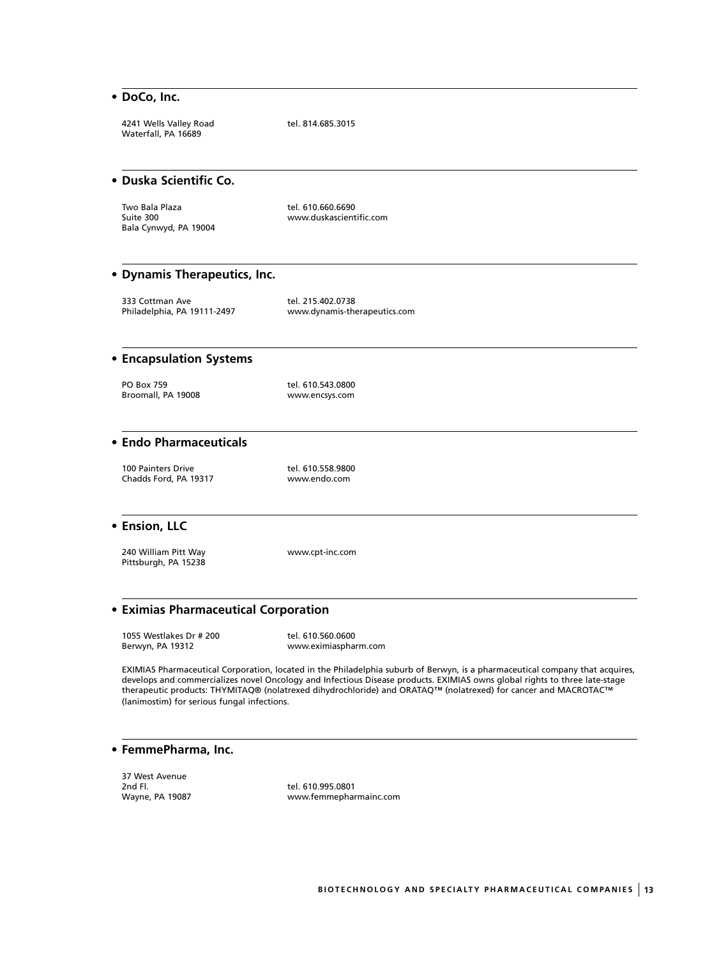#### **• DoCo, Inc.**

4241 Wells Valley Road tel. 814.685.3015 Waterfall, PA 16689

## **• Duska Scientific Co.**

Two Bala Plaza tel. 610.660.6690 Bala Cynwyd, PA 19004

www.duskascientific.com

#### **• Dynamis Therapeutics, Inc.**

333 Cottman Ave tel. 215.402.0738<br>Philadelphia, PA 19111-2497 www.dynamis-the

www.dynamis-therapeutics.com

## **• Encapsulation Systems**

PO Box 759 tel. 610.543.0800 Broomall, PA 19008 www.encsys.com

## **• Endo Pharmaceuticals**

100 Painters Drive tel. 610.558.9800<br>Chadds Ford, PA 19317 https://www.endo.com Chadds Ford, PA 19317

#### **• Ension, LLC**

240 William Pitt Way www.cpt-inc.com Pittsburgh, PA 15238

## **• Eximias Pharmaceutical Corporation**

1055 Westlakes Dr # 200 tel. 610.560.0600<br>Berwyn, PA 19312 www.eximiasphai

www.eximiaspharm.com

EXIMIAS Pharmaceutical Corporation, located in the Philadelphia suburb of Berwyn, is a pharmaceutical company that acquires, develops and commercializes novel Oncology and Infectious Disease products. EXIMIAS owns global rights to three late-stage therapeutic products: THYMITAQ® (nolatrexed dihydrochloride) and ORATAQ™ (nolatrexed) for cancer and MACROTAC™ (lanimostim) for serious fungal infections.

#### **• FemmePharma, Inc.**

37 West Avenue 2nd Fl. tel. 610.995.0801

www.femmepharmainc.com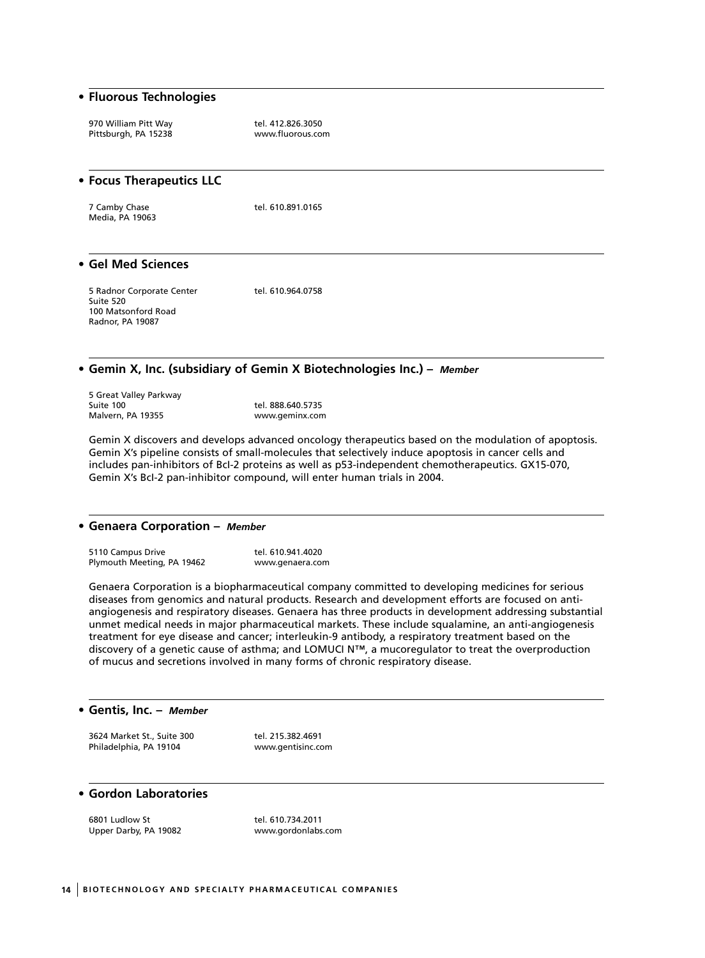#### **• Fluorous Technologies**

970 William Pitt Way tel. 412.826.3050<br>Pittsburgh, PA 15238 mww.fluorous.com Pittsburgh, PA 15238

## **• Focus Therapeutics LLC** 7 Camby Chase tel. 610.891.0165 Media, PA 19063 **• Gel Med Sciences** 5 Radnor Corporate Center tel. 610.964.0758

Suite 520 100 Matsonford Road Radnor, PA 19087

### **• Gemin X, Inc. (subsidiary of Gemin X Biotechnologies Inc.) –** *Member*

5 Great Valley Parkway Malvern, PA 19355

tel. 888.640.5735<br>www.geminx.com

Gemin X discovers and develops advanced oncology therapeutics based on the modulation of apoptosis. Gemin X's pipeline consists of small-molecules that selectively induce apoptosis in cancer cells and includes pan-inhibitors of BcI-2 proteins as well as p53-independent chemotherapeutics. GX15-070, Gemin X's BcI-2 pan-inhibitor compound, will enter human trials in 2004.

#### **• Genaera Corporation –** *Member*

5110 Campus Drive tel. 610.941.4020<br>Plymouth Meeting, PA 19462 the www.genaera.com Plymouth Meeting, PA 19462

Genaera Corporation is a biopharmaceutical company committed to developing medicines for serious diseases from genomics and natural products. Research and development efforts are focused on antiangiogenesis and respiratory diseases. Genaera has three products in development addressing substantial unmet medical needs in major pharmaceutical markets. These include squalamine, an anti-angiogenesis treatment for eye disease and cancer; interleukin-9 antibody, a respiratory treatment based on the discovery of a genetic cause of asthma; and LOMUCI N™, a mucoregulator to treat the overproduction of mucus and secretions involved in many forms of chronic respiratory disease.

#### **• Gentis, Inc. –** *Member*

3624 Market St., Suite 300 tel. 215.382.4691 Philadelphia, PA 19104 www.gentisinc.com

## **• Gordon Laboratories**

6801 Ludlow St tel. 610.734.2011<br>Upper Darby, PA 19082 vww.gordonlabs.com Upper Darby, PA 19082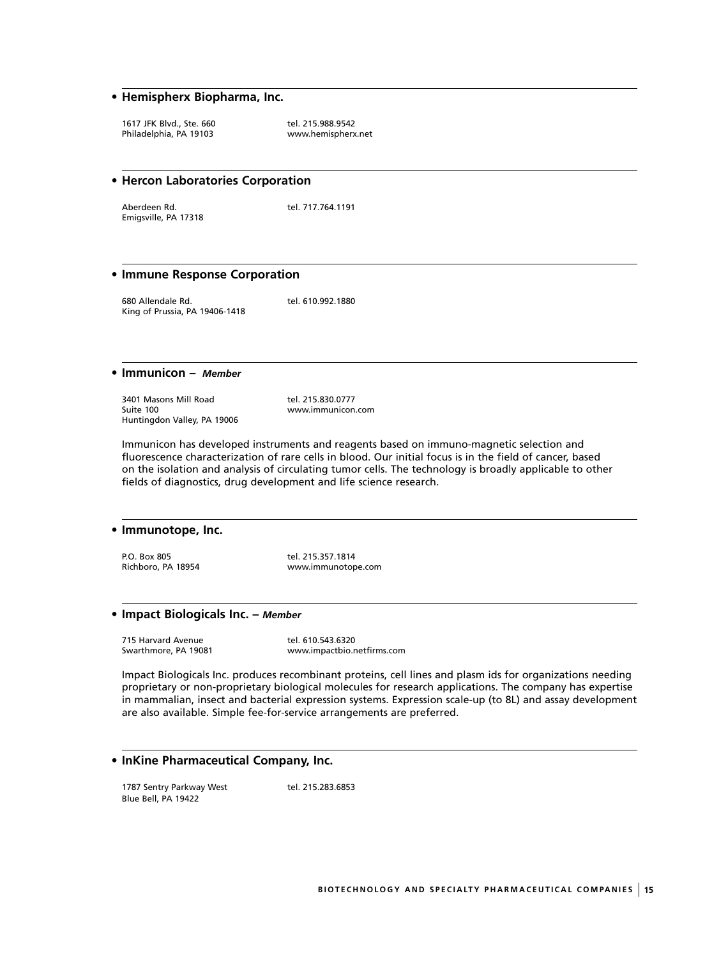## **• Hemispherx Biopharma, Inc.**

1617 JFK Blvd., Ste. 660<br>Philadelphia, PA 19103 (and the www.hemispherx.net Philadelphia, PA 19103

#### **• Hercon Laboratories Corporation**

Aberdeen Rd. tel. 717.764.1191 Emigsville, PA 17318

#### **• Immune Response Corporation**

680 Allendale Rd. tel. 610.992.1880 King of Prussia, PA 19406-1418

#### **• Immunicon –** *Member*

3401 Masons Mill Road tel. 215.830.0777<br>Suite 100 Huntingdon Valley, PA 19006

www.immunicon.com

Immunicon has developed instruments and reagents based on immuno-magnetic selection and fluorescence characterization of rare cells in blood. Our initial focus is in the field of cancer, based on the isolation and analysis of circulating tumor cells. The technology is broadly applicable to other fields of diagnostics, drug development and life science research.

#### **• Immunotope, Inc.**

P.O. Box 805 tel. 215.357.1814<br>Richboro, PA 18954 www.immunotop

www.immunotope.com

#### **• Impact Biologicals Inc. –** *Member*

715 Harvard Avenue tel. 610.543.6320<br>Swarthmore, PA 19081 www.impactbio.n

www.impactbio.netfirms.com

Impact Biologicals Inc. produces recombinant proteins, cell lines and plasm ids for organizations needing proprietary or non-proprietary biological molecules for research applications. The company has expertise in mammalian, insect and bacterial expression systems. Expression scale-up (to 8L) and assay development are also available. Simple fee-for-service arrangements are preferred.

## **• InKine Pharmaceutical Company, Inc.**

1787 Sentry Parkway West tel. 215.283.6853 Blue Bell, PA 19422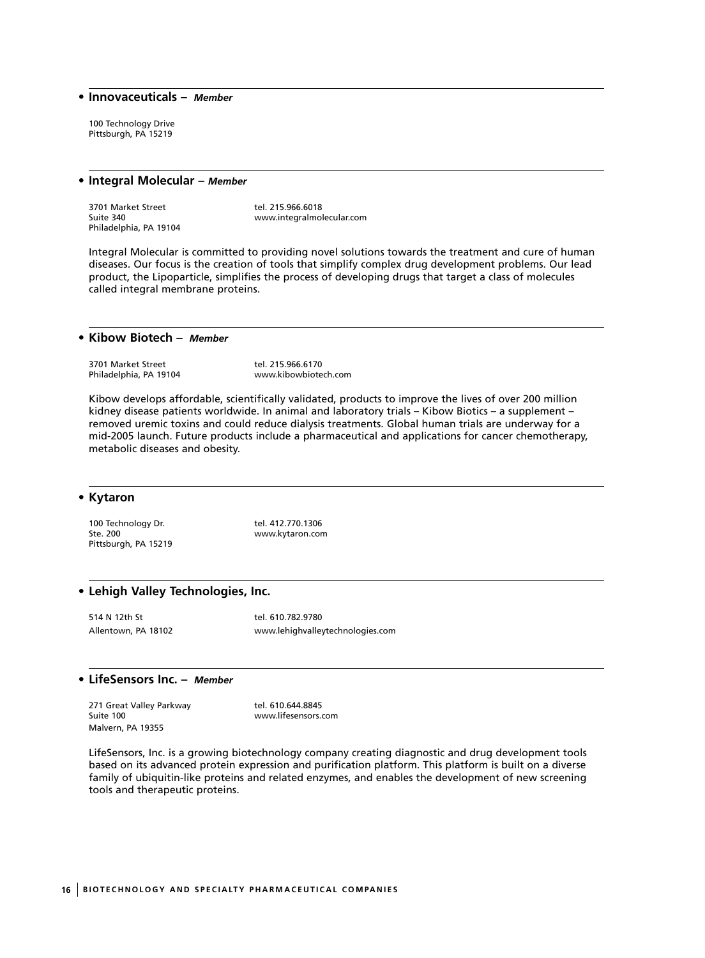#### **• Innovaceuticals –** *Member*

100 Technology Drive Pittsburgh, PA 15219

#### **• Integral Molecular –** *Member*

3701 Market Street tel. 215.966.6018<br>Suite 340<br>www.integralmol Philadelphia, PA 19104

www.integralmolecular.com

Integral Molecular is committed to providing novel solutions towards the treatment and cure of human diseases. Our focus is the creation of tools that simplify complex drug development problems. Our lead product, the Lipoparticle, simplifies the process of developing drugs that target a class of molecules called integral membrane proteins.

## **• Kibow Biotech –** *Member*

3701 Market Street tel. 215.966.6170<br>
Philadelphia, PA 19104 www.kibowbiote

www.kibowbiotech.com

Kibow develops affordable, scientifically validated, products to improve the lives of over 200 million kidney disease patients worldwide. In animal and laboratory trials – Kibow Biotics – a supplement – removed uremic toxins and could reduce dialysis treatments. Global human trials are underway for a mid-2005 launch. Future products include a pharmaceutical and applications for cancer chemotherapy, metabolic diseases and obesity.

#### **• Kytaron**

100 Technology Dr. tel. 412.770.1306<br>Ste. 200 Pittsburgh, PA 15219

www.kytaron.com

#### **• Lehigh Valley Technologies, Inc.**

514 N 12th St tel. 610.782.9780 Allentown, PA 18102 www.lehighvalleytechnologies.com

#### **• LifeSensors Inc. –** *Member*

271 Great Valley Parkway **tel. 610.644.8845**<br>Suite 100 www.lifesensors.c Malvern, PA 19355

www.lifesensors.com

LifeSensors, Inc. is a growing biotechnology company creating diagnostic and drug development tools based on its advanced protein expression and purification platform. This platform is built on a diverse family of ubiquitin-like proteins and related enzymes, and enables the development of new screening tools and therapeutic proteins.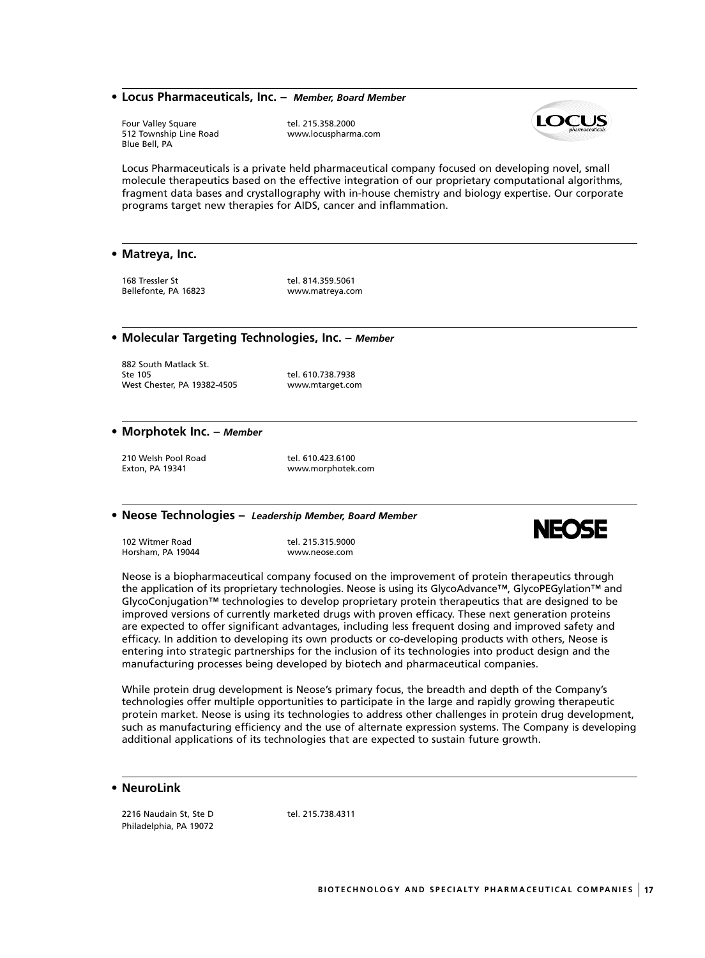#### **• Locus Pharmaceuticals, Inc. –** *Member, Board Member*

512 Township Line Road Blue Bell, PA

Four Valley Square dellaries tel. 215.358.2000<br>
S12 Township Line Road by the www.locuspharma.com



Locus Pharmaceuticals is a private held pharmaceutical company focused on developing novel, small molecule therapeutics based on the effective integration of our proprietary computational algorithms, fragment data bases and crystallography with in-house chemistry and biology expertise. Our corporate programs target new therapies for AIDS, cancer and inflammation.

#### **• Matreya, Inc.**

168 Tressler St tel. 814.359.5061<br>Bellefonte, PA 16823 New Wow.matreya.com Bellefonte, PA 16823

#### **• Molecular Targeting Technologies, Inc. –** *Member*

882 South Matlack St.<br>Ste 105 West Chester, PA 19382-4505 www.mtarget.com

tel. 610.738.7938

#### **• Morphotek Inc. –** *Member*

210 Welsh Pool Road tel. 610.423.6100 Exton, PA 19341 www.morphotek.com

#### **• Neose Technologies –** *Leadership Member, Board Member*

102 Witmer Road tel. 215.315.9000 Horsham, PA 19044 www.neose.com



Neose is a biopharmaceutical company focused on the improvement of protein therapeutics through the application of its proprietary technologies. Neose is using its GlycoAdvance™, GlycoPEGylation™ and GlycoConjugation™ technologies to develop proprietary protein therapeutics that are designed to be improved versions of currently marketed drugs with proven efficacy. These next generation proteins are expected to offer significant advantages, including less frequent dosing and improved safety and efficacy. In addition to developing its own products or co-developing products with others, Neose is entering into strategic partnerships for the inclusion of its technologies into product design and the manufacturing processes being developed by biotech and pharmaceutical companies.

While protein drug development is Neose's primary focus, the breadth and depth of the Company's technologies offer multiple opportunities to participate in the large and rapidly growing therapeutic protein market. Neose is using its technologies to address other challenges in protein drug development, such as manufacturing efficiency and the use of alternate expression systems. The Company is developing additional applications of its technologies that are expected to sustain future growth.

#### **• NeuroLink**

2216 Naudain St, Ste D tel. 215.738.4311 Philadelphia, PA 19072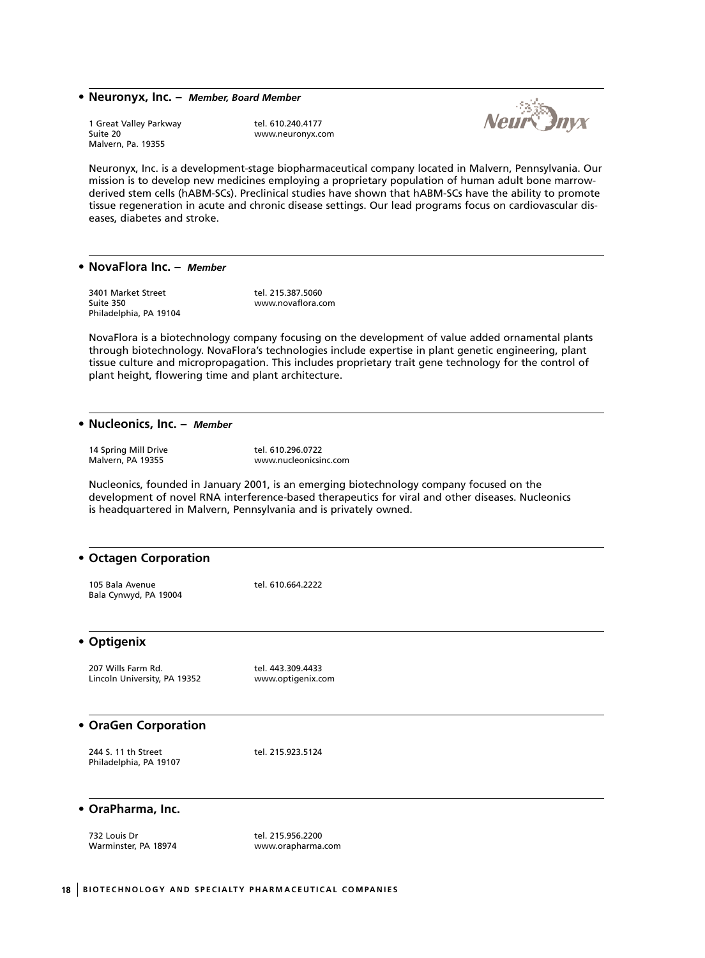#### **• Neuronyx, Inc. –** *Member, Board Member*

1 Great Valley Parkway **tel. 610.240.4177**<br>1 Great 20 Guite 20 Malvern, Pa. 19355

www.neuronyx.com



Neuronyx, Inc. is a development-stage biopharmaceutical company located in Malvern, Pennsylvania. Our mission is to develop new medicines employing a proprietary population of human adult bone marrowderived stem cells (hABM-SCs). Preclinical studies have shown that hABM-SCs have the ability to promote tissue regeneration in acute and chronic disease settings. Our lead programs focus on cardiovascular diseases, diabetes and stroke.

#### **• NovaFlora Inc. –** *Member*

3401 Market Street tel. 215.387.5060<br>Suite 350 Suite 350 Philadelphia, PA 19104

www.novaflora.com

NovaFlora is a biotechnology company focusing on the development of value added ornamental plants through biotechnology. NovaFlora's technologies include expertise in plant genetic engineering, plant tissue culture and micropropagation. This includes proprietary trait gene technology for the control of plant height, flowering time and plant architecture.

#### **• Nucleonics, Inc. –** *Member*

14 Spring Mill Drive<br>
Malvern, PA 19355<br>
Museum Museum Museum Museum Museum Museum Museum Museum Museum Museum Museum Museum Museum Museum Museum Muse

www.nucleonicsinc.com

Nucleonics, founded in January 2001, is an emerging biotechnology company focused on the development of novel RNA interference-based therapeutics for viral and other diseases. Nucleonics is headquartered in Malvern, Pennsylvania and is privately owned.

#### **• Octagen Corporation**

105 Bala Avenue tel. 610.664.2222 Bala Cynwyd, PA 19004

#### **• Optigenix**

207 Wills Farm Rd. tel. 443.309.4433 Lincoln University, PA 19352 www.optigenix.com

## **• OraGen Corporation**

| 244 S. 11 th Street    | tel. 215.923.5124 |
|------------------------|-------------------|
| Philadelphia, PA 19107 |                   |

#### **• OraPharma, Inc.**

732 Louis Dr<br>Warminster, PA 18974 Marminster, PA 18974

www.orapharma.com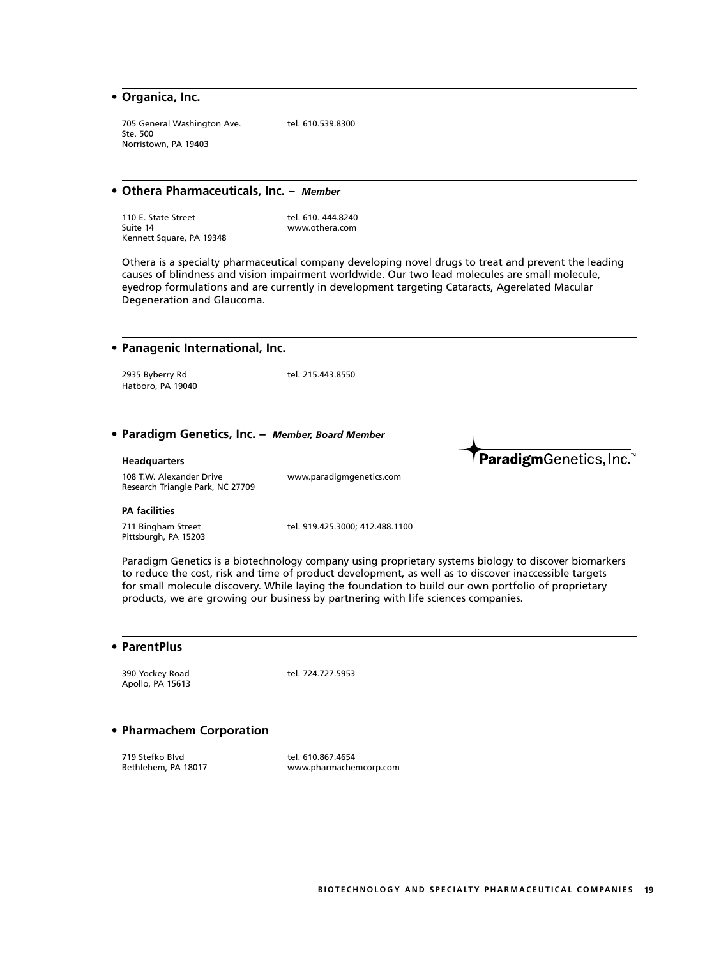## **• Organica, Inc.**

705 General Washington Ave. tel. 610.539.8300 Ste. 500 Norristown, PA 19403

#### **• Othera Pharmaceuticals, Inc. –** *Member*

| 110 E. State Street      | tel. 610, 444, 8240 |
|--------------------------|---------------------|
| Suite 14                 | www.othera.com      |
| Kennett Square, PA 19348 |                     |

Othera is a specialty pharmaceutical company developing novel drugs to treat and prevent the leading causes of blindness and vision impairment worldwide. Our two lead molecules are small molecule, eyedrop formulations and are currently in development targeting Cataracts, Agerelated Macular Degeneration and Glaucoma.

| • Panagenic International, Inc.                                         |                                 |                        |
|-------------------------------------------------------------------------|---------------------------------|------------------------|
| 2935 Byberry Rd<br>Hatboro, PA 19040                                    | tel. 215.443.8550               |                        |
| • Paradigm Genetics, Inc. - Member, Board Member<br><b>Headquarters</b> |                                 | ParadigmGenetics, Inc. |
| 108 T.W. Alexander Drive<br>Research Triangle Park, NC 27709            | www.paradigmgenetics.com        |                        |
| <b>PA</b> facilities                                                    |                                 |                        |
| 711 Bingham Street<br>Pittsburgh, PA 15203                              | tel. 919.425.3000; 412.488.1100 |                        |

Paradigm Genetics is a biotechnology company using proprietary systems biology to discover biomarkers to reduce the cost, risk and time of product development, as well as to discover inaccessible targets for small molecule discovery. While laying the foundation to build our own portfolio of proprietary products, we are growing our business by partnering with life sciences companies.

| • ParentPlus |  |
|--------------|--|
|--------------|--|

390 Yockey Road tel. 724.727.5953 Apollo, PA 15613

#### **• Pharmachem Corporation**

719 Stefko Blvd tel. 610.867.4654

www.pharmachemcorp.com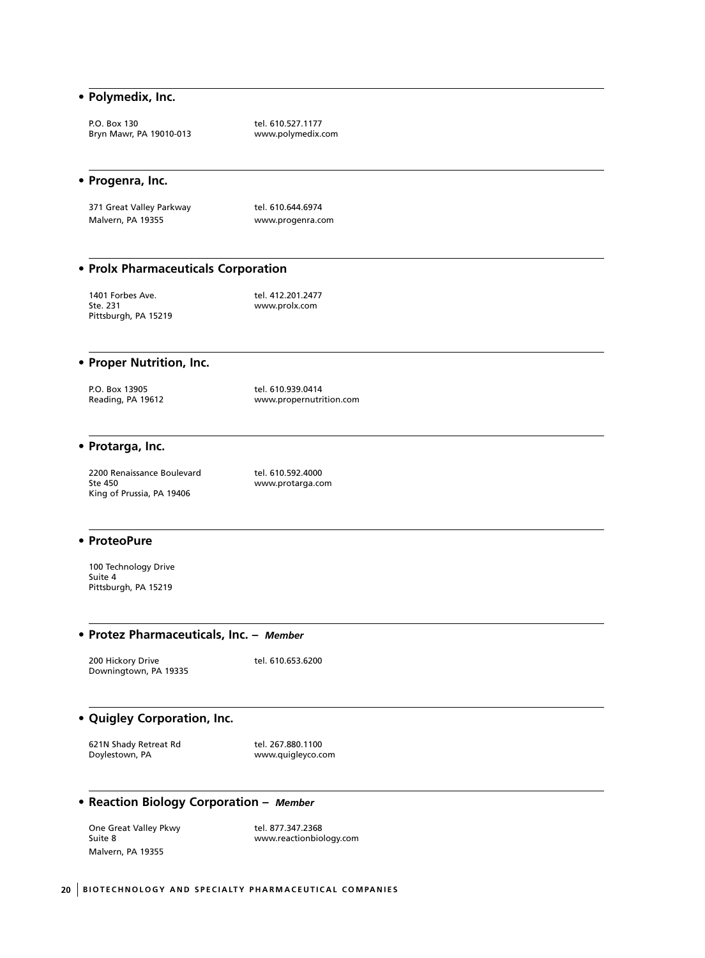#### **• Polymedix, Inc.**

P.O. Box 130 tel. 610.527.1177<br>Bryn Mawr, PA 19010-013 https://www.polymedix.com Bryn Mawr, PA 19010-013

#### **• Progenra, Inc.**

371 Great Valley Parkway tel. 610.644.6974 Malvern, PA 19355 www.progenra.com

## **• Prolx Pharmaceuticals Corporation**

1401 Forbes Ave. tel. 412.201.2477<br>Ste. 231 www.prolx.com Pittsburgh, PA 15219

www.prolx.com

## **• Proper Nutrition, Inc.**

| P.O. Box 13905    | tel. 610.939.0414       |
|-------------------|-------------------------|
| Reading, PA 19612 | www.propernutrition.com |

#### **• Protarga, Inc.**

2200 Renaissance Boulevard tel. 610.592.4000<br>2200 Ste 450 King of Prussia, PA 19406

www.protarga.com

#### **• ProteoPure**

100 Technology Drive Suite 4 Pittsburgh, PA 15219

#### **• Protez Pharmaceuticals, Inc. –** *Member*

200 Hickory Drive tel. 610.653.6200 Downingtown, PA 19335

## **• Quigley Corporation, Inc.**

621N Shady Retreat Rd<br>Doylestown, PA department of the tel. 267.880.1100

www.quigleyco.com

## **• Reaction Biology Corporation –** *Member*

One Great Valley Pkwy tel. 877.347.2368 Malvern, PA 19355

Suite 8 www.reactionbiology.com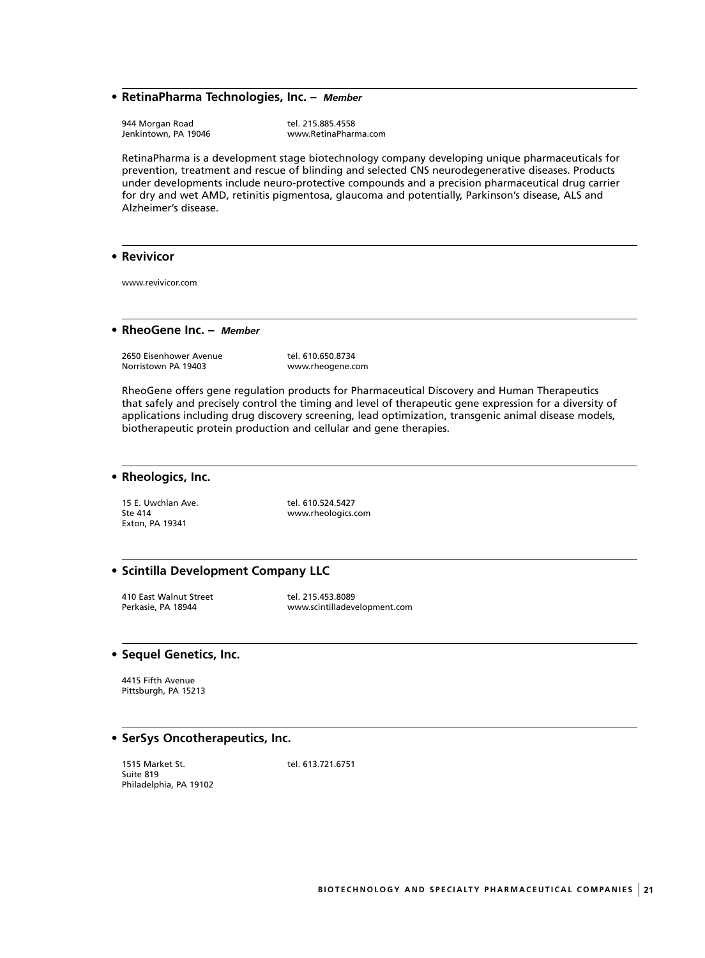#### **• RetinaPharma Technologies, Inc. –** *Member*

Jenkintown, PA 19046

944 Morgan Road de Maria et al. 215.885.4558<br>1995 Jenkintown, PA 19046 de Maria et al. www.RetinaPharma.com

RetinaPharma is a development stage biotechnology company developing unique pharmaceuticals for prevention, treatment and rescue of blinding and selected CNS neurodegenerative diseases. Products under developments include neuro-protective compounds and a precision pharmaceutical drug carrier for dry and wet AMD, retinitis pigmentosa, glaucoma and potentially, Parkinson's disease, ALS and Alzheimer's disease.

#### **• Revivicor**

www.revivicor.com

#### **• RheoGene Inc. –** *Member*

2650 Eisenhower Avenue tel. 610.650.8734<br>Norristown PA 19403 www.rheogene.co

www.rheogene.com

RheoGene offers gene regulation products for Pharmaceutical Discovery and Human Therapeutics that safely and precisely control the timing and level of therapeutic gene expression for a diversity of applications including drug discovery screening, lead optimization, transgenic animal disease models, biotherapeutic protein production and cellular and gene therapies.

#### **• Rheologics, Inc.**

15 E. Uwchlan Ave. tel. 610.524.5427 Exton, PA 19341

Ste 414 www.rheologics.com

#### **• Scintilla Development Company LLC**

410 East Walnut Street The Tel. 215.453.8089<br>Perkasie, PA 18944 The Termin www.scintilladeve

www.scintilladevelopment.com

#### **• Sequel Genetics, Inc.**

4415 Fifth Avenue Pittsburgh, PA 15213

#### **• SerSys Oncotherapeutics, Inc.**

1515 Market St. tel. 613.721.6751 Suite 819 Philadelphia, PA 19102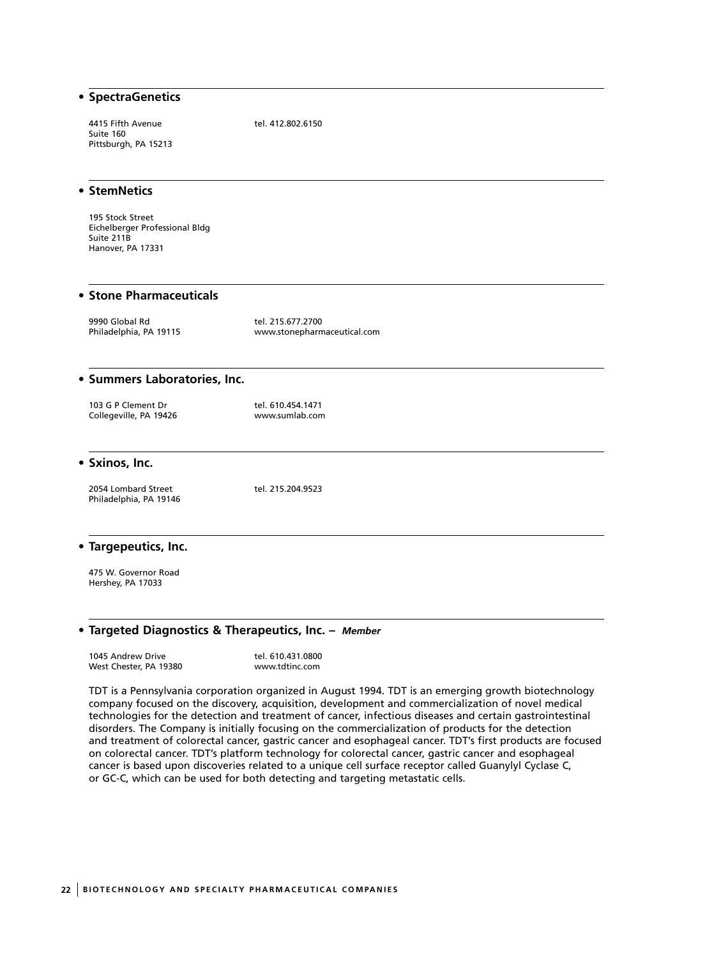| • SpectraGenetics                                                                     |                                                  |
|---------------------------------------------------------------------------------------|--------------------------------------------------|
| 4415 Fifth Avenue<br>Suite 160<br>Pittsburgh, PA 15213                                | tel. 412.802.6150                                |
| • StemNetics                                                                          |                                                  |
| 195 Stock Street<br>Eichelberger Professional Bldg<br>Suite 211B<br>Hanover, PA 17331 |                                                  |
| <b>• Stone Pharmaceuticals</b>                                                        |                                                  |
| 9990 Global Rd<br>Philadelphia, PA 19115                                              | tel. 215.677.2700<br>www.stonepharmaceutical.com |
| · Summers Laboratories, Inc.                                                          |                                                  |
| 103 G P Clement Dr<br>Collegeville, PA 19426                                          | tel. 610.454.1471<br>www.sumlab.com              |
| • Sxinos, Inc.                                                                        |                                                  |
| 2054 Lombard Street<br>Philadelphia, PA 19146                                         | tel. 215.204.9523                                |

#### **• Targepeutics, Inc.**

475 W. Governor Road Hershey, PA 17033

#### **• Targeted Diagnostics & Therapeutics, Inc. –** *Member*

1045 Andrew Drive tel. 610.431.0800 West Chester, PA 19380 www.tdtinc.com

TDT is a Pennsylvania corporation organized in August 1994. TDT is an emerging growth biotechnology company focused on the discovery, acquisition, development and commercialization of novel medical technologies for the detection and treatment of cancer, infectious diseases and certain gastrointestinal disorders. The Company is initially focusing on the commercialization of products for the detection and treatment of colorectal cancer, gastric cancer and esophageal cancer. TDT's first products are focused on colorectal cancer. TDT's platform technology for colorectal cancer, gastric cancer and esophageal cancer is based upon discoveries related to a unique cell surface receptor called Guanylyl Cyclase C, or GC-C, which can be used for both detecting and targeting metastatic cells.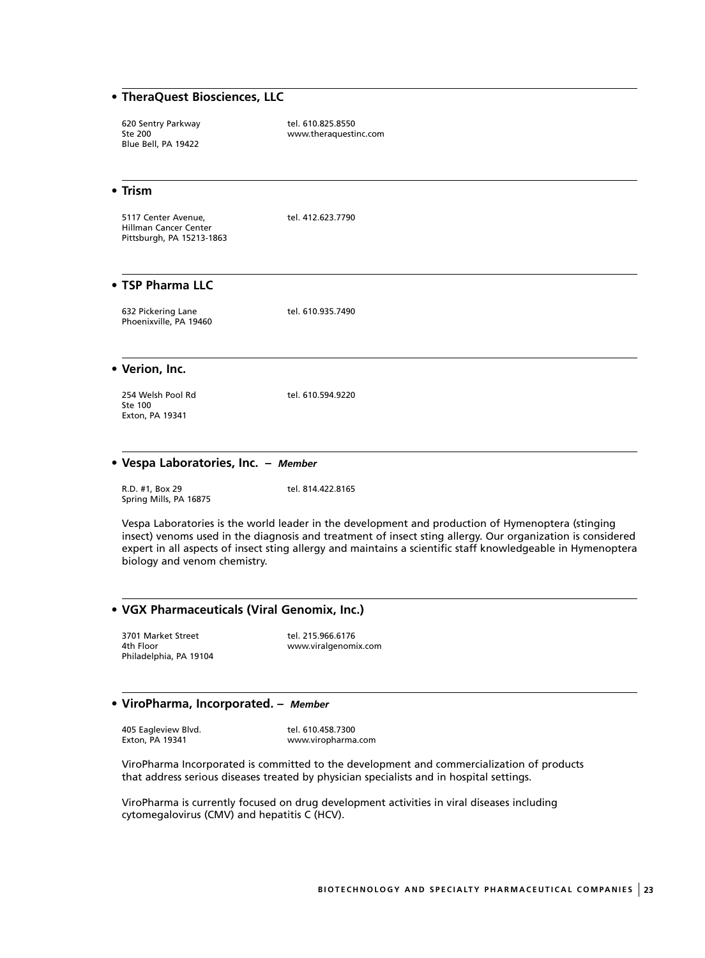## **• TheraQuest Biosciences, LLC**

620 Sentry Parkway tel. 610.825.8550<br>Ste 200 Blue Bell, PA 19422

www.theraquestinc.com

#### **• Trism**

5117 Center Avenue, tel. 412.623.7790 Hillman Cancer Center Pittsburgh, PA 15213-1863

## **• TSP Pharma LLC**

| 632 Pickering Lane     | tel. 610.935.7490 |
|------------------------|-------------------|
| Phoenixville, PA 19460 |                   |

**• Verion, Inc.**

254 Welsh Pool Rd tel. 610.594.9220 Ste 100 Exton, PA 19341

#### **• Vespa Laboratories, Inc. –** *Member*

R.D. #1, Box 29 tel. 814.422.8165 Spring Mills, PA 16875

Vespa Laboratories is the world leader in the development and production of Hymenoptera (stinging insect) venoms used in the diagnosis and treatment of insect sting allergy. Our organization is considered expert in all aspects of insect sting allergy and maintains a scientific staff knowledgeable in Hymenoptera biology and venom chemistry.

## **• VGX Pharmaceuticals (Viral Genomix, Inc.)**

3701 Market Street tel. 215.966.6176<br>4th Floor www.viralgenomi Philadelphia, PA 19104

www.viralgenomix.com

## **• ViroPharma, Incorporated. –** *Member*

405 Eagleview Blvd. tel. 610.458.7300

Exton, PA 19341 www.viropharma.com

ViroPharma Incorporated is committed to the development and commercialization of products that address serious diseases treated by physician specialists and in hospital settings.

ViroPharma is currently focused on drug development activities in viral diseases including cytomegalovirus (CMV) and hepatitis C (HCV).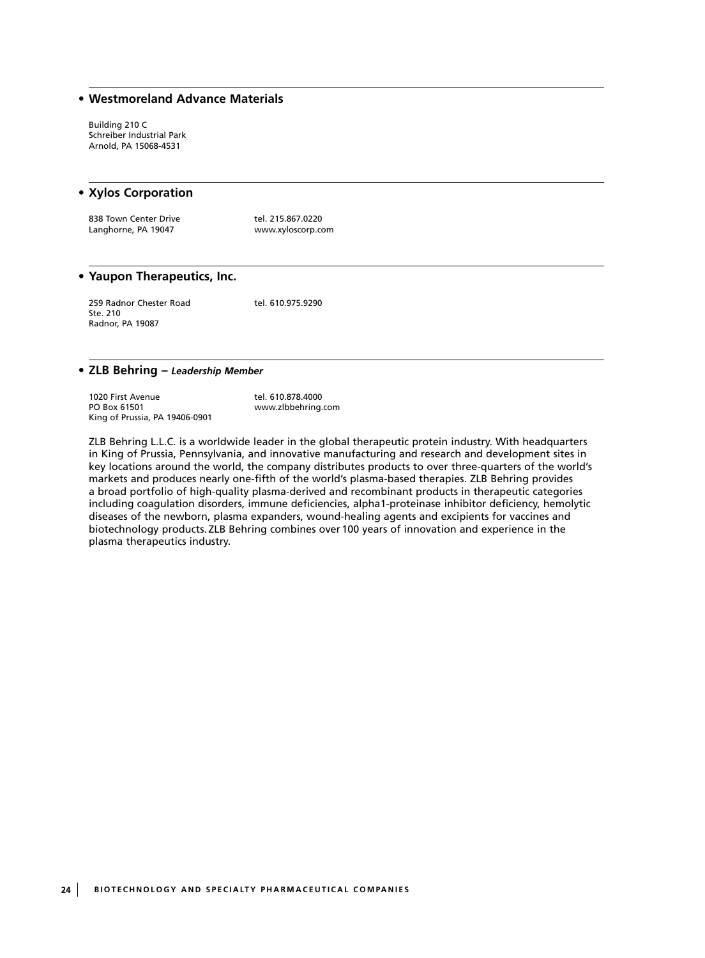## **• Westmoreland Advance Materials**

Building 210 C Schreiber Industrial Park Arnold, PA 15068-4531

#### **• Xylos Corporation**

838 Town Center Drive tel. 215.867.0220<br>
Langhorne, PA 19047 tel. www.xyloscorp.co

www.xyloscorp.com

#### **• Yaupon Therapeutics, Inc.**

259 Radnor Chester Road tel. 610.975.9290 Ste. 210 Radnor, PA 19087

#### **• ZLB Behring –** *Leadership Member*

1020 First Avenue<br>
PO Box 61501 The Box of the May a www.zlbbehring King of Prussia, PA 19406-0901

www.zlbbehring.com

ZLB Behring L.L.C. is a worldwide leader in the global therapeutic protein industry. With headquarters in King of Prussia, Pennsylvania, and innovative manufacturing and research and development sites in key locations around the world, the company distributes products to over three-quarters of the world's markets and produces nearly one-fifth of the world's plasma-based therapies. ZLB Behring provides a broad portfolio of high-quality plasma-derived and recombinant products in therapeutic categories including coagulation disorders, immune deficiencies, alpha1-proteinase inhibitor deficiency, hemolytic diseases of the newborn, plasma expanders, wound-healing agents and excipients for vaccines and biotechnology products.ZLB Behring combines over100 years of innovation and experience in the plasma therapeutics industry.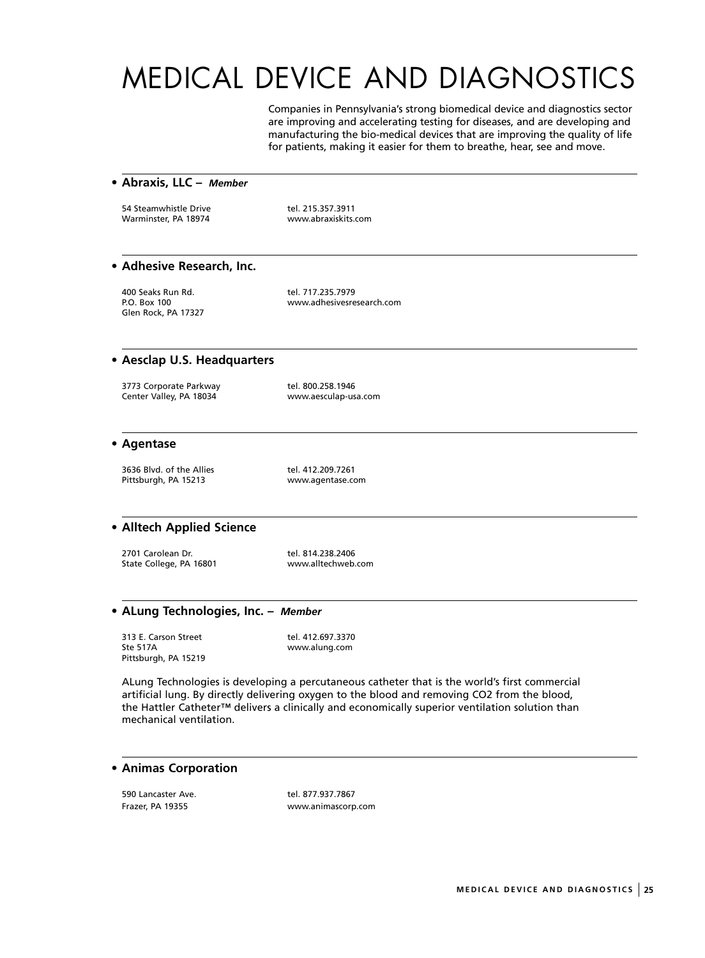# MEDICAL DEVICE AND DIAGNOSTICS

Companies in Pennsylvania's strong biomedical device and diagnostics sector are improving and accelerating testing for diseases, and are developing and manufacturing the bio-medical devices that are improving the quality of life for patients, making it easier for them to breathe, hear, see and move.

#### **• Abraxis, LLC –** *Member*

54 Steamwhistle Drive tel. 215.357.3911 Warminster, PA 18974 www.abraxiskits.com

## **• Adhesive Research, Inc.**

400 Seaks Run Rd. tel. 717.235.7979 Glen Rock, PA 17327

www.adhesivesresearch.com

#### **• Aesclap U.S. Headquarters**

3773 Corporate Parkway tel. 800.258.1946 Center Valley, PA 18034 www.aesculap-usa.com

#### **• Agentase**

3636 Blvd. of the Allies tel. 412.209.7261 Pittsburgh, PA 15213 www.agentase.com

## **• Alltech Applied Science**

2701 Carolean Dr. 1990 1200 121 tel. 814.238.2406 State College, PA 16801 www.alltechweb.com

#### **• ALung Technologies, Inc. –** *Member*

313 E. Carson Street tel. 412.697.3370<br>Ste 517A www.alung.com Pittsburgh, PA 15219

www.alung.com

ALung Technologies is developing a percutaneous catheter that is the world's first commercial artificial lung. By directly delivering oxygen to the blood and removing CO2 from the blood, the Hattler Catheter™ delivers a clinically and economically superior ventilation solution than mechanical ventilation.

## **• Animas Corporation**

590 Lancaster Ave. tel. 877.937.7867

www.animascorp.com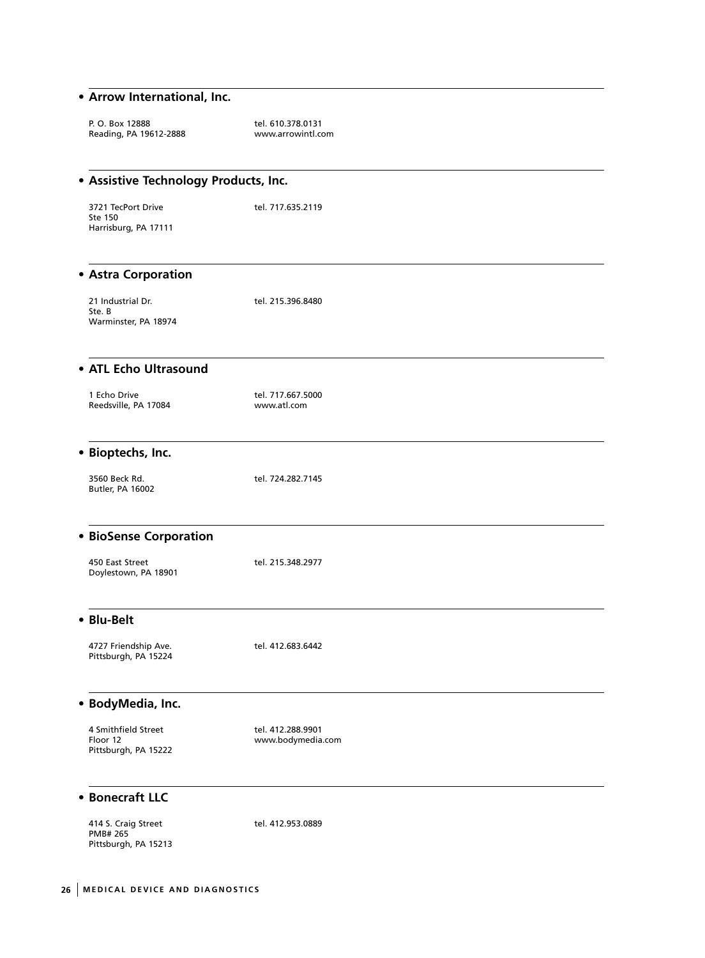## **• Arrow International, Inc.**

| P. O. Box 12888<br>Reading, PA 19612-2888               | tel. 610.378.0131<br>www.arrowintl.com |  |
|---------------------------------------------------------|----------------------------------------|--|
| • Assistive Technology Products, Inc.                   |                                        |  |
| 3721 TecPort Drive<br>Ste 150<br>Harrisburg, PA 17111   | tel. 717.635.2119                      |  |
| • Astra Corporation                                     |                                        |  |
| 21 Industrial Dr.<br>Ste. B<br>Warminster, PA 18974     | tel. 215.396.8480                      |  |
| • ATL Echo Ultrasound                                   |                                        |  |
| 1 Echo Drive<br>Reedsville, PA 17084                    | tel. 717.667.5000<br>www.atl.com       |  |
| · Bioptechs, Inc.                                       |                                        |  |
| 3560 Beck Rd.<br>Butler, PA 16002                       | tel. 724.282.7145                      |  |
| <b>• BioSense Corporation</b>                           |                                        |  |
| 450 East Street<br>Doylestown, PA 18901                 | tel. 215.348.2977                      |  |
| • Blu-Belt                                              |                                        |  |
| 4727 Friendship Ave.<br>Pittsburgh, PA 15224            | tel. 412.683.6442                      |  |
| · BodyMedia, Inc.                                       |                                        |  |
| 4 Smithfield Street<br>Floor 12<br>Pittsburgh, PA 15222 | tel. 412.288.9901<br>www.bodymedia.com |  |
| • Bonecraft LLC                                         |                                        |  |

414 S. Craig Street tel. 412.953.0889 PMB# 265 Pittsburgh, PA 15213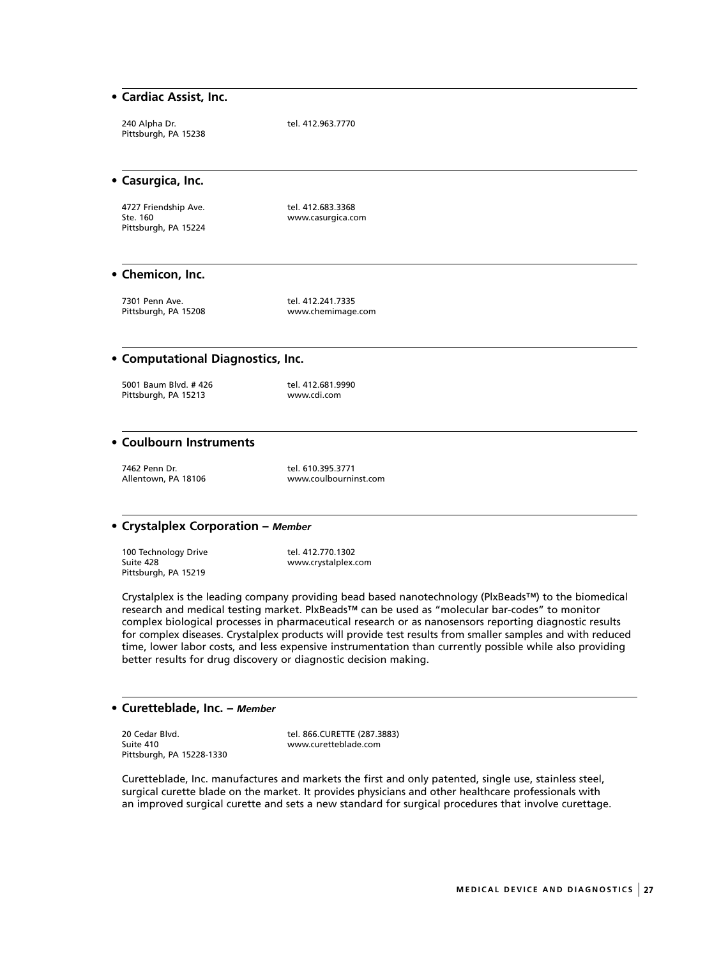## **• Cardiac Assist, Inc.**

| 240 Alpha Dr.        | tel. 412.963.7770 |
|----------------------|-------------------|
| Pittsburgh, PA 15238 |                   |

#### **• Casurgica, Inc.**

4727 Friendship Ave.<br>
Ste. 160<br>
www.casurgica.com Pittsburgh, PA 15224

www.casurgica.com

#### **• Chemicon, Inc.**

7301 Penn Ave.<br>Pittsburgh, PA 15208 Tel. 412.241.7335

www.chemimage.com

#### **• Computational Diagnostics, Inc.**

5001 Baum Blvd. #426 tel. 412.681.9990 Pittsburgh, PA 15213 www.cdi.com

## **• Coulbourn Instruments**

7462 Penn Dr. tel. 610.395.3771<br>Allentown, PA 18106 Million Murw.coulbourni

www.coulbourninst.com

#### **• Crystalplex Corporation –** *Member*

100 Technology Drive tel. 412.770.1302<br>Suite 428 www.crystalplex.c Pittsburgh, PA 15219

www.crystalplex.com

Crystalplex is the leading company providing bead based nanotechnology (PlxBeads™) to the biomedical research and medical testing market. PlxBeads™ can be used as "molecular bar-codes" to monitor complex biological processes in pharmaceutical research or as nanosensors reporting diagnostic results for complex diseases. Crystalplex products will provide test results from smaller samples and with reduced time, lower labor costs, and less expensive instrumentation than currently possible while also providing better results for drug discovery or diagnostic decision making.

#### **• Curetteblade, Inc. –** *Member*

20 Cedar Blvd. tel. 866.CURETTE (287.3883)<br>
Suite 410 Suite 410 Pittsburgh, PA 15228-1330

www.curetteblade.com

Curetteblade, Inc. manufactures and markets the first and only patented, single use, stainless steel, surgical curette blade on the market. It provides physicians and other healthcare professionals with an improved surgical curette and sets a new standard for surgical procedures that involve curettage.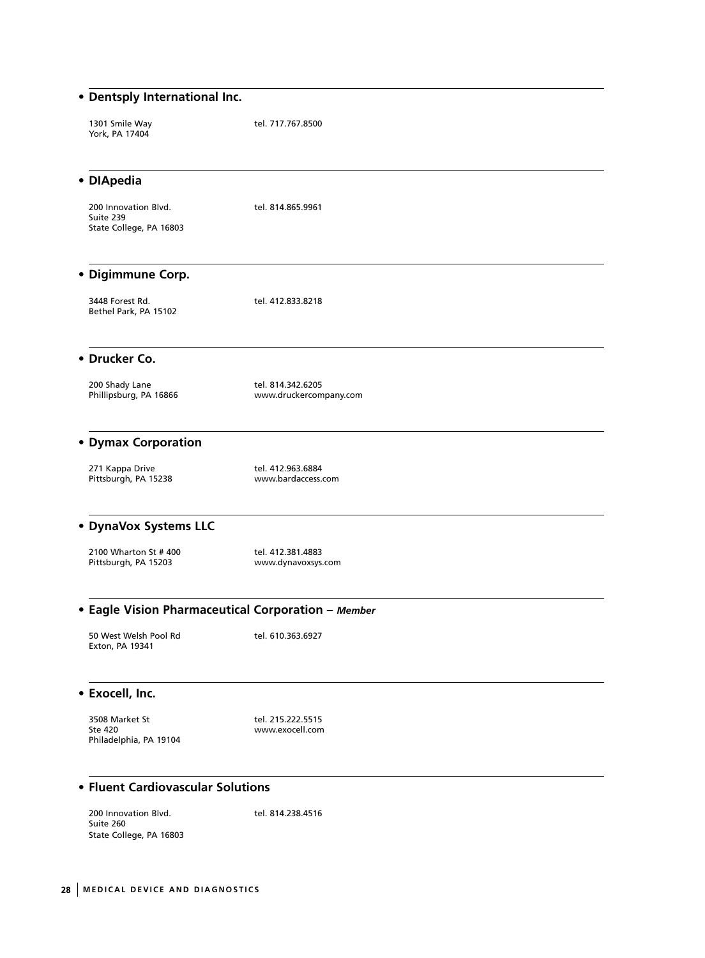| • Dentsply International Inc.                                |                                             |
|--------------------------------------------------------------|---------------------------------------------|
| 1301 Smile Way<br>York, PA 17404                             | tel. 717.767.8500                           |
| • DIApedia                                                   |                                             |
| 200 Innovation Blvd.<br>Suite 239<br>State College, PA 16803 | tel. 814.865.9961                           |
| • Digimmune Corp.                                            |                                             |
| 3448 Forest Rd.<br>Bethel Park, PA 15102                     | tel. 412.833.8218                           |
| • Drucker Co.                                                |                                             |
| 200 Shady Lane<br>Phillipsburg, PA 16866                     | tel. 814.342.6205<br>www.druckercompany.com |
| • Dymax Corporation                                          |                                             |
| 271 Kappa Drive<br>Pittsburgh, PA 15238                      | tel. 412.963.6884<br>www.bardaccess.com     |
| • DynaVox Systems LLC                                        |                                             |
| 2100 Wharton St #400<br>Pittsburgh, PA 15203                 | tel. 412.381.4883<br>www.dynavoxsys.com     |
| • Eagle Vision Pharmaceutical Corporation - Member           |                                             |
| 50 West Welsh Pool Rd<br>Exton, PA 19341                     | tel. 610.363.6927                           |
| • Exocell, Inc.                                              |                                             |
| 3508 Market St<br>Ste 420<br>Philadelphia, PA 19104          | tel. 215.222.5515<br>www.exocell.com        |
| • Fluent Cardiovascular Solutions                            |                                             |
| 200 Innovation Blvd.<br>Suite 260<br>State College, PA 16803 | tel. 814.238.4516                           |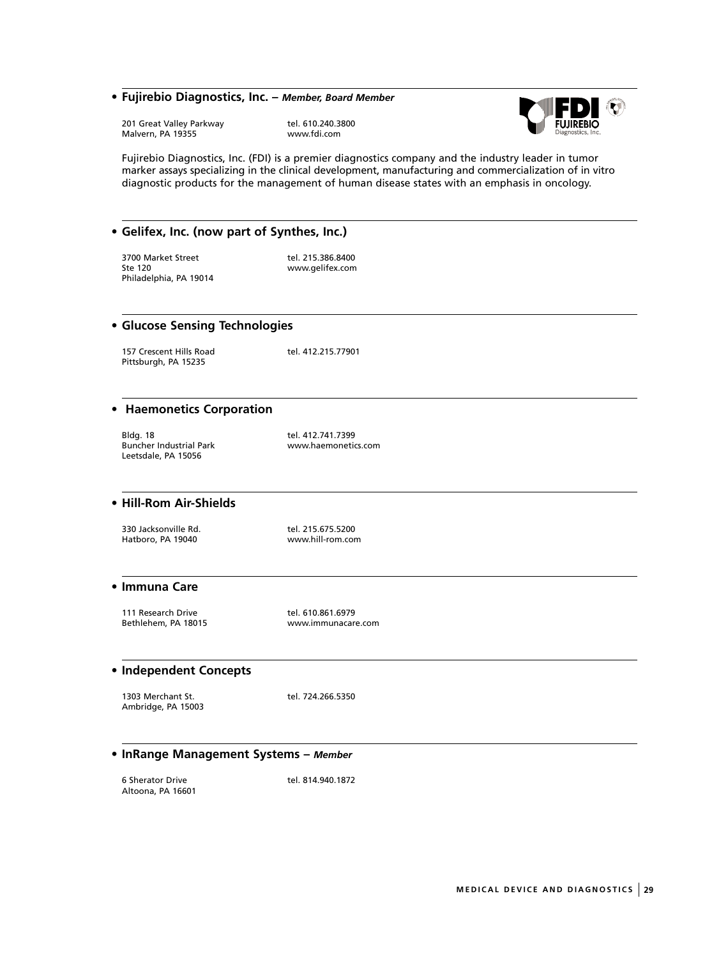### **• Fujirebio Diagnostics, Inc. –** *Member, Board Member*

201 Great Valley Parkway tel. 610.240.3800<br>Malvern, PA 19355 www.fdi.com Malvern, PA 19355



Fujirebio Diagnostics, Inc. (FDI) is a premier diagnostics company and the industry leader in tumor marker assays specializing in the clinical development, manufacturing and commercialization of in vitro diagnostic products for the management of human disease states with an emphasis in oncology.

#### **• Gelifex, Inc. (now part of Synthes, Inc.)**

3700 Market Street tel. 215.386.8400<br>Ste 120 www.gelifex.com Philadelphia, PA 19014

www.gelifex.com

#### **• Glucose Sensing Technologies**

157 Crescent Hills Road tel. 412.215.77901 Pittsburgh, PA 15235

## **• Haemonetics Corporation**

Bldg. 18 tel. 412.741.7399 Buncher Industrial Park www.haemonetics.com Leetsdale, PA 15056

## **• Hill-Rom Air-Shields**

330 Jacksonville Rd. tel. 215.675.5200<br>
Hatboro, PA 19040 www.hill-rom.com Hatboro, PA 19040

#### **• Immuna Care**

111 Research Drive tel. 610.861.6979

Bethlehem, PA 18015 www.immunacare.com

## **• Independent Concepts**

1303 Merchant St. tel. 724.266.5350 Ambridge, PA 15003

#### **• InRange Management Systems –** *Member*

6 Sherator Drive tel. 814.940.1872 Altoona, PA 16601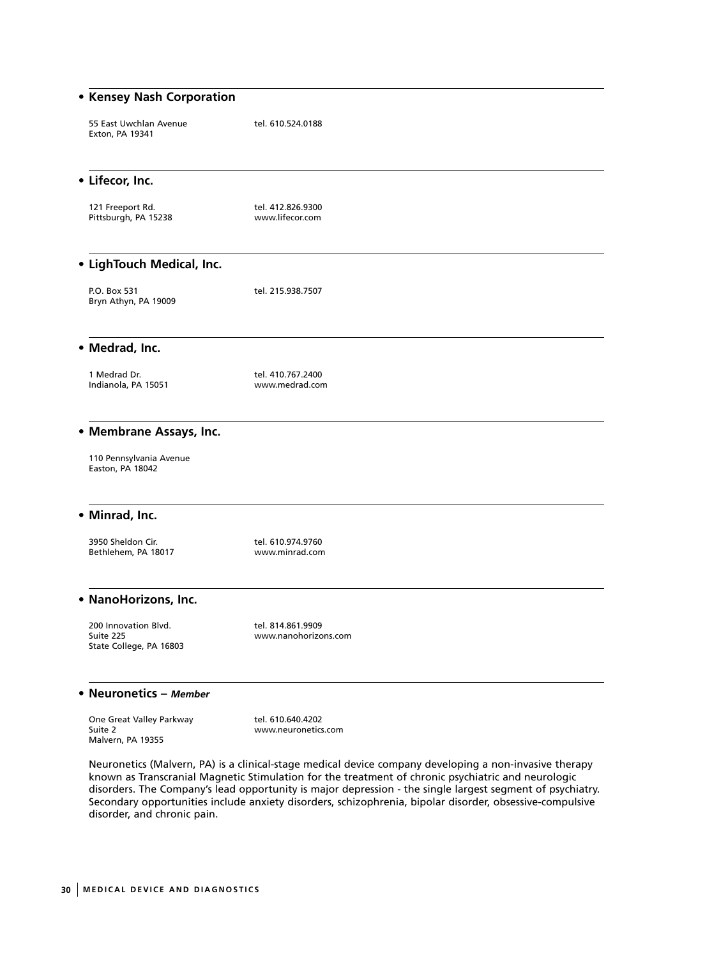| • Kensey Nash Corporation                                    |                                           |  |
|--------------------------------------------------------------|-------------------------------------------|--|
| 55 East Uwchlan Avenue<br>Exton, PA 19341                    | tel. 610.524.0188                         |  |
| • Lifecor, Inc.                                              |                                           |  |
| 121 Freeport Rd.<br>Pittsburgh, PA 15238                     | tel. 412.826.9300<br>www.lifecor.com      |  |
| • LighTouch Medical, Inc.                                    |                                           |  |
| P.O. Box 531<br>Bryn Athyn, PA 19009                         | tel. 215.938.7507                         |  |
| • Medrad, Inc.                                               |                                           |  |
| 1 Medrad Dr.<br>Indianola, PA 15051                          | tel. 410.767.2400<br>www.medrad.com       |  |
| • Membrane Assays, Inc.                                      |                                           |  |
| 110 Pennsylvania Avenue<br>Easton, PA 18042                  |                                           |  |
| • Minrad, Inc.                                               |                                           |  |
| 3950 Sheldon Cir.<br>Bethlehem, PA 18017                     | tel. 610.974.9760<br>www.minrad.com       |  |
| • NanoHorizons, Inc.                                         |                                           |  |
| 200 Innovation Blvd.<br>Suite 225<br>State College, PA 16803 | tel. 814.861.9909<br>www.nanohorizons.com |  |
| • Neuronetics - Member                                       |                                           |  |
| One Great Valley Parkway<br>Suite 2<br>Malvern, PA 19355     | tel. 610.640.4202<br>www.neuronetics.com  |  |

Neuronetics (Malvern, PA) is a clinical-stage medical device company developing a non-invasive therapy known as Transcranial Magnetic Stimulation for the treatment of chronic psychiatric and neurologic disorders. The Company's lead opportunity is major depression - the single largest segment of psychiatry. Secondary opportunities include anxiety disorders, schizophrenia, bipolar disorder, obsessive-compulsive disorder, and chronic pain.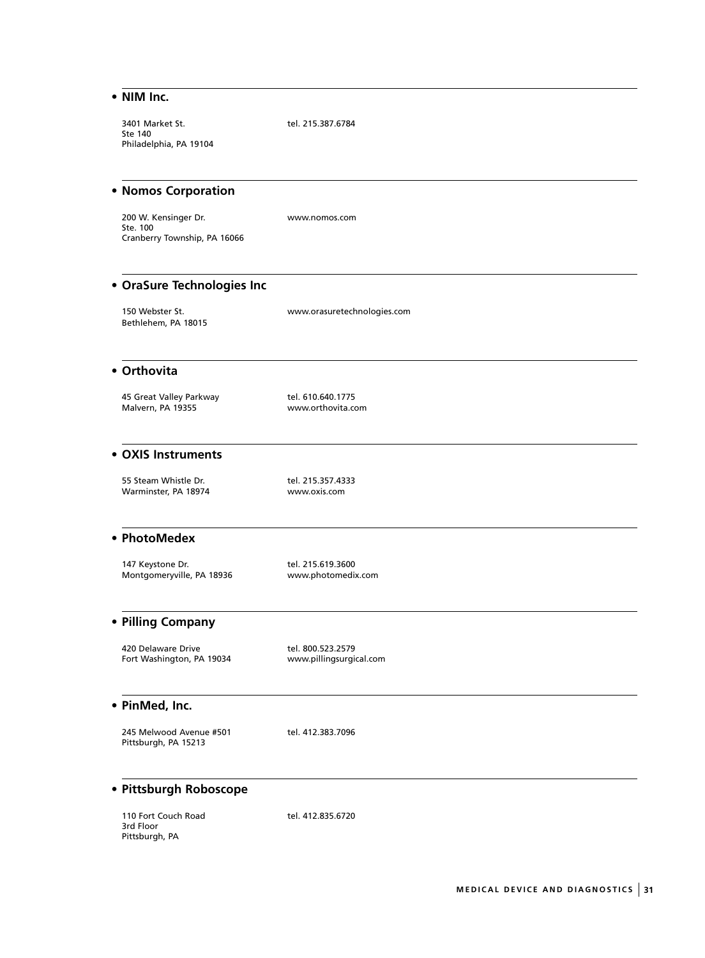## **• NIM Inc.**

3401 Market St. tel. 215.387.6784 Ste 140 Philadelphia, PA 19104

#### **• Nomos Corporation**

200 W. Kensinger Dr. www.nomos.com Ste. 100 Cranberry Township, PA 16066

## **• OraSure Technologies Inc**

150 Webster St. www.orasuretechnologies.com Bethlehem, PA 18015

## **• Orthovita**

45 Great Valley Parkway **tel. 610.640.1775**<br>Malvern, PA 19355 **Malvern, PA 19355** www.orthovita.com

www.orthovita.com

#### **• OXIS Instruments**

55 Steam Whistle Dr. tel. 215.357.4333 Warminster, PA 18974

## **• PhotoMedex**

147 Keystone Dr. 18936 11.215.619.3600<br>1991 Montgomeryville, PA 18936 11.2000 www.photomedix.com Montgomeryville, PA 18936

## **• Pilling Company**

420 Delaware Drive tel. 800.523.2579<br>1991 Fort Washington, PA 19034 www.pillingsurgical.com Fort Washington, PA 19034

#### **• PinMed, Inc.**

245 Melwood Avenue #501 tel. 412.383.7096 Pittsburgh, PA 15213

## **• Pittsburgh Roboscope**

110 Fort Couch Road tel. 412.835.6720 3rd Floor Pittsburgh, PA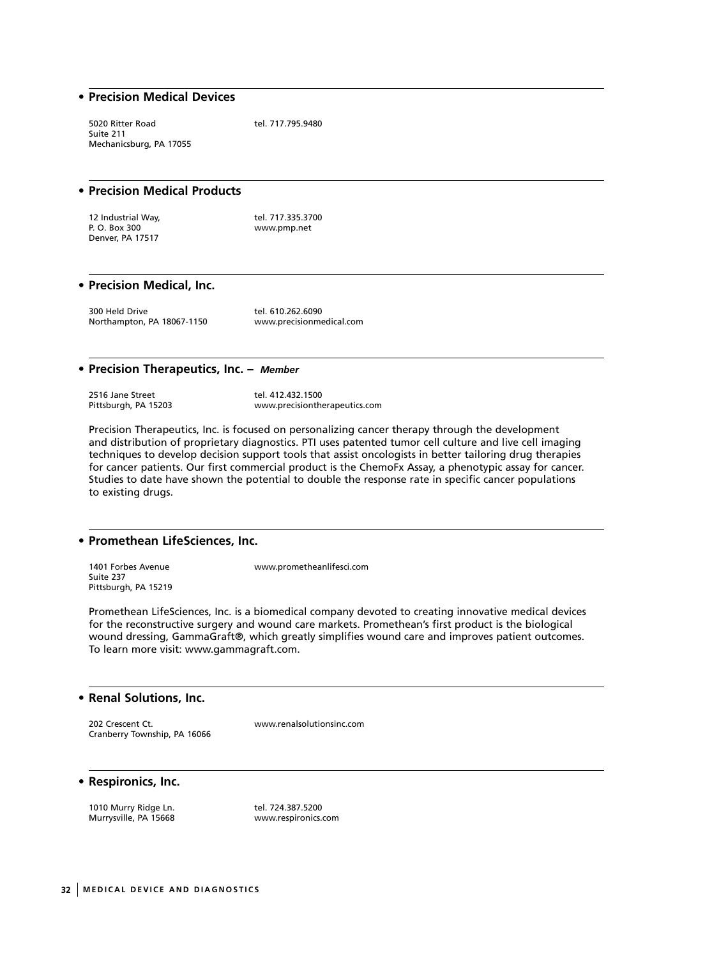#### **• Precision Medical Devices**

5020 Ritter Road tel. 717.795.9480 Suite 211 Mechanicsburg, PA 17055

## **• Precision Medical Products**

| 12 Industrial Way, | tel. 717.335.3700 |
|--------------------|-------------------|
| P. O. Box 300      | www.pmp.net       |
| Denver, PA 17517   |                   |

#### **• Precision Medical, Inc.**

300 Held Drive tel. 610.262.6090 Northampton, PA 18067-1150 www.precisionmedical.com

#### **• Precision Therapeutics, Inc. –** *Member*

2516 Jane Street **the Street of Street Street Street Street** tel. 412.432.1500<br>Pittsburgh, PA 15203

www.precisiontherapeutics.com

Precision Therapeutics, Inc. is focused on personalizing cancer therapy through the development and distribution of proprietary diagnostics. PTI uses patented tumor cell culture and live cell imaging techniques to develop decision support tools that assist oncologists in better tailoring drug therapies for cancer patients. Our first commercial product is the ChemoFx Assay, a phenotypic assay for cancer. Studies to date have shown the potential to double the response rate in specific cancer populations to existing drugs.

## **• Promethean LifeSciences, Inc.**

Suite 237 Pittsburgh, PA 15219

1401 Forbes Avenue www.prometheanlifesci.com

Promethean LifeSciences, Inc. is a biomedical company devoted to creating innovative medical devices for the reconstructive surgery and wound care markets. Promethean's first product is the biological wound dressing, GammaGraft®, which greatly simplifies wound care and improves patient outcomes. To learn more visit: www.gammagraft.com.

#### **• Renal Solutions, Inc.**

202 Crescent Ct. www.renalsolutionsinc.com Cranberry Township, PA 16066

#### **• Respironics, Inc.**

1010 Murry Ridge Ln. tel. 724.387.5200 Murrysville, PA 15668 www.respironics.com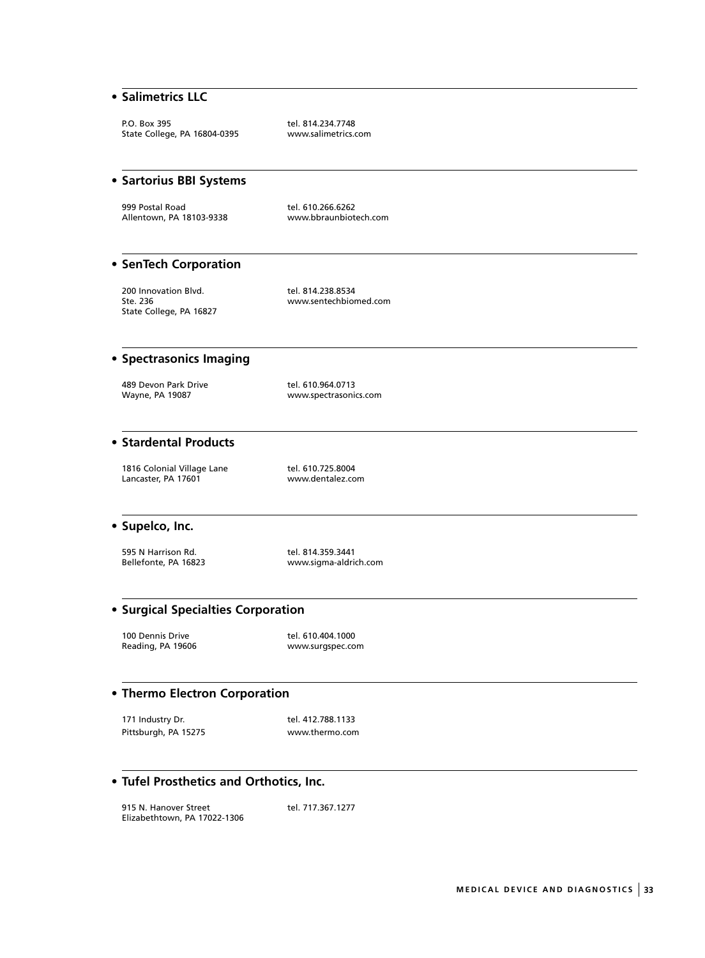## **• Salimetrics LLC**

P.O. Box 395 tel. 814.234.7748<br>State College, PA 16804-0395 www.salimetrics.com State College, PA 16804-0395

## **• Sartorius BBI Systems**

999 Postal Road<br>Allentown, PA 18103-9338 Metal www.bbraunbiotech.com Allentown, PA 18103-9338

## **• SenTech Corporation**

200 Innovation Blvd. tel. 814.238.8534<br>Ste. 236 www.sentechbior State College, PA 16827

www.sentechbiomed.com

## **• Spectrasonics Imaging**

489 Devon Park Drive tel. 610.964.0713<br>Wayne, PA 19087 vww.spectrasonic

www.spectrasonics.com

## **• Stardental Products**

1816 Colonial Village Lane tel. 610.725.8004<br>
Lancaster, PA 17601 www.dentalez.com Lancaster, PA 17601

#### **• Supelco, Inc.**

595 N Harrison Rd.<br>
Bellefonte, PA 16823 entitled www.sigma-aldric

www.sigma-aldrich.com

#### **• Surgical Specialties Corporation**

100 Dennis Drive tel. 610.404.1000<br>Reading, PA 19606 Telecommunic www.surgspec.com

www.surgspec.com

## **• Thermo Electron Corporation**

171 Industry Dr. 171 Industry Dr. 171 Industry Dr. Pittsburgh, PA 15275 www.thermo.com

## **• Tufel Prosthetics and Orthotics, Inc.**

915 N. Hanover Street tel. 717.367.1277 Elizabethtown, PA 17022-1306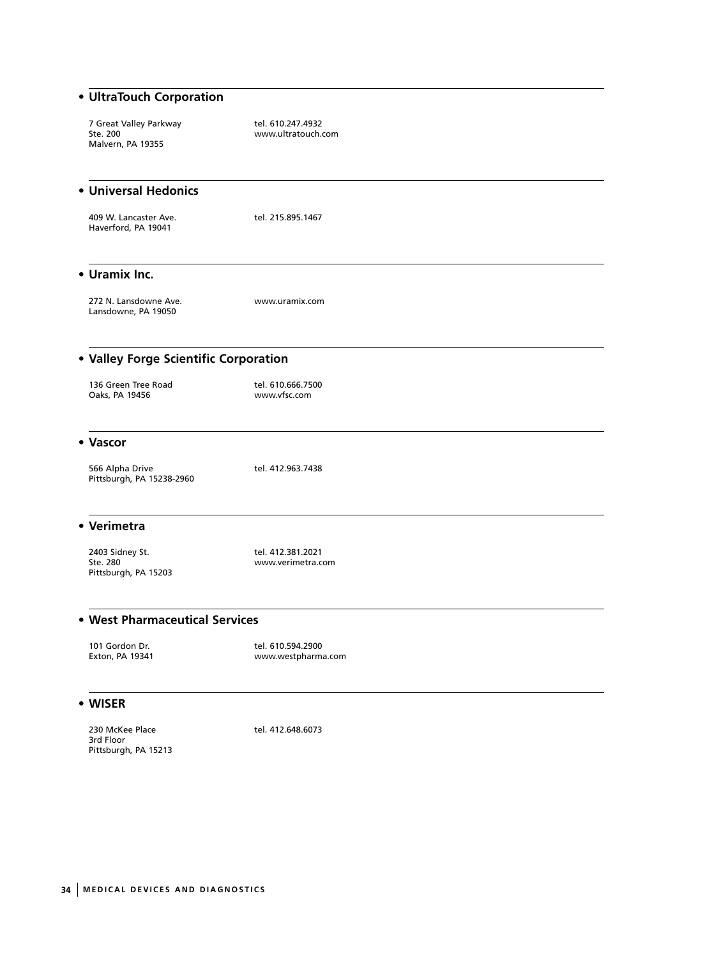## **• UltraTouch Corporation**

7 Great Valley Parkway tel. 610.247.4932<br>Ste. 200 Malvern, PA 19355

www.ultratouch.com

## **• Universal Hedonics**

409 W. Lancaster Ave. tel. 215.895.1467 Haverford, PA 19041

#### **• Uramix Inc.**

272 N. Lansdowne Ave. www.uramix.com Lansdowne, PA 19050

**• Valley Forge Scientific Corporation**

## 136 Green Tree Road tel. 610.666.7500

Oaks, PA 19456 www.vfsc.com

## **• Vascor**

566 Alpha Drive tel. 412.963.7438 Pittsburgh, PA 15238-2960

#### **• Verimetra**

2403 Sidney St. tel. 412.381.2021<br>Ste. 280 www.verimetra.c Pittsburgh, PA 15203

www.verimetra.com

## **• West Pharmaceutical Services**

101 Gordon Dr. tel. 610.594.2900 www.westpharma.com

#### **• WISER**

230 McKee Place 1992 12:048.6073 3rd Floor Pittsburgh, PA 15213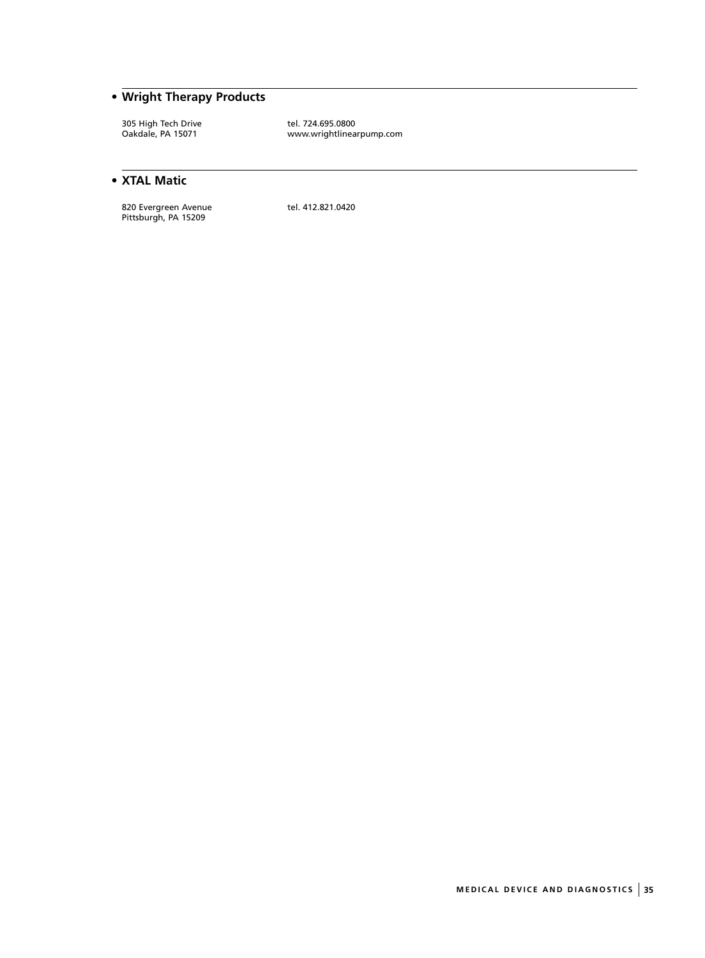## **• Wright Therapy Products**

305 High Tech Drive tel. 724.695.0800<br>
Oakdale, PA 15071 www.wrightlinea

www.wrightlinearpump.com

## **• XTAL Matic**

820 Evergreen Avenue tel. 412.821.0420 Pittsburgh, PA 15209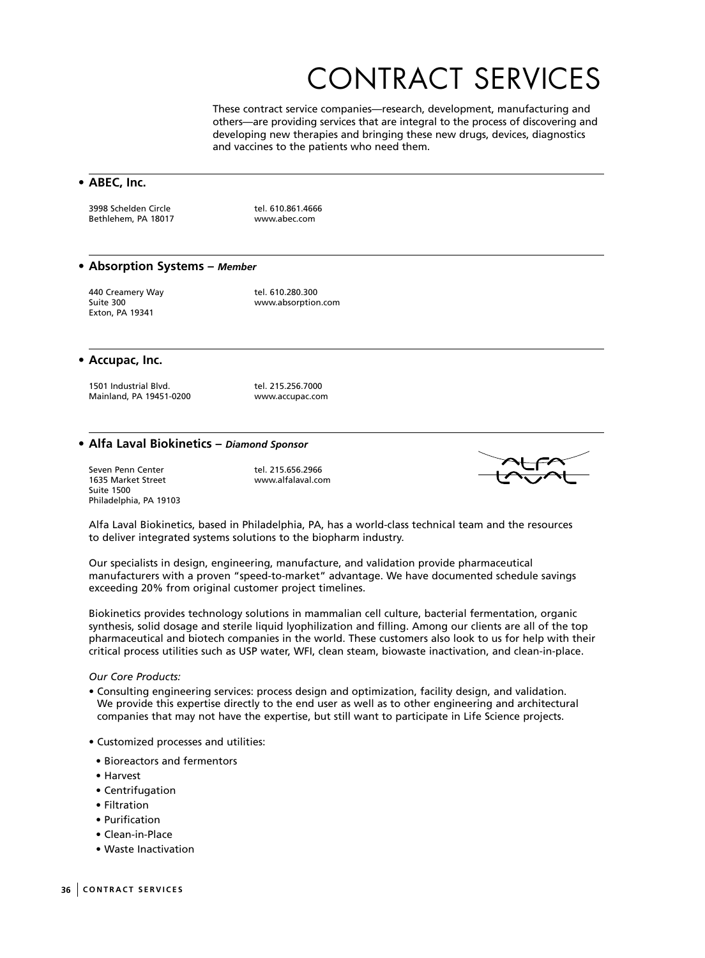## CONTRACT SERVICES

These contract service companies—research, development, manufacturing and others—are providing services that are integral to the process of discovering and developing new therapies and bringing these new drugs, devices, diagnostics and vaccines to the patients who need them.

## **• ABEC, Inc.**

3998 Schelden Circle tel. 610.861.4666 Bethlehem, PA 18017 www.abec.com

#### **• Absorption Systems –** *Member*

440 Creamery Way dell 610.280.300 Exton, PA 19341

Suite 300 www.absorption.com

#### **• Accupac, Inc.**

1501 Industrial Blvd. tel. 215.256.7000<br>Mainland, PA 19451-0200 www.accupac.com Mainland, PA 19451-0200

## **• Alfa Laval Biokinetics –** *Diamond Sponsor*

Seven Penn Center Tell. 215.656.2966<br>1635 Market Street Telescope Telescope www.alfalaval.com 1635 Market Street Suite 1500 Philadelphia, PA 19103



Alfa Laval Biokinetics, based in Philadelphia, PA, has a world-class technical team and the resources to deliver integrated systems solutions to the biopharm industry.

Our specialists in design, engineering, manufacture, and validation provide pharmaceutical manufacturers with a proven "speed-to-market" advantage. We have documented schedule savings exceeding 20% from original customer project timelines.

Biokinetics provides technology solutions in mammalian cell culture, bacterial fermentation, organic synthesis, solid dosage and sterile liquid lyophilization and filling. Among our clients are all of the top pharmaceutical and biotech companies in the world. These customers also look to us for help with their critical process utilities such as USP water, WFI, clean steam, biowaste inactivation, and clean-in-place.

#### *Our Core Products:*

- Consulting engineering services: process design and optimization, facility design, and validation. We provide this expertise directly to the end user as well as to other engineering and architectural companies that may not have the expertise, but still want to participate in Life Science projects.
- Customized processes and utilities:
- Bioreactors and fermentors
- Harvest
- Centrifugation
- Filtration
- Purification
- Clean-in-Place
- Waste Inactivation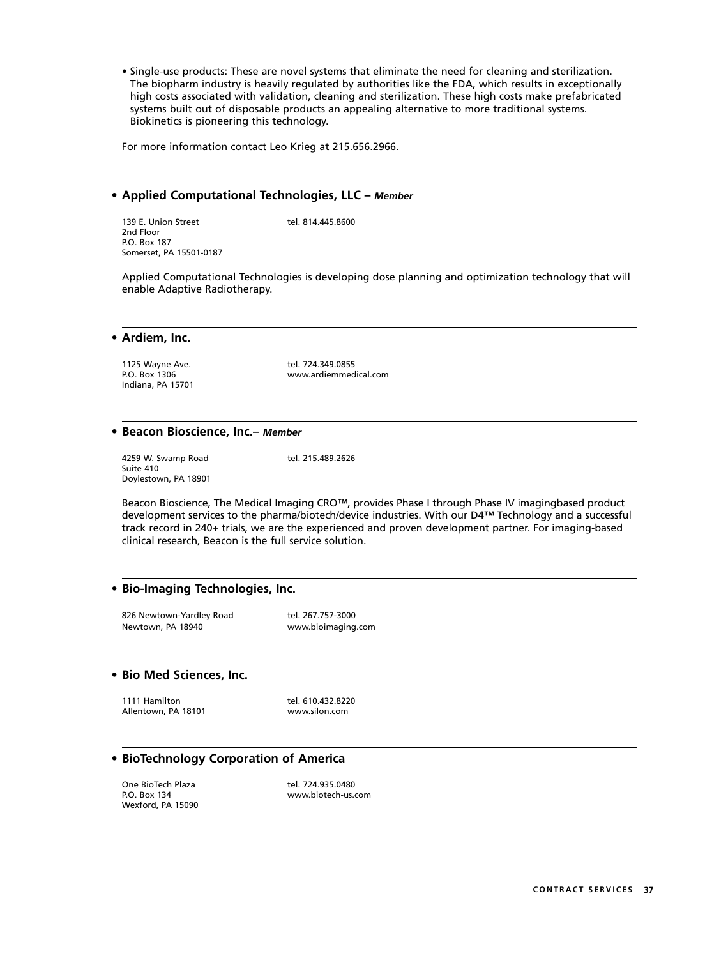• Single-use products: These are novel systems that eliminate the need for cleaning and sterilization. The biopharm industry is heavily regulated by authorities like the FDA, which results in exceptionally high costs associated with validation, cleaning and sterilization. These high costs make prefabricated systems built out of disposable products an appealing alternative to more traditional systems. Biokinetics is pioneering this technology.

For more information contact Leo Krieg at 215.656.2966.

#### **• Applied Computational Technologies, LLC –** *Member*

139 E. Union Street tel. 814.445.8600 2nd Floor P.O. Box 187 Somerset, PA 15501-0187

Applied Computational Technologies is developing dose planning and optimization technology that will enable Adaptive Radiotherapy.

**• Ardiem, Inc.**

1125 Wayne Ave.<br>
P.O. Box 1306 COMERCIAL RESULTION MEET MANUSIC WWW.ardiemmed Indiana, PA 15701

www.ardiemmedical.com

#### **• Beacon Bioscience, Inc.–** *Member*

4259 W. Swamp Road tel. 215.489.2626 Suite 410 Doylestown, PA 18901

Beacon Bioscience, The Medical Imaging CRO™, provides Phase I through Phase IV imagingbased product development services to the pharma/biotech/device industries. With our D4™ Technology and a successful track record in 240+ trials, we are the experienced and proven development partner. For imaging-based clinical research, Beacon is the full service solution.

#### **• Bio-Imaging Technologies, Inc.**

826 Newtown-Yardley Road tel. 267.757-3000 Newtown, PA 18940 www.bioimaging.com

#### **• Bio Med Sciences, Inc.**

1111 Hamilton 18101 1111 Hamilton tel. 610.432.8220<br>Allentown, PA 18101 1111 112 www.silon.com Allentown, PA 18101

## **• BioTechnology Corporation of America**

One BioTech Plaza tel. 724.935.0480 Wexford, PA 15090

www.biotech-us.com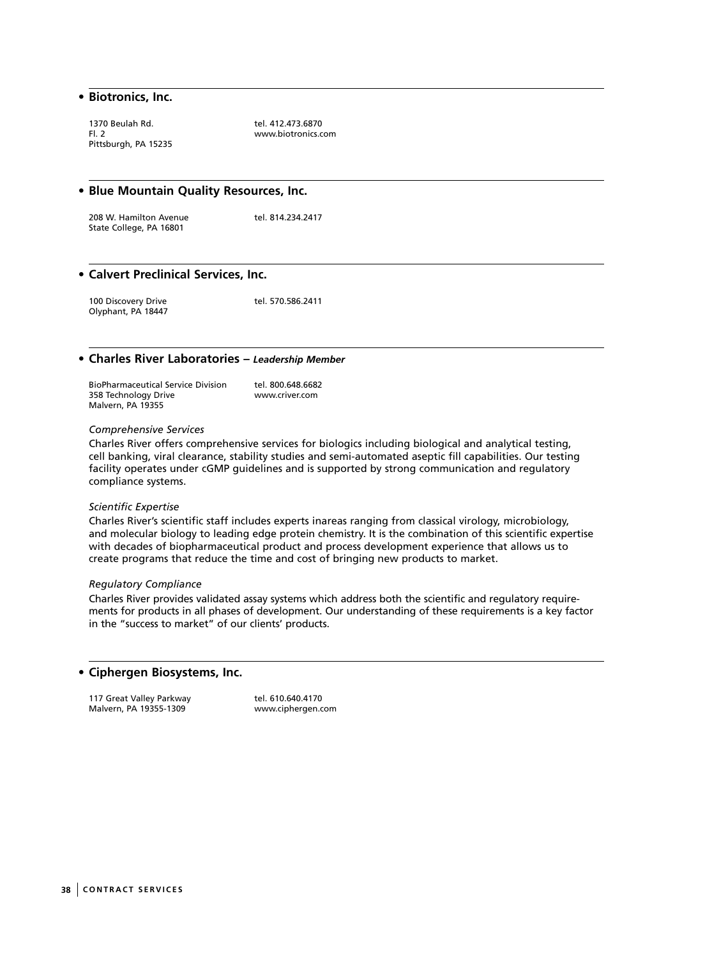#### **• Biotronics, Inc.**

1370 Beulah Rd. tel. 412.473.6870<br>Fl. 2 www.biotronics.c Pittsburgh, PA 15235

www.biotronics.com

#### **• Blue Mountain Quality Resources, Inc.**

208 W. Hamilton Avenue tel. 814.234.2417 State College, PA 16801

#### **• Calvert Preclinical Services, Inc.**

100 Discovery Drive tel. 570.586.2411 Olyphant, PA 18447

#### **• Charles River Laboratories –** *Leadership Member*

| <b>BioPharmaceutical Service Division</b> | tel. 800.648.6682 |
|-------------------------------------------|-------------------|
| 358 Technology Drive                      | www.criver.com    |
| Malvern, PA 19355                         |                   |

#### *Comprehensive Services*

Charles River offers comprehensive services for biologics including biological and analytical testing, cell banking, viral clearance, stability studies and semi-automated aseptic fill capabilities. Our testing facility operates under cGMP guidelines and is supported by strong communication and regulatory compliance systems.

#### *Scientific Expertise*

Charles River's scientific staff includes experts inareas ranging from classical virology, microbiology, and molecular biology to leading edge protein chemistry. It is the combination of this scientific expertise with decades of biopharmaceutical product and process development experience that allows us to create programs that reduce the time and cost of bringing new products to market.

#### *Regulatory Compliance*

Charles River provides validated assay systems which address both the scientific and regulatory requirements for products in all phases of development. Our understanding of these requirements is a key factor in the "success to market" of our clients' products.

## **• Ciphergen Biosystems, Inc.**

117 Great Valley Parkway tel. 610.640.4170<br>Malvern, PA 19355-1309 www.ciphergen.com Malvern, PA 19355-1309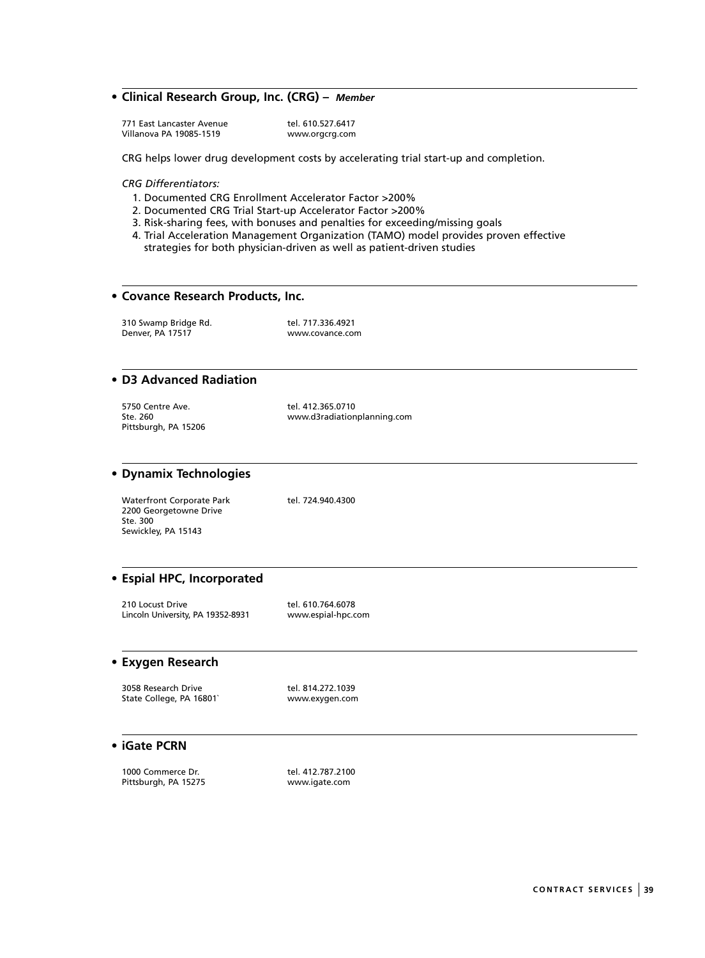## **• Clinical Research Group, Inc. (CRG) –** *Member*

771 East Lancaster Avenue tel. 610.527.6417<br>Villanova PA 19085-1519 www.orgcrg.com Villanova PA 19085-1519

CRG helps lower drug development costs by accelerating trial start-up and completion.

#### *CRG Differentiators:*

- 1. Documented CRG Enrollment Accelerator Factor >200%
- 2. Documented CRG Trial Start-up Accelerator Factor >200%
- 3. Risk-sharing fees, with bonuses and penalties for exceeding/missing goals
- 4. Trial Acceleration Management Organization (TAMO) model provides proven effective strategies for both physician-driven as well as patient-driven studies

#### **• Covance Research Products, Inc.**

310 Swamp Bridge Rd. tel. 717.336.4921<br>Denver. PA 17517 vww.covance.com Denver, PA 17517

#### **• D3 Advanced Radiation**

| 5750 Centre Ave.     |  |  |
|----------------------|--|--|
| Ste. 260             |  |  |
| Pittsburgh, PA 15206 |  |  |

tel. 412.365.0710 www.d3radiationplanning.com

#### **• Dynamix Technologies**

Waterfront Corporate Park tel. 724.940.4300 2200 Georgetowne Drive Ste. 300 Sewickley, PA 15143

## **• Espial HPC, Incorporated**

210 Locust Drive tel. 610.764.6078<br>Lincoln University, PA 19352-8931 www.espial-hpc.com Lincoln University, PA 19352-8931

#### **• Exygen Research**

3058 Research Drive tel. 814.272.1039<br>
State College, PA 16801` www.exygen.com State College, PA 16801`

## **• iGate PCRN**

1000 Commerce Dr. tel. 412.787.2100 Pittsburgh, PA 15275 www.igate.com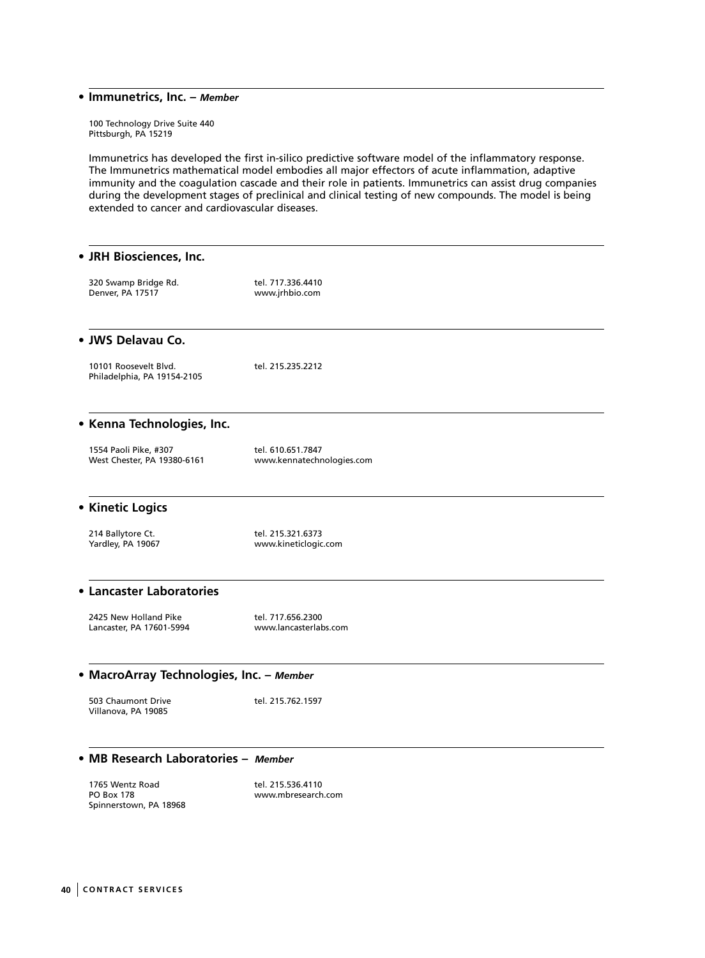#### **• Immunetrics, Inc. –** *Member*

100 Technology Drive Suite 440 Pittsburgh, PA 15219

Immunetrics has developed the first in-silico predictive software model of the inflammatory response. The Immunetrics mathematical model embodies all major effectors of acute inflammation, adaptive immunity and the coagulation cascade and their role in patients. Immunetrics can assist drug companies during the development stages of preclinical and clinical testing of new compounds. The model is being extended to cancer and cardiovascular diseases.

## **• JRH Biosciences, Inc.** 320 Swamp Bridge Rd. tel. 717.336.4410<br>Denver, PA 17517 vww.jrhbio.com Denver, PA 17517 **• JWS Delavau Co.**  10101 Roosevelt Blvd. tel. 215.235.2212 Philadelphia, PA 19154-2105 **• Kenna Technologies, Inc.** 1554 Paoli Pike, #307 tel. 610.651.7847 www.kennatechnologies.com **• Kinetic Logics** 214 Ballytore Ct. **tel. 215.321.6373**<br>19067 Yardley, PA 19067 www.kineticlogic.com **• Lancaster Laboratories** 2425 New Holland Pike tel. 717.656.2300 Lancaster, PA 17601-5994 www.lancasterlabs.com **• MacroArray Technologies, Inc. –** *Member* 503 Chaumont Drive tel. 215.762.1597 Villanova, PA 19085 **• MB Research Laboratories –** *Member* 1765 Wentz Road tel. 215.536.4110<br>PO Box 178 www.mbresearch

Spinnerstown, PA 18968

www.mbresearch.com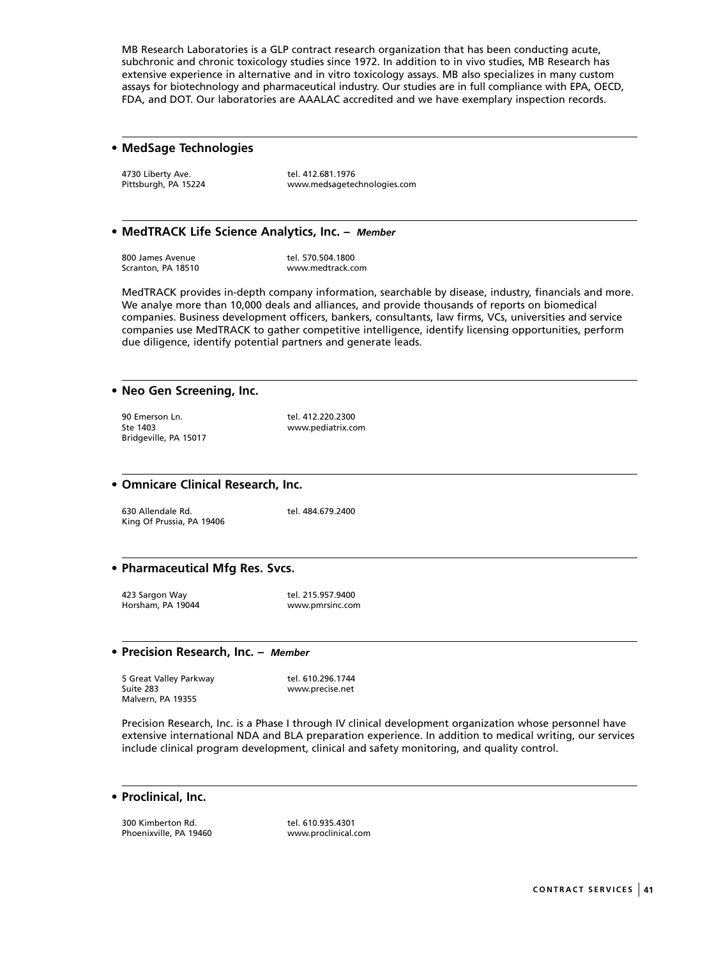MB Research Laboratories is a GLP contract research organization that has been conducting acute, subchronic and chronic toxicology studies since 1972. In addition to in vivo studies, MB Research has extensive experience in alternative and in vitro toxicology assays. MB also specializes in many custom assays for biotechnology and pharmaceutical industry. Our studies are in full compliance with EPA, OECD, FDA, and DOT. Our laboratories are AAALAC accredited and we have exemplary inspection records.

## **• MedSage Technologies**

4730 Liberty Ave.<br>
Pittsburgh, PA 15224 metal www.medsageted

www.medsagetechnologies.com

#### **• MedTRACK Life Science Analytics, Inc. –** *Member*

800 James Avenue 1980 1991 tel. 570.504.1800<br>Scranton, PA 18510 1992 1993 www.medtrack.com

www.medtrack.com

MedTRACK provides in-depth company information, searchable by disease, industry, financials and more. We analye more than 10,000 deals and alliances, and provide thousands of reports on biomedical companies. Business development officers, bankers, consultants, law firms, VCs, universities and service companies use MedTRACK to gather competitive intelligence, identify licensing opportunities, perform due diligence, identify potential partners and generate leads.

#### **• Neo Gen Screening, Inc.**

90 Emerson Ln. tel. 412.220.2300 Ste 1403 www.pediatrix.com Bridgeville, PA 15017

## **• Omnicare Clinical Research, Inc.**

630 Allendale Rd. tel. 484.679.2400 King Of Prussia, PA 19406

## **• Pharmaceutical Mfg Res. Svcs.**

423 Sargon Way tel. 215.957.9400 Horsham, PA 19044 www.pmrsinc.com

#### **• Precision Research, Inc. –** *Member*

5 Great Valley Parkway 1988 tel. 610.296.1744 Suite 283 www.precise.net Malvern, PA 19355

Precision Research, Inc. is a Phase I through IV clinical development organization whose personnel have extensive international NDA and BLA preparation experience. In addition to medical writing, our services include clinical program development, clinical and safety monitoring, and quality control.

#### **• Proclinical, Inc.**

300 Kimberton Rd. tel. 610.935.4301<br>Phoenixville, PA 19460 mww.proclinical.com Phoenixville, PA 19460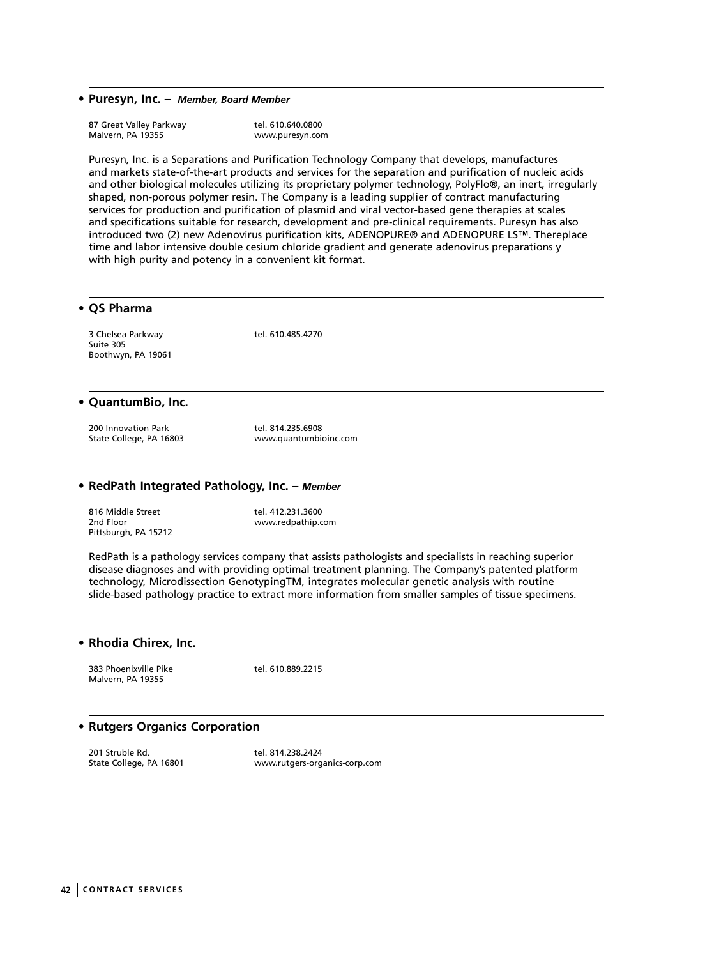**• Puresyn, Inc. –** *Member, Board Member*

| 87 Great Valley Parkway | tel. 610.640.0800 |
|-------------------------|-------------------|
| Malvern, PA 19355       | www.puresyn.com   |

Puresyn, Inc. is a Separations and Purification Technology Company that develops, manufactures and markets state-of-the-art products and services for the separation and purification of nucleic acids and other biological molecules utilizing its proprietary polymer technology, PolyFlo®, an inert, irregularly shaped, non-porous polymer resin. The Company is a leading supplier of contract manufacturing services for production and purification of plasmid and viral vector-based gene therapies at scales and specifications suitable for research, development and pre-clinical requirements. Puresyn has also introduced two (2) new Adenovirus purification kits, ADENOPURE® and ADENOPURE LS™. Thereplace time and labor intensive double cesium chloride gradient and generate adenovirus preparations y with high purity and potency in a convenient kit format.

## **• QS Pharma**

3 Chelsea Parkway tel. 610.485.4270 Suite 305 Boothwyn, PA 19061

#### **• QuantumBio, Inc.**

200 Innovation Park tel. 814.235.6908<br>
200 Innovation Park tel. 814.235.6908<br>
2011 www.quantumbi

www.quantumbioinc.com

## **• RedPath Integrated Pathology, Inc. –** *Member*

816 Middle Street tel. 412.231.3600 2nd Floor www.redpathip.com Pittsburgh, PA 15212

RedPath is a pathology services company that assists pathologists and specialists in reaching superior disease diagnoses and with providing optimal treatment planning. The Company's patented platform technology, Microdissection GenotypingTM, integrates molecular genetic analysis with routine slide-based pathology practice to extract more information from smaller samples of tissue specimens.

#### **• Rhodia Chirex, Inc.**

383 Phoenixville Pike tel. 610.889.2215 Malvern, PA 19355

## **• Rutgers Organics Corporation**

201 Struble Rd. tel. 814.238.2424<br>
State College, PA 16801 (and the www.rutgers-org.

www.rutgers-organics-corp.com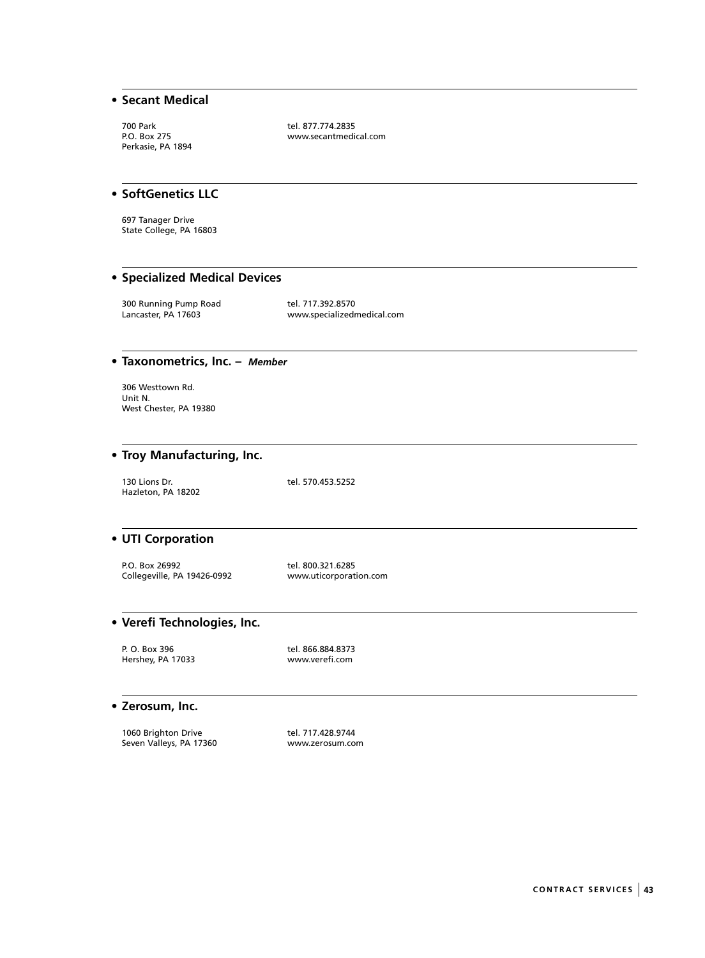## **• Secant Medical**

700 Park tel. 877.774.2835<br>P.O. Box 275 contractions www.secantmedia Perkasie, PA 1894

www.secantmedical.com

## **• SoftGenetics LLC**

697 Tanager Drive State College, PA 16803

## **• Specialized Medical Devices**

300 Running Pump Road tel. 717.392.8570<br>Lancaster, PA 17603 www.specializedn

www.specializedmedical.com

## **• Taxonometrics, Inc. –** *Member*

306 Westtown Rd. Unit N. West Chester, PA 19380

## **• Troy Manufacturing, Inc.**

130 Lions Dr. tel. 570.453.5252 Hazleton, PA 18202

## **• UTI Corporation**

P.O. Box 26992 tel. 800.321.6285<br>Collegeville, PA 19426-0992 www.uticorporation.com Collegeville, PA 19426-0992

## **• Verefi Technologies, Inc.**

P. O. Box 396 tel. 866.884.8373 Hershey, PA 17033 www.verefi.com

#### **• Zerosum, Inc.**

1060 Brighton Drive tel. 717.428.9744 Seven Valleys, PA 17360 www.zerosum.com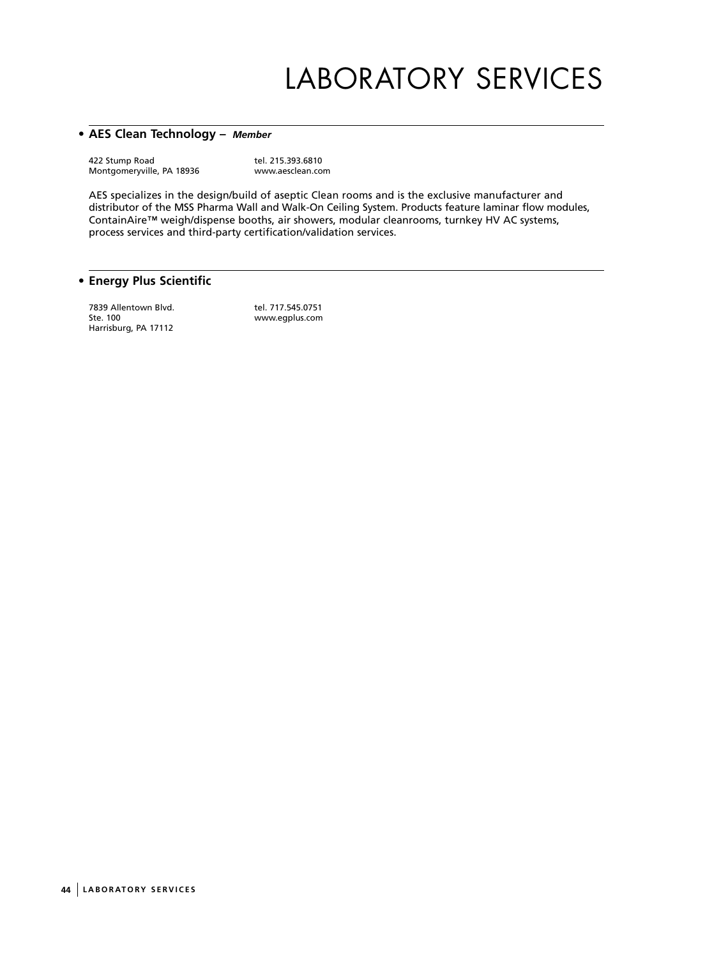# LABORATORY SERVICES

## **• AES Clean Technology –** *Member*

422 Stump Road tel. 215.393.6810<br>Montgomeryville, PA 18936 www.aesclean.com Montgomeryville, PA 18936

AES specializes in the design/build of aseptic Clean rooms and is the exclusive manufacturer and distributor of the MSS Pharma Wall and Walk-On Ceiling System. Products feature laminar flow modules, ContainAire™ weigh/dispense booths, air showers, modular cleanrooms, turnkey HV AC systems, process services and third-party certification/validation services.

## **• Energy Plus Scientific**

7839 Allentown Blvd. tel. 717.545.0751<br>Ste. 100 www.eqplus.com Harrisburg, PA 17112

www.egplus.com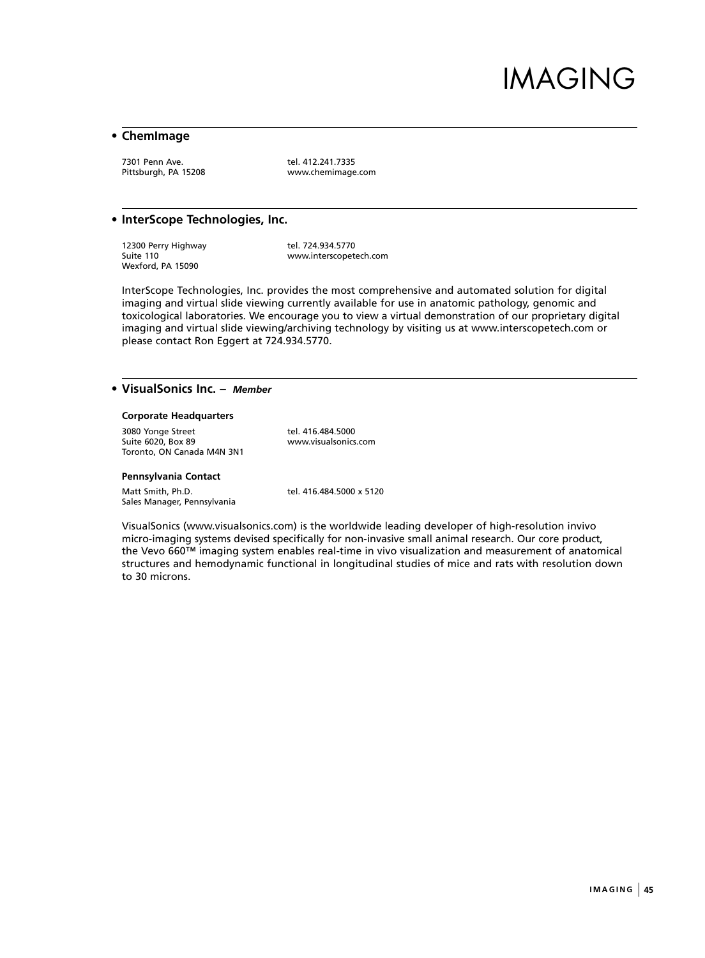## IMAGING

## **• ChemImage**

7301 Penn Ave.<br>Pittsburgh, PA 15208 The Monday Monteminage

www.chemimage.com

#### **• InterScope Technologies, Inc.**

12300 Perry Highway tel. 724.934.5770<br>
Suite 110 vww.interscopete Wexford, PA 15090

www.interscopetech.com

InterScope Technologies, Inc. provides the most comprehensive and automated solution for digital imaging and virtual slide viewing currently available for use in anatomic pathology, genomic and toxicological laboratories. We encourage you to view a virtual demonstration of our proprietary digital imaging and virtual slide viewing/archiving technology by visiting us at www.interscopetech.com or please contact Ron Eggert at 724.934.5770.

## **• VisualSonics Inc. –** *Member*

#### **Corporate Headquarters**

3080 Yonge Street tel. 416.484.5000<br>Suite 6020, Box 89<br>www.visualsonics.com Suite  $6020$ , Box 89 Toronto, ON Canada M4N 3N1

#### **Pennsylvania Contact**

Matt Smith, Ph.D. tel. 416.484.5000 x 5120 Sales Manager, Pennsylvania

VisualSonics (www.visualsonics.com) is the worldwide leading developer of high-resolution invivo micro-imaging systems devised specifically for non-invasive small animal research. Our core product, the Vevo 660™ imaging system enables real-time in vivo visualization and measurement of anatomical structures and hemodynamic functional in longitudinal studies of mice and rats with resolution down to 30 microns.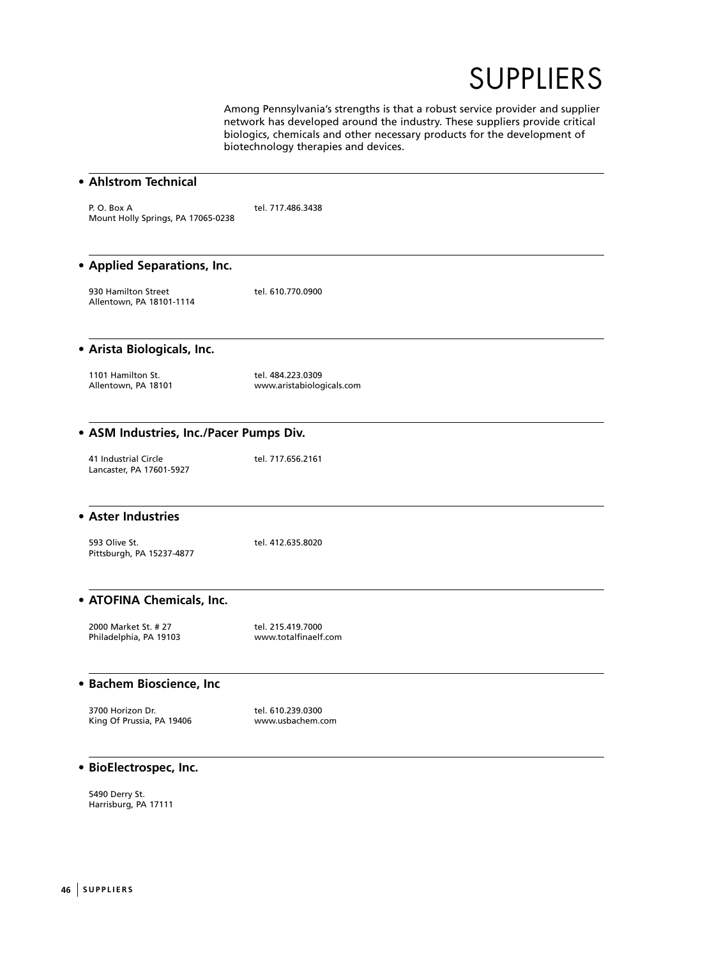

Among Pennsylvania's strengths is that a robust service provider and supplier network has developed around the industry. These suppliers provide critical biologics, chemicals and other necessary products for the development of biotechnology therapies and devices.

| • Ahlstrom Technical                             |                                                |
|--------------------------------------------------|------------------------------------------------|
| P.O. Box A<br>Mount Holly Springs, PA 17065-0238 | tel. 717.486.3438                              |
| • Applied Separations, Inc.                      |                                                |
| 930 Hamilton Street<br>Allentown, PA 18101-1114  | tel. 610.770.0900                              |
| • Arista Biologicals, Inc.                       |                                                |
| 1101 Hamilton St.<br>Allentown, PA 18101         | tel. 484.223.0309<br>www.aristabiologicals.com |
| • ASM Industries, Inc./Pacer Pumps Div.          |                                                |
| 41 Industrial Circle<br>Lancaster, PA 17601-5927 | tel. 717.656.2161                              |
| • Aster Industries                               |                                                |
| 593 Olive St.<br>Pittsburgh, PA 15237-4877       | tel. 412.635.8020                              |
| • ATOFINA Chemicals, Inc.                        |                                                |
| 2000 Market St. # 27<br>Philadelphia, PA 19103   | tel. 215.419.7000<br>www.totalfinaelf.com      |
| • Bachem Bioscience, Inc                         |                                                |
| 3700 Horizon Dr.<br>King Of Prussia, PA 19406    | tel. 610.239.0300<br>www.usbachem.com          |
| · BioElectrospec, Inc.                           |                                                |
| 5490 Derry St.<br>Harrisburg, PA 17111           |                                                |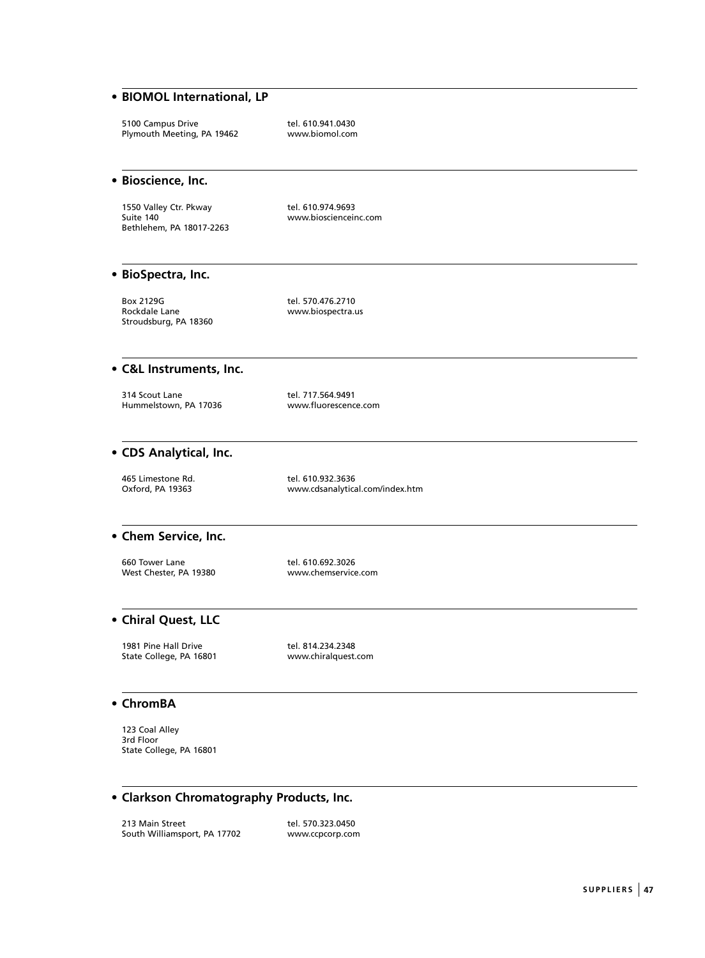## **• BIOMOL International, LP**

5100 Campus Drive tel. 610.941.0430<br>Plymouth Meeting, PA 19462 www.biomol.com Plymouth Meeting, PA 19462

#### **• Bioscience, Inc.**

1550 Valley Ctr. Pkway tel. 610.974.9693<br>Suite 140 vww.bioscienceir Bethlehem, PA 18017-2263

www.bioscienceinc.com

## **• BioSpectra, Inc.**

Box 2129G tel. 570.476.2710<br>Rockdale Lane the state of the www.biospectra.u Stroudsburg, PA 18360

www.biospectra.us

### **• C&L Instruments, Inc.**

314 Scout Lane tel. 717.564.9491 Hummelstown, PA 17036

## **• CDS Analytical, Inc.**

465 Limestone Rd.<br>
Oxford, PA 19363<br>
Oxford, PA 19363<br>
Oxford, PA 19363

www.cdsanalytical.com/index.htm

#### **• Chem Service, Inc.**

660 Tower Lane tel. 610.692.3026 West Chester, PA 19380 www.chemservice.com

## **• Chiral Quest, LLC**

1981 Pine Hall Drive tel. 814.234.2348 State College, PA 16801 www.chiralquest.com

#### **• ChromBA**

123 Coal Alley 3rd Floor State College, PA 16801

## **• Clarkson Chromatography Products, Inc.**

213 Main Street tel. 570.323.0450<br>
South Williamsport, PA 17702 www.ccpcorp.com South Williamsport, PA 17702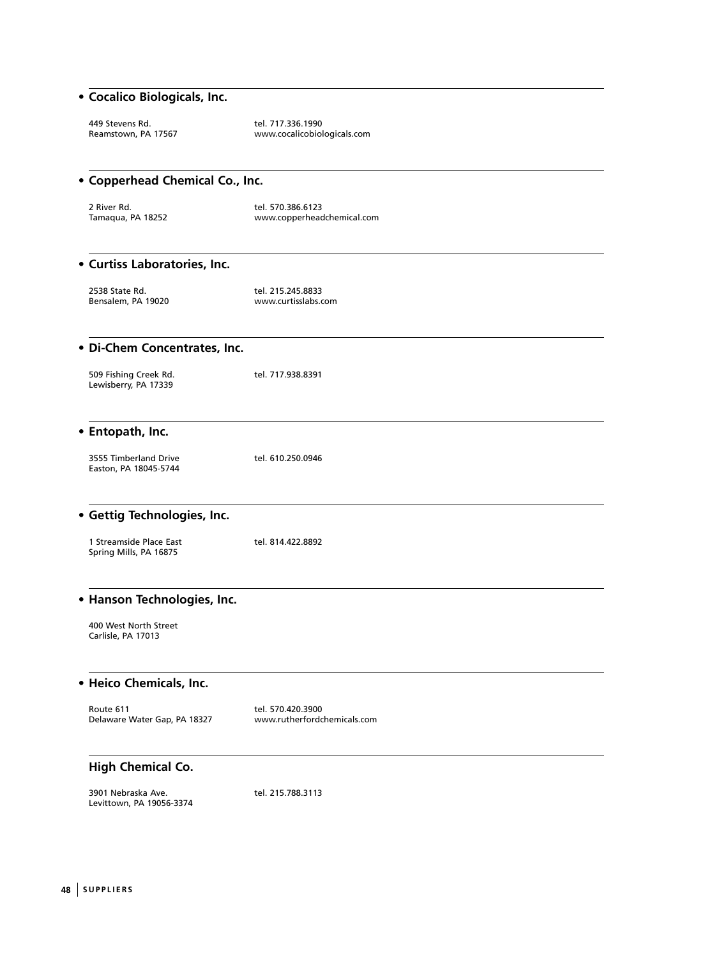## **• Cocalico Biologicals, Inc.**

| 449 Stevens Rd.     | tel. 717.336.1990           |
|---------------------|-----------------------------|
| Reamstown, PA 17567 | www.cocalicobiologicals.com |

| • Copperhead Chemical Co., Inc.                   |                                                  |  |
|---------------------------------------------------|--------------------------------------------------|--|
| 2 River Rd.<br>Tamaqua, PA 18252                  | tel. 570.386.6123<br>www.copperheadchemical.com  |  |
| • Curtiss Laboratories, Inc.                      |                                                  |  |
| 2538 State Rd.<br>Bensalem, PA 19020              | tel. 215.245.8833<br>www.curtisslabs.com         |  |
| • Di-Chem Concentrates, Inc.                      |                                                  |  |
| 509 Fishing Creek Rd.<br>Lewisberry, PA 17339     | tel. 717.938.8391                                |  |
| • Entopath, Inc.                                  |                                                  |  |
| 3555 Timberland Drive<br>Easton, PA 18045-5744    | tel. 610.250.0946                                |  |
| • Gettig Technologies, Inc.                       |                                                  |  |
| 1 Streamside Place East<br>Spring Mills, PA 16875 | tel. 814.422.8892                                |  |
| • Hanson Technologies, Inc.                       |                                                  |  |
| 400 West North Street<br>Carlisle, PA 17013       |                                                  |  |
| • Heico Chemicals, Inc.                           |                                                  |  |
| Route 611<br>Delaware Water Gap, PA 18327         | tel. 570.420.3900<br>www.rutherfordchemicals.com |  |
| <b>High Chemical Co.</b>                          |                                                  |  |
| 3901 Nebraska Ave.<br>Levittown, PA 19056-3374    | tel. 215.788.3113                                |  |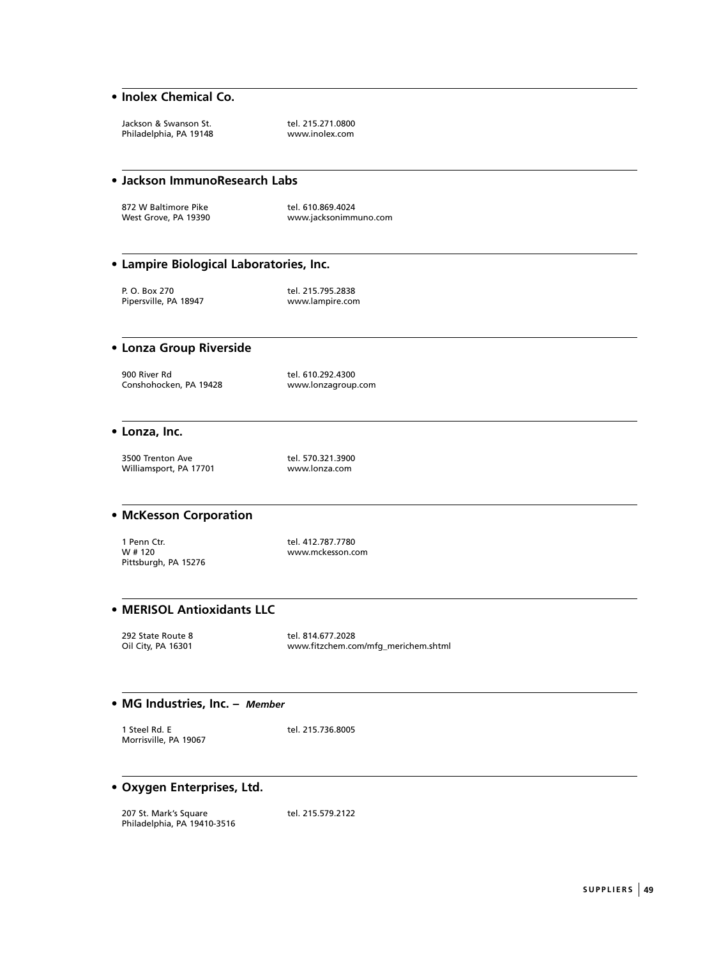## **• Inolex Chemical Co.**

Jackson & Swanson St. tel. 215.271.0800 Philadelphia, PA 19148

#### **• Jackson ImmunoResearch Labs**

872 W Baltimore Pike<br>
West Grove, PA 19390<br>
Www.jacksonimm

www.jacksonimmuno.com

## **• Lampire Biological Laboratories, Inc.**

P. O. Box 270 tel. 215.795.2838

Pipersville, PA 18947 www.lampire.com

## **• Lonza Group Riverside**

900 River Rd tel. 610.292.4300 Conshohocken, PA 19428 www.lonzagroup.com

#### **• Lonza, Inc.**

3500 Trenton Ave tel. 570.321.3900 Williamsport, PA 17701 www.lonza.com

## **• McKesson Corporation**

1 Penn Ctr. tel. 412.787.7780 Pittsburgh, PA 15276

www.mckesson.com

## **• MERISOL Antioxidants LLC**

292 State Route 8 tel. 814.677.2028<br>
201 City, PA 16301 www.fitzchem.co

www.fitzchem.com/mfg\_merichem.shtml

#### **• MG Industries, Inc. –** *Member*

1 Steel Rd. E tel. 215.736.8005 Morrisville, PA 19067

## **• Oxygen Enterprises, Ltd.**

207 St. Mark's Square tel. 215.579.2122 Philadelphia, PA 19410-3516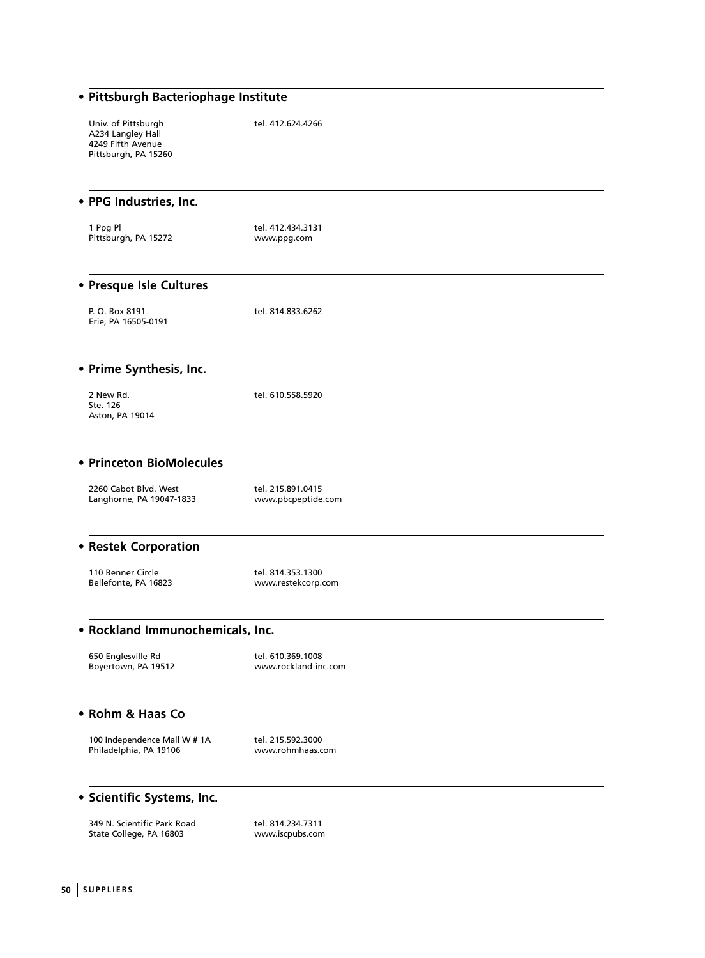| · Pittsburgh Bacteriophage Institute                                                  |                                           |  |
|---------------------------------------------------------------------------------------|-------------------------------------------|--|
| Univ. of Pittsburgh<br>A234 Langley Hall<br>4249 Fifth Avenue<br>Pittsburgh, PA 15260 | tel. 412.624.4266                         |  |
| • PPG Industries, Inc.                                                                |                                           |  |
| 1 Ppg Pl<br>Pittsburgh, PA 15272                                                      | tel. 412.434.3131<br>www.ppg.com          |  |
| • Presque Isle Cultures                                                               |                                           |  |
| P. O. Box 8191<br>Erie, PA 16505-0191                                                 | tel. 814.833.6262                         |  |
| • Prime Synthesis, Inc.                                                               |                                           |  |
| 2 New Rd.<br>Ste. 126<br>Aston, PA 19014                                              | tel. 610.558.5920                         |  |
| • Princeton BioMolecules                                                              |                                           |  |
| 2260 Cabot Blvd. West<br>Langhorne, PA 19047-1833                                     | tel. 215.891.0415<br>www.pbcpeptide.com   |  |
| • Restek Corporation                                                                  |                                           |  |
| 110 Benner Circle<br>Bellefonte, PA 16823                                             | tel. 814.353.1300<br>www.restekcorp.com   |  |
| • Rockland Immunochemicals, Inc.                                                      |                                           |  |
| 650 Englesville Rd<br>Boyertown, PA 19512                                             | tel. 610.369.1008<br>www.rockland-inc.com |  |
| • Rohm & Haas Co                                                                      |                                           |  |
| 100 Independence Mall W # 1A<br>Philadelphia, PA 19106                                | tel. 215.592.3000<br>www.rohmhaas.com     |  |
| · Scientific Systems, Inc.                                                            |                                           |  |
| 349 N. Scientific Park Road<br>State College, PA 16803                                | tel. 814.234.7311<br>www.iscpubs.com      |  |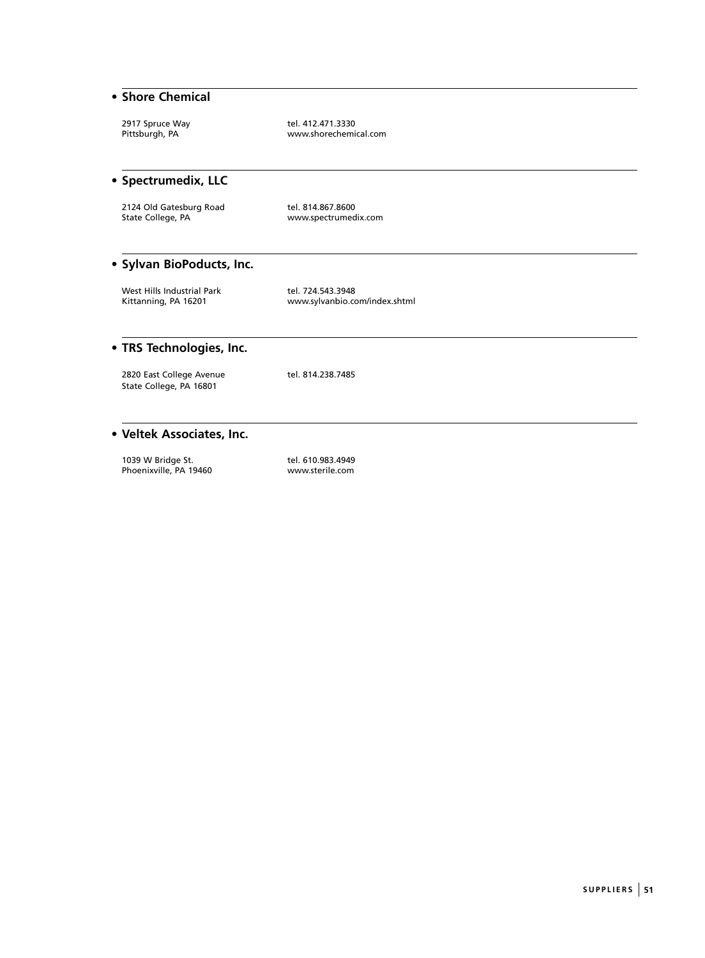## **• Shore Chemical**

2917 Spruce Way tel. 412.471.3330<br>Pittsburgh, PA tel. the www.shorechemi www.shorechemical.com

## **• Spectrumedix, LLC**

2124 Old Gatesburg Road tel. 814.867.8600 State College, PA www.spectrumedix.com

## **• Sylvan BioPoducts, Inc.**

West Hills Industrial Park tel. 724.543.3948<br>Kittanning, PA 16201 www.sylvanbio.cc

www.sylvanbio.com/index.shtml

## **• TRS Technologies, Inc.**

2820 East College Avenue tel. 814.238.7485 State College, PA 16801

## **• Veltek Associates, Inc.**

1039 W Bridge St. tel. 610.983.4949<br>Phoenixville, PA 19460 mww.sterile.com Phoenixville, PA 19460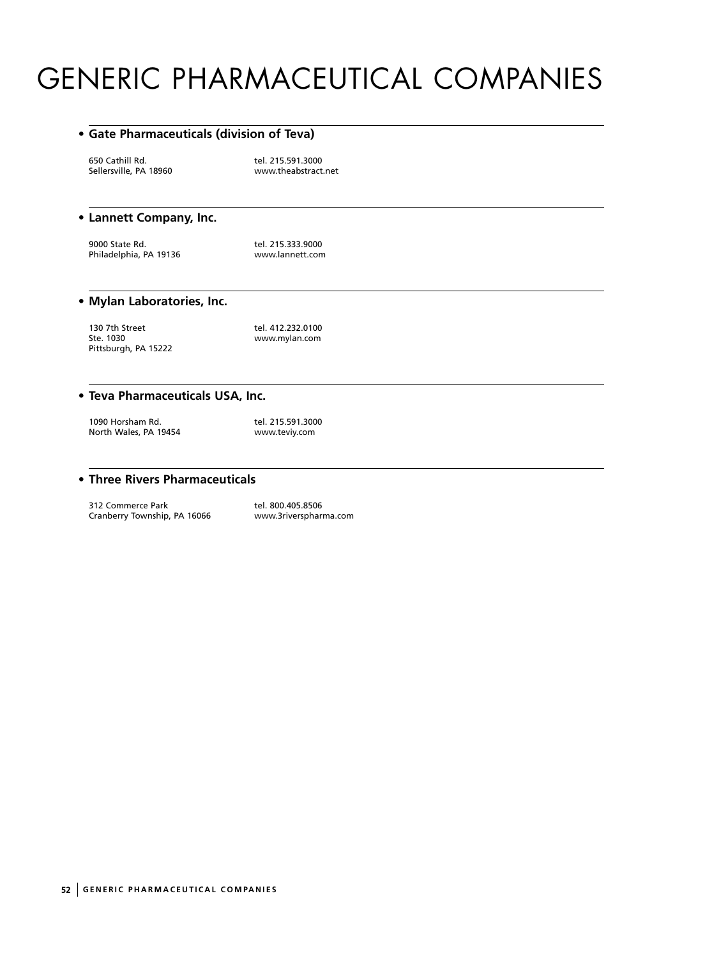# GENERIC PHARMACEUTICAL COMPANIES

#### **• Gate Pharmaceuticals (division of Teva)**

650 Cathill Rd. tel. 215.591.3000<br>Sellersville, PA 18960 www.theabstract

www.theabstract.net

## **• Lannett Company, Inc.**

9000 State Rd. tel. 215.333.9000 Philadelphia, PA 19136 www.lannett.com

## **• Mylan Laboratories, Inc.**

130 7th Street tel. 412.232.0100<br>1910 Ste. 1030 www.mylan.com Pittsburgh, PA 15222

www.mylan.com

#### **• Teva Pharmaceuticals USA, Inc.**

1090 Horsham Rd. tel. 215.591.3000<br>1911 North Wales, PA 19454 North Wales, PA 19454

## **• Three Rivers Pharmaceuticals**

312 Commerce Park tel. 800.405.8506<br>Cranberry Township, PA 16066 www.3riverspharma.com Cranberry Township, PA 16066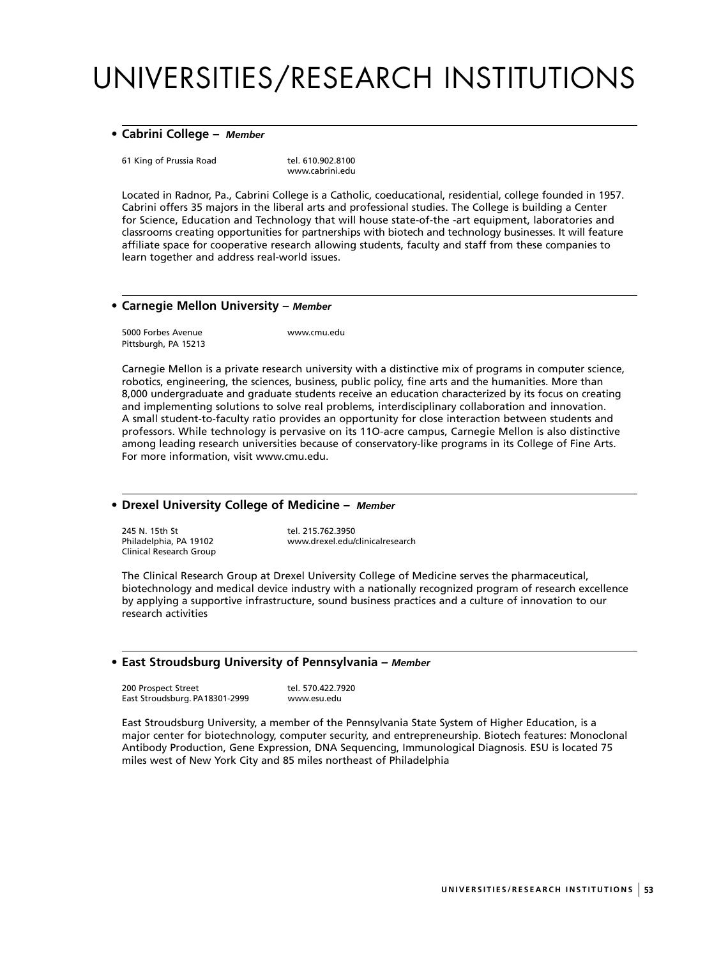# UNIVERSITIES/RESEARCH INSTITUTIONS

#### **• Cabrini College –** *Member*

61 King of Prussia Road tel. 610.902.8100

www.cabrini.edu

Located in Radnor, Pa., Cabrini College is a Catholic, coeducational, residential, college founded in 1957. Cabrini offers 35 majors in the liberal arts and professional studies. The College is building a Center for Science, Education and Technology that will house state-of-the -art equipment, laboratories and classrooms creating opportunities for partnerships with biotech and technology businesses. It will feature affiliate space for cooperative research allowing students, faculty and staff from these companies to learn together and address real-world issues.

## **• Carnegie Mellon University –** *Member*

5000 Forbes Avenue www.cmu.edu Pittsburgh, PA 15213

Carnegie Mellon is a private research university with a distinctive mix of programs in computer science, robotics, engineering, the sciences, business, public policy, fine arts and the humanities. More than 8,000 undergraduate and graduate students receive an education characterized by its focus on creating and implementing solutions to solve real problems, interdisciplinary collaboration and innovation. A small student-to-faculty ratio provides an opportunity for close interaction between students and professors. While technology is pervasive on its 11O-acre campus, Carnegie Mellon is also distinctive among leading research universities because of conservatory-like programs in its College of Fine Arts. For more information, visit www.cmu.edu.

## **• Drexel University College of Medicine –** *Member*

Philadelphia, PA 19102 Clinical Research Group

245 N. 15th St<br>
Philadelphia PA 19102<br>
WWW.drexel.edu/clinicalresearch

The Clinical Research Group at Drexel University College of Medicine serves the pharmaceutical, biotechnology and medical device industry with a nationally recognized program of research excellence by applying a supportive infrastructure, sound business practices and a culture of innovation to our research activities

## **• East Stroudsburg University of Pennsylvania –** *Member*

200 Prospect Street tel. 570.422.7920 East Stroudsburg. PA18301-2999 www.esu.edu

East Stroudsburg University, a member of the Pennsylvania State System of Higher Education, is a major center for biotechnology, computer security, and entrepreneurship. Biotech features: Monoclonal Antibody Production, Gene Expression, DNA Sequencing, Immunological Diagnosis. ESU is located 75 miles west of New York City and 85 miles northeast of Philadelphia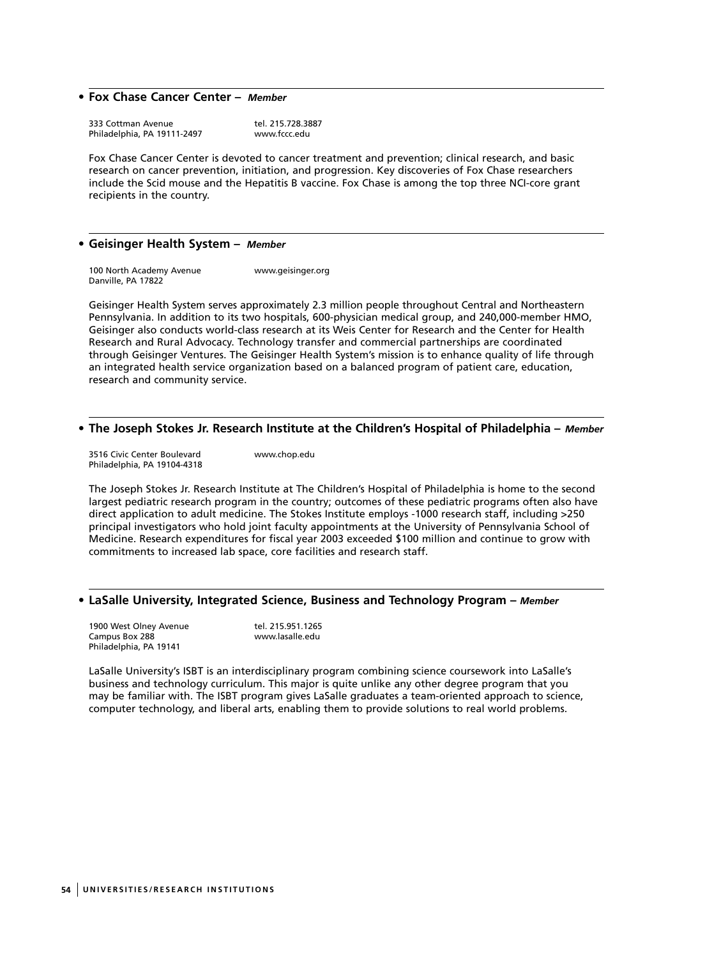## **• Fox Chase Cancer Center –** *Member*

333 Cottman Avenue<br>Philadelphia, PA 19111-2497 mww.fccc.edu Philadelphia, PA 19111-2497

Fox Chase Cancer Center is devoted to cancer treatment and prevention; clinical research, and basic research on cancer prevention, initiation, and progression. Key discoveries of Fox Chase researchers include the Scid mouse and the Hepatitis B vaccine. Fox Chase is among the top three NCI-core grant recipients in the country.

#### **• Geisinger Health System –** *Member*

100 North Academy Avenue www.geisinger.org Danville, PA 17822

Geisinger Health System serves approximately 2.3 million people throughout Central and Northeastern Pennsylvania. In addition to its two hospitals, 600-physician medical group, and 240,000-member HMO, Geisinger also conducts world-class research at its Weis Center for Research and the Center for Health Research and Rural Advocacy. Technology transfer and commercial partnerships are coordinated through Geisinger Ventures. The Geisinger Health System's mission is to enhance quality of life through an integrated health service organization based on a balanced program of patient care, education, research and community service.

#### **• The Joseph Stokes Jr. Research Institute at the Children's Hospital of Philadelphia –** *Member*

3516 Civic Center Boulevard www.chop.edu Philadelphia, PA 19104-4318

The Joseph Stokes Jr. Research Institute at The Children's Hospital of Philadelphia is home to the second largest pediatric research program in the country; outcomes of these pediatric programs often also have direct application to adult medicine. The Stokes Institute employs -1000 research staff, including >250 principal investigators who hold joint faculty appointments at the University of Pennsylvania School of Medicine. Research expenditures for fiscal year 2003 exceeded \$100 million and continue to grow with commitments to increased lab space, core facilities and research staff.

#### **• LaSalle University, Integrated Science, Business and Technology Program –** *Member*

1900 West Olney Avenue tel. 215.951.1265 Campus Box 288 www.lasalle.edu Philadelphia, PA 19141

LaSalle University's ISBT is an interdisciplinary program combining science coursework into LaSalle's business and technology curriculum. This major is quite unlike any other degree program that you may be familiar with. The ISBT program gives LaSalle graduates a team-oriented approach to science, computer technology, and liberal arts, enabling them to provide solutions to real world problems.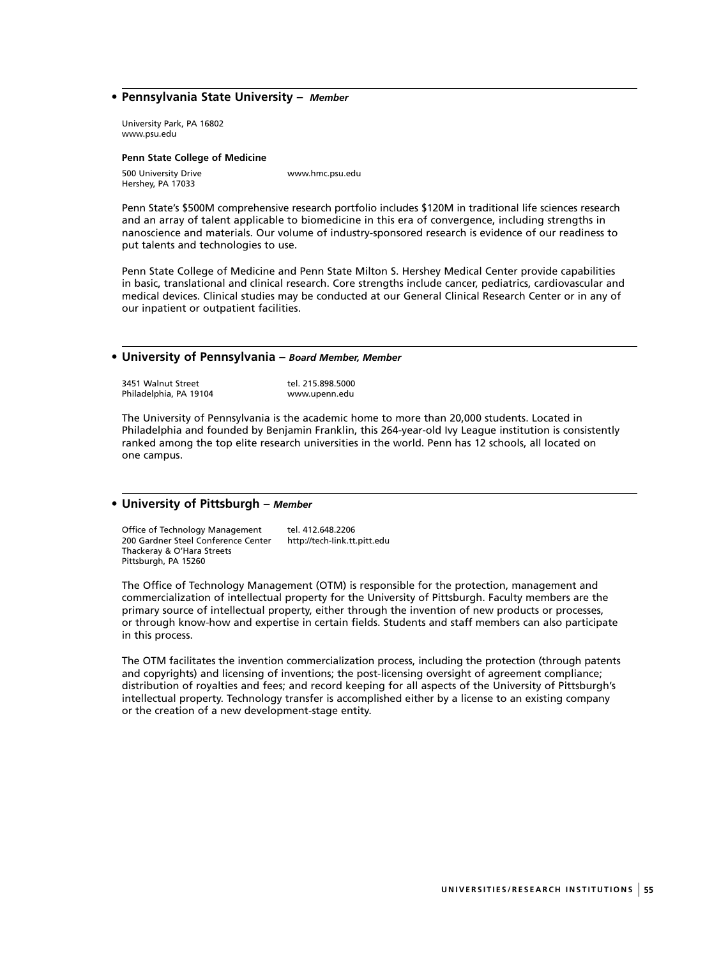### **• Pennsylvania State University –** *Member*

University Park, PA 16802 www.psu.edu

#### **Penn State College of Medicine**

500 University Drive www.hmc.psu.edu Hershey, PA 17033

Penn State's \$500M comprehensive research portfolio includes \$120M in traditional life sciences research and an array of talent applicable to biomedicine in this era of convergence, including strengths in nanoscience and materials. Our volume of industry-sponsored research is evidence of our readiness to put talents and technologies to use.

Penn State College of Medicine and Penn State Milton S. Hershey Medical Center provide capabilities in basic, translational and clinical research. Core strengths include cancer, pediatrics, cardiovascular and medical devices. Clinical studies may be conducted at our General Clinical Research Center or in any of our inpatient or outpatient facilities.

#### **• University of Pennsylvania –** *Board Member, Member*

3451 Walnut Street 1988 tel. 215.898.5000<br>1. Philadelphia, PA 19104 1999 www.upenn.edu Philadelphia, PA 19104

The University of Pennsylvania is the academic home to more than 20,000 students. Located in Philadelphia and founded by Benjamin Franklin, this 264-year-old Ivy League institution is consistently ranked among the top elite research universities in the world. Penn has 12 schools, all located on one campus.

#### **• University of Pittsburgh –** *Member*

Office of Technology Management tel. 412.648.2206<br>200 Gardner Steel Conference Center http://tech-link.tt.pitt.edu 200 Gardner Steel Conference Center Thackeray & O'Hara Streets Pittsburgh, PA 15260

The Office of Technology Management (OTM) is responsible for the protection, management and commercialization of intellectual property for the University of Pittsburgh. Faculty members are the primary source of intellectual property, either through the invention of new products or processes, or through know-how and expertise in certain fields. Students and staff members can also participate in this process.

The OTM facilitates the invention commercialization process, including the protection (through patents and copyrights) and licensing of inventions; the post-licensing oversight of agreement compliance; distribution of royalties and fees; and record keeping for all aspects of the University of Pittsburgh's intellectual property. Technology transfer is accomplished either by a license to an existing company or the creation of a new development-stage entity.